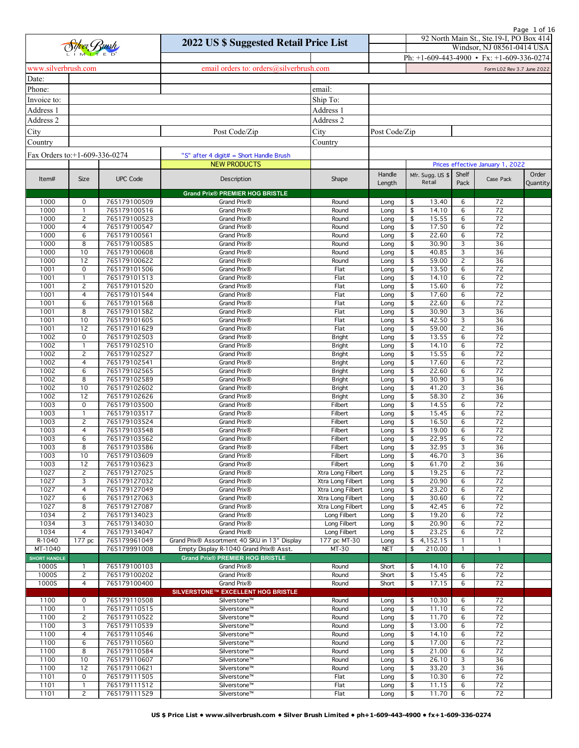Page 1 of 16

|                               |                                |                              | 2022 US \$ Suggested Retail Price List                      |                                        |                    | 92 North Main St., Ste.19-I, PO Box 414<br>Windsor, NJ 08561-0414 USA |                     |                                               |          |
|-------------------------------|--------------------------------|------------------------------|-------------------------------------------------------------|----------------------------------------|--------------------|-----------------------------------------------------------------------|---------------------|-----------------------------------------------|----------|
|                               |                                |                              |                                                             |                                        |                    |                                                                       |                     | Ph: $+1-609-443-4900$ • Fx: $+1-609-336-0274$ |          |
| www.silverbrush.com           |                                |                              | email orders to: orders@silverbrush.com                     |                                        |                    |                                                                       |                     | Form L02 Rev 3.7 June 2022                    |          |
| Date:                         |                                |                              |                                                             |                                        |                    |                                                                       |                     |                                               |          |
| Phone:                        |                                |                              |                                                             | email:                                 |                    |                                                                       |                     |                                               |          |
| Invoice to:                   |                                |                              |                                                             | Ship To:                               |                    |                                                                       |                     |                                               |          |
| Address 1                     |                                |                              |                                                             | Address 1                              |                    |                                                                       |                     |                                               |          |
| Address 2                     |                                |                              |                                                             | Address 2                              |                    |                                                                       |                     |                                               |          |
| City                          |                                |                              | Post Code/Zip                                               | City                                   | Post Code/Zip      |                                                                       |                     |                                               |          |
| Country                       |                                |                              |                                                             | Country                                |                    |                                                                       |                     |                                               |          |
| Fax Orders to:+1-609-336-0274 |                                |                              | "S" after 4 digit# = Short Handle Brush                     |                                        |                    |                                                                       |                     |                                               |          |
|                               |                                |                              | <b>NEW PRODUCTS</b>                                         |                                        |                    |                                                                       |                     | Prices effective January 1, 2022              |          |
| Item#                         | Size                           | <b>UPC Code</b>              | Description                                                 | Shape                                  | Handle             | Mfr. Sugg. US \$                                                      | Shelf               | Case Pack                                     | Order    |
|                               |                                |                              |                                                             |                                        | Length             | Retail                                                                | Pack                |                                               | Quantity |
|                               |                                |                              | <b>Grand Prix® PREMIER HOG BRISTLE</b>                      |                                        |                    |                                                                       |                     |                                               |          |
| 1000<br>1000                  | 0<br>$\mathbf{1}$              | 765179100509<br>765179100516 | Grand Prix®<br>Grand Prix®                                  | Round<br>Round                         | Long<br>Long       | 13.40<br>\$<br>\$<br>14.10                                            | 6<br>6              | 72<br>72                                      |          |
| 1000                          | $\overline{c}$                 | 765179100523                 | Grand Prix®                                                 | Round                                  | Long               | \$<br>15.55                                                           | 6                   | 72                                            |          |
| 1000                          | $\overline{4}$                 | 765179100547                 | Grand Prix®                                                 | Round                                  | Long               | 17.50<br>\$                                                           | 6                   | 72                                            |          |
| 1000                          | 6                              | 765179100561                 | Grand Prix®                                                 | Round                                  | Long               | 22.60<br>\$                                                           | 6                   | 72                                            |          |
| 1000<br>1000                  | 8<br>10                        | 765179100585                 | Grand Prix®                                                 | Round                                  | Long               | \$<br>30.90<br>$\overline{\mathbf{S}}$<br>40.85                       | 3                   | 36<br>36                                      |          |
| 1000                          | 12                             | 765179100608<br>765179100622 | Grand Prix®<br>Grand Prix®                                  | Round<br>Round                         | Long<br>Long       | \$<br>59.00                                                           | 3<br>$\overline{c}$ | 36                                            |          |
| 1001                          | $\mathsf{O}\xspace$            | 765179101506                 | Grand Prix®                                                 | Flat                                   | Long               | 13.50<br>\$                                                           | 6                   | 72                                            |          |
| 1001                          | $\mathbf{1}$                   | 765179101513                 | Grand Prix®                                                 | Flat                                   | Long               | \$<br>14.10                                                           | 6                   | 72                                            |          |
| 1001                          | $\overline{c}$                 | 765179101520                 | Grand Prix®                                                 | Flat                                   | Long               | 15.60<br>\$                                                           | $6\overline{6}$     | 72                                            |          |
| 1001                          | $\overline{4}$                 | 765179101544                 | Grand Prix®                                                 | Flat                                   | Long               | \$<br>17.60<br>22.60                                                  | 6                   | 72<br>72                                      |          |
| 1001<br>1001                  | 6<br>8                         | 765179101568<br>765179101582 | Grand Prix®<br>Grand Prix®                                  | Flat<br>Flat                           | Long<br>Long       | \$<br>\$<br>30.90                                                     | 6<br>3              | 36                                            |          |
| 1001                          | 10                             | 765179101605                 | Grand Prix®                                                 | Flat                                   | Long               | 42.50<br>\$                                                           | 3                   | 36                                            |          |
| 1001                          | 12                             | 765179101629                 | Grand Prix®                                                 | Flat                                   | Long               | \$<br>59.00                                                           | 2                   | 36                                            |          |
| 1002                          | 0                              | 765179102503                 | Grand Prix®                                                 | <b>Bright</b>                          | Long               | 13.55<br>\$                                                           | 6                   | 72                                            |          |
| 1002<br>1002                  | $\mathbf{1}$<br>$\overline{c}$ | 765179102510<br>765179102527 | Grand Prix®<br>Grand Prix®                                  | <b>Bright</b><br><b>Bright</b>         | Long               | 14.10<br>\$<br>\$<br>15.55                                            | 6<br>6              | 72<br>72                                      |          |
| 1002                          | 4                              | 765179102541                 | Grand Prix®                                                 | <b>Bright</b>                          | Long<br>Long       | 17.60<br>\$                                                           | 6                   | 72                                            |          |
| 1002                          | 6                              | 765179102565                 | Grand Prix®                                                 | <b>Bright</b>                          | Long               | 22.60<br>\$                                                           | $\overline{6}$      | 72                                            |          |
| 1002                          | $\overline{8}$                 | 765179102589                 | Grand Prix®                                                 | <b>Bright</b>                          | Long               | 30.90<br>\$                                                           | 3                   | 36                                            |          |
| 1002                          | 10                             | 765179102602                 | Grand Prix®                                                 | <b>Bright</b>                          | Long               | \$<br>41.20                                                           | 3                   | 36                                            |          |
| 1002<br>1003                  | 12<br>$\mathsf{O}\xspace$      | 765179102626<br>765179103500 | Grand Prix®<br>Grand Prix®                                  | <b>Bright</b><br>Filbert               | Long<br>Long       | \$<br>58.30<br>\$<br>14.55                                            | $\overline{c}$<br>6 | 36<br>72                                      |          |
| 1003                          | $\overline{1}$                 | 765179103517                 | Grand Prix®                                                 | Filbert                                | Long               | \$<br>15.45                                                           | 6                   | 72                                            |          |
| 1003                          | $\overline{c}$                 | 765179103524                 | Grand Prix®                                                 | Filbert                                | Long               | 16.50<br>\$                                                           | 6                   | 72                                            |          |
| 1003                          | $\overline{\mathcal{A}}$       | 765179103548                 | Grand Prix®                                                 | Filbert                                | Long               | \$<br>19.00                                                           | 6                   | 72                                            |          |
| 1003<br>1003                  | 6<br>8                         | 765179103562<br>765179103586 | Grand Prix®                                                 | Filbert                                | Long               | \$<br>22.95<br>\$<br>32.95                                            | 6<br>3              | 72<br>36                                      |          |
| 1003                          | 10                             | 765179103609                 | Grand Prix®<br>Grand Prix®                                  | Filbert<br>Filbert                     | Long<br>Long       | 46.70                                                                 | 3                   | 36                                            |          |
| 1003                          | 12                             | 765179103623                 | Grand Prix®                                                 | Filbert                                | Long               | \$<br>61.70                                                           | $\mathbf{2}$        | 36                                            |          |
| 1027                          | $\overline{c}$                 | 765179127025                 | Grand Prix®                                                 | Xtra Long Filbert                      | Long               | \$<br>19.25                                                           | 6                   | 72                                            |          |
| 1027<br>1027                  | 3                              | 765179127032                 | Grand Prix®                                                 | Xtra Long Filbert<br>Xtra Long Filbert | Long               | 20.90<br>\$                                                           | 6                   | 72                                            |          |
| 1027                          | 4<br>6                         | 765179127049<br>765179127063 | Grand Prix®<br>Grand Prix®                                  | Xtra Long Filbert                      | Long<br>Long       | \$<br>23.20<br>\$<br>30.60                                            | 6<br>6              | 72<br>72                                      |          |
| 1027                          | 8                              | 765179127087                 | Grand Prix®                                                 | Xtra Long Filbert                      | Long               | \$<br>42.45                                                           | 6                   | 72                                            |          |
| 1034                          | 2                              | 765179134023                 | Grand Prix®                                                 | Long Filbert                           | Long               | \$<br>19.20                                                           | 6                   | 72                                            |          |
| 1034                          | 3                              | 765179134030                 | Grand Prix®                                                 | Long Filbert                           | Long               | \$<br>20.90                                                           | 6                   | 72                                            |          |
| 1034<br>R-1040                | 4<br>177 pc                    | 765179134047<br>765179961049 | Grand Prix®<br>Grand Prix® Assortment 40 SKU in 13" Display | Long Filbert<br>177 pc MT-30           | Long               | \$<br>23.25<br>\$<br>4,152.15                                         | 6                   | 72<br>$\mathbf{1}$                            |          |
| MT-1040                       |                                | 765179991008                 | Empty Display R-1040 Grand Prix® Asst.                      | MT-30                                  | Long<br><b>NET</b> | \$<br>210.00                                                          | $\mathbf{1}$        | $\mathbf{1}$                                  |          |
| <b>SHORT HANDLE</b>           |                                |                              | <b>Grand Prix® PREMIER HOG BRISTLE</b>                      |                                        |                    |                                                                       |                     |                                               |          |
| 1000S                         | $\mathbf{1}$                   | 765179100103                 | Grand Prix®                                                 | Round                                  | Short              | 14.10<br>\$                                                           | 6                   | 72                                            |          |
| 1000S                         | $\overline{c}$                 | 765179100202                 | Grand Prix®                                                 | Round                                  | Short              | 15.45<br>\$                                                           | 6                   | 72                                            |          |
| 1000S                         | 4                              | 765179100400                 | Grand Prix®<br>SILVERSTONE™ EXCELLENT HOG BRISTLE           | Round                                  | Short              | 17.15<br>\$                                                           | 6                   | 72                                            |          |
| 1100                          | 0                              | 765179110508                 | Silverstone™                                                | Round                                  | Long               | \$<br>10.30                                                           | 6                   | 72                                            |          |
| 1100                          | $\mathbf{1}$                   | 765179110515                 | Silverstone™                                                | Round                                  | Long               | \$<br>11.10                                                           | 6                   | 72                                            |          |
| 1100                          | $\overline{c}$                 | 765179110522                 | Silverstone™                                                | Round                                  | Long               | \$<br>11.70                                                           | 6                   | 72                                            |          |
| 1100                          | 3                              | 765179110539                 | Silverstone™                                                | Round                                  | Long               | \$<br>13.00                                                           | 6                   | 72<br>72                                      |          |
| 1100<br>1100                  | $\overline{4}$<br>6            | 765179110546<br>765179110560 | Silverstone™<br>Silverstone™                                | Round<br>Round                         | Long<br>Long       | \$<br>14.10<br>\$<br>17.00                                            | 6<br>6              | 72                                            |          |
| 1100                          | 8                              | 765179110584                 | Silverstone™                                                | Round                                  | Long               | \$<br>21.00                                                           | 6                   | 72                                            |          |
| 1100                          | 10                             | 765179110607                 | Silverstone™                                                | Round                                  | Long               | \$<br>26.10                                                           | 3                   | 36                                            |          |
| 1100                          | 12                             | 765179110621                 | Silverstone™                                                | Round                                  | Long               | \$<br>33.20                                                           | 3                   | 36                                            |          |
| 1101<br>1101                  | 0<br>$\mathbf{1}$              | 765179111505<br>765179111512 | Silverstone™<br>Silverstone™                                | Flat<br>Flat                           | Long<br>Long       | \$<br>10.30<br>\$<br>11.15                                            | 6<br>6              | 72<br>72                                      |          |
| 1101                          | $\overline{c}$                 | 765179111529                 | Silverstone™                                                | Flat                                   | Long               | \$<br>11.70                                                           | 6                   | 72                                            |          |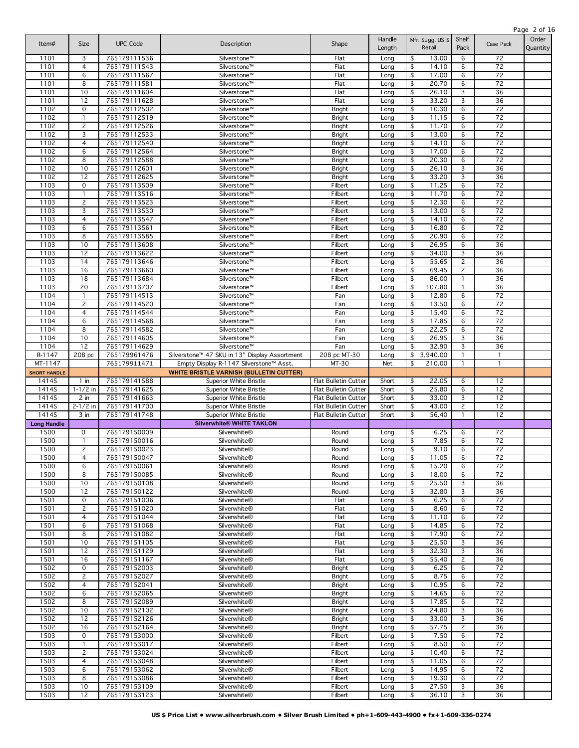|                     |                     |                              |                                                |                      |              |          |                  |                 |              | Page 2 of 16 |
|---------------------|---------------------|------------------------------|------------------------------------------------|----------------------|--------------|----------|------------------|-----------------|--------------|--------------|
|                     |                     |                              |                                                |                      | Handle       |          | Mfr. Sugg. US \$ | Shelf           |              | Order        |
| Item#               | Size                | <b>UPC Code</b>              | Description                                    | Shape                | Length       |          | Retail           | Pack            | Case Pack    | Quantity     |
| 1101                | 3                   | 765179111536                 | Silverstone™                                   | Flat                 | Long         | \$       | 13.00            | 6               | 72           |              |
| 1101                | 4                   | 765179111543                 | Silverstone™                                   | Flat                 | Long         | \$       | 14.10            | 6               | 72           |              |
| 1101                | 6                   | 765179111567                 | Silverstone™                                   | Flat                 | Long         | \$       | 17.00            | 6               | 72           |              |
| 1101                | 8                   | 765179111581                 | Silverstone™                                   | Flat                 | Long         | \$       | 20.70            | 6               | 72           |              |
| 1101                | 10                  | 765179111604                 | Silverstone™                                   | Flat                 | Long         | \$       | 26.10            | 3               | 36           |              |
| 1101                | 12                  | 765179111628                 | Silverstone™                                   | Flat                 | Long         | \$       | 33.20            | 3               | 36           |              |
| 1102                | $\mathbf 0$         | 765179112502                 | Silverstone™                                   | <b>Bright</b>        | Long         | \$       | 10.30            | 6               | 72           |              |
| 1102                | $\mathbf{1}$        | 765179112519                 | Silverstone™                                   | Bright               | Long         | \$       | 11.15            | 6               | 72           |              |
| 1102                | $\overline{c}$      | 765179112526                 | Silverstone™                                   | <b>Bright</b>        | Long         | \$       | 11.70            | 6               | 72           |              |
| 1102                | 3                   | 765179112533                 | Silverstone™                                   | <b>Bright</b>        | Long         | \$       | 13.00            | 6               | 72           |              |
| 1102                | $\overline{4}$      | 765179112540                 | Silverstone™                                   | <b>Bright</b>        | Long         | \$       | 14.10            | 6               | 72           |              |
| 1102                | 6                   | 765179112564                 | Silverstone™                                   | <b>Bright</b>        | Long         | \$       | 17.00            | 6               | 72           |              |
| 1102                | 8                   | 765179112588                 | Silverstone™                                   | <b>Bright</b>        | Long         | \$       | 20.30            | 6               | 72           |              |
| 1102                | 10                  | 765179112601                 | Silverstone™                                   | <b>Bright</b>        | Long         | \$       | 26.10            | 3               | 36           |              |
| 1102                | 12                  | 765179112625                 | Silverstone™                                   | <b>Bright</b>        | Long         | \$       | 33.20            | 3               | 36           |              |
| 1103                | $\mathbf 0$         | 765179113509                 | Silverstone™                                   | Filbert              | Long         | \$       | 11.25            | 6               | 72           |              |
| 1103                | $\mathbf{1}$        | 765179113516                 | Silverstone™                                   | Filbert              | Long         | \$       | 11.70            | 6               | 72           |              |
| 1103                | $\overline{c}$      | 765179113523                 | Silverstone™                                   | Filbert              | Long         | \$       | 12.30            | 6               | 72           |              |
| 1103                | 3                   | 765179113530                 | Silverstone™                                   | Filbert              | Long         | \$       | 13.00            | 6               | 72           |              |
| 1103                | 4                   | 765179113547                 | Silverstone™                                   | Filbert              | Long         | \$       | 14.10            | 6               | 72           |              |
| 1103                | 6                   | 765179113561                 | Silverstone™                                   | Filbert              | Long         | \$       | 16.80            | 6               | 72           |              |
| 1103                | 8                   | 765179113585                 | Silverstone™                                   | Filbert              | Long         | \$       | 20.90            | 6               | 72           |              |
| 1103                | 10                  | 765179113608                 | Silverstone™                                   | Filbert              | Long         | \$       | 26.95            | 6               | 36           |              |
| 1103                | 12                  | 765179113622                 | Silverstone™                                   | Filbert              | Long         | \$       | 34.00            | 3               | 36           |              |
| 1103                | 14                  | 765179113646                 | Silverstone™                                   | Filbert              | Long         | \$       | 55.65            | $\overline{c}$  | 36           |              |
| 1103                | 16                  | 765179113660                 | Silverstone™                                   | Filbert              | Long         | \$       | 69.45            | $\overline{c}$  | 36           |              |
| 1103                | 18                  | 765179113684                 | Silverstone™                                   | Filbert              | Long         | \$       | 86.00            | $\mathbf{1}$    | 36           |              |
| 1103                | 20                  | 765179113707                 | Silverstone™                                   | Filbert              | Long         | \$       | 107.80           | 1               | 36           |              |
| 1104                | $\mathbf{1}$        | 765179114513                 | Silverstone™                                   | Fan                  | Long         | \$       | 12.80            | 6               | 72           |              |
| 1104                | $\overline{c}$      | 765179114520                 | Silverstone™                                   | Fan                  | Long         | \$       | 13.50            | 6               | 72           |              |
| 1104                | $\overline{4}$      | 765179114544                 | Silverstone™                                   | Fan                  | Long         | \$       | 15.40            | 6               | 72           |              |
| 1104                | 6                   | 765179114568                 | Silverstone™                                   | Fan                  | Long         | \$       | 17.85            | 6               | 72           |              |
| 1104                | 8                   | 765179114582                 | Silverstone™                                   | Fan                  | Long         | \$       | 22.25            | 6               | 72           |              |
| 1104                | 10                  | 765179114605                 | Silverstone™                                   | Fan                  | Long         | \$       | 26.95            | 3               | 36           |              |
| 1104                | 12                  | 765179114629                 | Silverstone™                                   | Fan                  | Long         | \$       | 32.90            | 3               | 36           |              |
| R-1147              | 208 pc              | 765179961476                 | Silverstone™ 47 SKU in 13" Display Assortment  | 208 pc MT-30         | Long         | \$       | 3,940.00         | $\mathbf{1}$    | $\mathbf{1}$ |              |
| MT-1147             |                     | 765179911471                 | Empty Display R-1147 Silverstone™ Asst.        | MT-30                | Net          | \$       | 210.00           | $\mathbf{1}$    | $\mathbf{1}$ |              |
| <b>SHORT HANDLE</b> |                     |                              | <b>WHITE BRISTLE VARNISH (BULLETIN CUTTER)</b> |                      |              |          |                  |                 |              |              |
| 1414S               | $1$ in              | 765179141588                 | Superior White Bristle                         | Flat Bulletin Cutter | Short        | \$       | 22.05            | 6               | 12           |              |
| 1414S               | $1 - 1/2$ in        | 765179141625                 | Superior White Bristle                         | Flat Bulletin Cutter | Short        | \$       | 25.80            | 6               | 12           |              |
| 1414S               | 2 in                | 765179141663                 | Superior White Bristle                         | Flat Bulletin Cutter | Short        | \$       | 33.00            | 3               | 12           |              |
| 1414S               | $2 - 1/2$ in        | 765179141700                 | Superior White Bristle                         | Flat Bulletin Cutter | Short        | \$       | 43.00            | $\overline{c}$  | 12           |              |
| 1414S               | 3 in                | 765179141748                 | Superior White Bristle                         | Flat Bulletin Cutter | Short        | \$       | 56.40            | $\mathbf{1}$    | 12           |              |
| <b>Long Handle</b>  |                     |                              | <b>Silverwhite® WHITE TAKLON</b>               |                      |              |          |                  |                 |              |              |
| 1500                | 0                   | 765179150009                 | <b>Silverwhite®</b>                            | Round                | Long         | \$       | 6.25             | 6               | 72           |              |
| 1500                | $\mathbf{1}$        | 765179150016                 | <b>Silverwhite®</b>                            | Round                | Long         | \$       | 7.85             | 6               | 72           |              |
| 1500                | $\overline{c}$      | 765179150023                 | Silverwhite®                                   | Round                | Long         | \$       | 9.10             | $6 \overline{}$ | 72           |              |
| 1500                | 4                   | 765179150047                 | <b>Silverwhite®</b>                            | Round                | Long         | \$       | 11.05            | 6               | 72           |              |
| 1500                | 6                   | 765179150061                 | Silverwhite®                                   | Round                | Long         | \$       | 15.20            | 6               | 72           |              |
| 1500                | 8                   | 765179150085                 | Silverwhite®                                   | Round                | Long         | \$       | 18.00            | 6               | 72           |              |
| 1500                | 10                  | 765179150108                 | Silverwhite®                                   | Round                | Long         | \$       | 25.50            | 3               | 36           |              |
| 1500                | 12                  | 765179150122<br>765179151006 | Silverwhite®                                   | Round                | Long         | \$       | 32.80            | 3               | 36           |              |
| 1501                | $\mathbf 0$         | 765179151020                 | Silverwhite®<br><b>Silverwhite®</b>            | Flat                 | Long         | \$<br>\$ | 6.25             | 6               | 72           |              |
| 1501<br>1501        | $\overline{c}$<br>4 | 765179151044                 | Silverwhite®                                   | Flat<br>Flat         | Long<br>Long | \$       | 8.60<br>11.10    | 6<br>6          | 72<br>72     |              |
| 1501                | 6                   | 765179151068                 | Silverwhite®                                   | Flat                 | Long         | \$       | 14.85            | 6               | 72           |              |
| 1501                | 8                   | 765179151082                 | Silverwhite®                                   | Flat                 | Long         | \$       | 17.90            | 6               | 72           |              |
| 1501                | 10                  | 765179151105                 | Silverwhite®                                   | Flat                 | Long         | \$       | 25.50            | 3               | 36           |              |
| 1501                | 12                  | 765179151129                 | Silverwhite®                                   | Flat                 | Long         | \$       | 32.30            | 3               | 36           |              |
| 1501                | 16                  | 765179151167                 | Silverwhite®                                   | Flat                 | Long         | \$       | 55.40            | 2               | 36           |              |
| 1502                | 0                   | 765179152003                 | Silverwhite®                                   | <b>Bright</b>        | Long         | \$       | 6.25             | 6               | 72           |              |
| 1502                | 2                   | 765179152027                 | Silverwhite®                                   | <b>Bright</b>        | Long         | \$       | 8.75             | 6               | 72           |              |
| 1502                | 4                   | 765179152041                 | Silverwhite®                                   | <b>Bright</b>        | Long         | \$       | 10.95            | 6               | 72           |              |
| 1502                | 6                   | 765179152065                 | Silverwhite®                                   | <b>Bright</b>        | Long         | \$       | 14.65            | 6               | 72           |              |
| 1502                | 8                   | 765179152089                 | Silverwhite®                                   | <b>Bright</b>        | Long         | \$       | 17.85            | 6               | 72           |              |
| 1502                | 10                  | 765179152102                 | <b>Silverwhite®</b>                            | <b>Bright</b>        | Long         | \$       | 24.80            | 3               | 36           |              |
| 1502                | 12                  | 765179152126                 | Silverwhite®                                   | <b>Bright</b>        | Long         | \$       | 33.00            | 3               | 36           |              |
| 1502                | 16                  | 765179152164                 | Silverwhite®                                   | <b>Bright</b>        | Long         | \$       | 57.75            | 2               | 36           |              |
| 1503                | 0                   | 765179153000                 | Silverwhite®                                   | Filbert              | Long         | \$       | 7.50             | 6               | 72           |              |
| 1503                | 1                   | 765179153017                 | Silverwhite®                                   | Filbert              | Long         | \$       | 8.50             | 6               | 72           |              |
| 1503                | $\overline{c}$      | 765179153024                 | Silverwhite®                                   | Filbert              | Long         | \$       | 10.40            | 6               | 72           |              |
| 1503                | 4                   | 765179153048                 | Silverwhite®                                   | Filbert              | Long         | \$       | 11.05            | 6               | 72           |              |
| 1503                | 6                   | 765179153062                 | Silverwhite®                                   | Filbert              | Long         | \$       | 14.95            | 6               | 72           |              |
| 1503                | 8                   | 765179153086                 | Silverwhite®                                   | Filbert              | Long         | \$       | 19.30            | 6               | 72           |              |
|                     |                     |                              | Silverwhite®                                   | Filbert              | Long         | \$       | 27.50            | 3               | 36           |              |
| 1503                | 10                  | 765179153109                 |                                                |                      |              |          |                  |                 |              |              |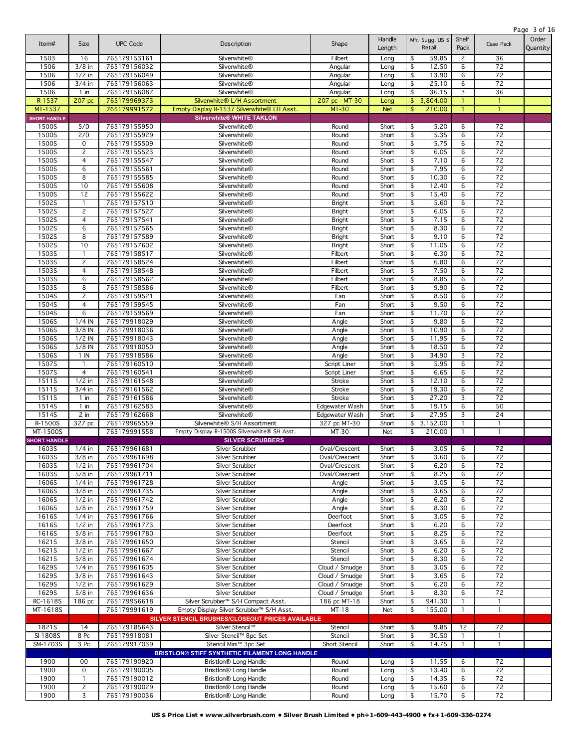|                     |                |                              |                                                       |                |                |                |                  |              |                       | Page 3 of 16 |
|---------------------|----------------|------------------------------|-------------------------------------------------------|----------------|----------------|----------------|------------------|--------------|-----------------------|--------------|
| Item#               | Size           | <b>UPC Code</b>              | Description                                           | Shape          | Handle         |                | Mfr. Sugg. US \$ | Shelf        | Case Pack             | Order        |
|                     |                |                              |                                                       |                | Length         |                | Retail           | Pack         |                       | Quantity     |
| 1503                | 16             | 765179153161                 | <b>Silverwhite®</b>                                   | Filbert        | Long           | \$             | 59.85            | 2            | 36                    |              |
| 1506                | $3/8$ in       | 765179156032                 | <b>Silverwhite®</b>                                   | Angular        | Long           | \$             | 12.50            | 6            | 72                    |              |
| 1506                | $1/2$ in       | 765179156049                 | Silverwhite®                                          | Angular        | Long           | \$             | 13.90            | 6            | 72                    |              |
| 1506                | $3/4$ in       | 765179156063                 | Silverwhite®                                          | Angular        | Long           | \$             | 25.10            | 6            | 72                    |              |
| 1506                | $1$ in         | 765179156087                 | <b>Silverwhite®</b>                                   | Angular        | Long           | \$             | 36.15            | 3            | 36                    |              |
| R-1537              | 207 pc         | 765179969373                 | Silverwhite® L/H Assortment                           | 207 pc - MT-30 | Long           | $\mathfrak{D}$ | 3,804.00         | $\mathbf{1}$ | $\mathbf{1}$          |              |
| MT-1537             |                | 765179991572                 | Empty Display R-1537 Silverwhite® LH Asst.            | <b>MT-30</b>   | <b>Net</b>     | \$             | 210.00           | $\mathbf{1}$ | $\overline{1}$        |              |
| <b>SHORT HANDLE</b> |                |                              | <b>Silverwhite® WHITE TAKLON</b>                      |                |                |                |                  |              |                       |              |
| 1500S               | 5/0            | 765179155950                 | Silverwhite®                                          | Round          | Short          | \$             | 5.20             | 6            | 72                    |              |
| 1500S               | 2/0            | 765179155929                 | <b>Silverwhite®</b>                                   | Round          | Short          | \$             | 5.35             | 6            | 72                    |              |
| 1500S               | 0              | 765179155509                 | Silverwhite®                                          | Round          | Short          | \$             | 5.75             | 6            | 72                    |              |
| 1500S               | $\overline{c}$ | 765179155523                 | <b>Silverwhite®</b>                                   | Round          | Short          | \$             | 6.05             | 6            | 72                    |              |
| 1500S               | $\overline{4}$ | 765179155547                 | <b>Silverwhite®</b>                                   | Round          | Short          | \$             | 7.10             | 6            | 72                    |              |
| 1500S               | 6              | 765179155561                 | <b>Silverwhite®</b>                                   | Round          | Short          | \$             | 7.95             | 6            | 72                    |              |
| 1500S               | 8              | 765179155585                 | <b>Silverwhite®</b>                                   | Round          | Short          | \$             | 10.30            | 6            | 72                    |              |
| 1500S               | 10             | 765179155608                 | <b>Silverwhite®</b>                                   | Round          | Short          | \$             | 12.40            | 6            | 72                    |              |
| 1500S               | 12             | 765179155622                 | <b>Silverwhite®</b>                                   | Round          | Short          | \$             | 15.40            | 6            | $\overline{72}$       |              |
| 1502S               | $\mathbf{1}$   | 765179157510                 | <b>Silverwhite®</b>                                   | <b>Bright</b>  | Short          | \$             | 5.60             | 6            | 72                    |              |
| 1502S               | $\overline{c}$ | 765179157527                 | <b>Silverwhite®</b><br><b>Silverwhite®</b>            | <b>Bright</b>  | Short          | \$             | 6.05             | 6<br>6       | $\overline{72}$       |              |
| 1502S               | 4              | 765179157541                 |                                                       | <b>Bright</b>  | Short          | \$             | 7.15             | 6            | 72<br>$\overline{72}$ |              |
| 1502S               | 6              | 765179157565<br>765179157589 | Silverwhite®                                          | <b>Bright</b>  | Short          | \$             | 8.30             |              |                       |              |
| 1502S               | 8              |                              | Silverwhite®                                          | <b>Bright</b>  | Short          | \$             | 9.10             | 6            | 72                    |              |
| 1502S               | 10             | 765179157602                 | Silverwhite®                                          | <b>Bright</b>  | Short          | \$             | 11.05            | 6            | $\overline{72}$       |              |
| 1503S               | $\mathbf{1}$   | 765179158517                 | Silverwhite®                                          | Filbert        | Short          | \$             | 6.30             | 6            | 72                    |              |
| 1503S               | $\overline{c}$ | 765179158524                 | Silverwhite®                                          | Filbert        | Short          | \$             | 6.80             | 6            | 72<br>72              |              |
| 1503S               | 4              | 765179158548<br>765179158562 | Silverwhite®                                          | Filbert        | Short          | \$             | 7.50             | 6            | 72                    |              |
| 1503S               | 6<br>8         |                              | Silverwhite®                                          | Filbert        | Short          | \$<br>\$       | 8.85<br>9.90     | 6<br>6       | 72                    |              |
| 1503S<br>1504S      | $\overline{c}$ | 765179158586<br>765179159521 | Silverwhite®                                          | Filbert<br>Fan | Short<br>Short | \$             | 8.50             | 6            | 72                    |              |
| 1504S               | $\overline{4}$ | 765179159545                 | Silverwhite®<br>Silverwhite®                          | Fan            |                | \$             | 9.50             | 6            | 72                    |              |
| 1504S               | 6              | 765179159569                 | Silverwhite®                                          | Fan            | Short<br>Short | \$             | 11.70            | 6            | 72                    |              |
| 1506S               | $1/4$ IN       | 765179918029                 | Silverwhite®                                          | Angle          | Short          | \$             | 9.80             | 6            | 72                    |              |
| 1506S               | $3/8$ IN       | 765179918036                 | Silverwhite®                                          | Angle          | Short          | \$             | 10.90            | 6            | 72                    |              |
| 1506S               | $1/2$ IN       | 765179918043                 | Silverwhite®                                          | Angle          | Short          | \$             | 11.95            | 6            | 72                    |              |
| 1506S               | $5/8$ IN       | 765179918050                 | Silverwhite®                                          | Angle          | Short          | \$             | 18.50            | 6            | 72                    |              |
| 1506S               | $1 \,$ IN      | 765179918586                 | Silverwhite®                                          | Angle          | Short          | \$             | 34.90            | 3            | 72                    |              |
| 1507S               | $\mathbf{1}$   | 765179160510                 | Silverwhite®                                          | Script Liner   | Short          | \$             | 5.95             | 6            | 72                    |              |
| 1507S               | $\overline{4}$ | 765179160541                 | Silverwhite®                                          | Script Liner   | Short          | \$             | 6.65             | 6            | 72                    |              |
| 1511S               | $1/2$ in       | 765179161548                 | Silverwhite®                                          | <b>Stroke</b>  | Short          | \$             | 12.10            | 6            | 72                    |              |
| 1511S               | $3/4$ in       | 765179161562                 | Silverwhite®                                          | <b>Stroke</b>  | Short          | \$             | 19.30            | 6            | 72                    |              |
| 1511S               | $1$ in         | 765179161586                 | <b>Silverwhite®</b>                                   | Stroke         | Short          | \$             | 27.20            | 3            | 72                    |              |
| 1514S               | $1$ in         | 765179162583                 | Silverwhite®                                          | Edgewater Wash | Short          | \$             | 19.15            | 6            | 50                    |              |
| 1514S               | 2 in           | 765179162668                 | Silverwhite®                                          | Edgewater Wash | Short          | \$             | 27.95            | 3            | 24                    |              |
| R-1500S             | 327 pc         | 765179965559                 | Silverwhite® S/H Assortment                           | 327 pc MT-30   | Short          | \$             | 3,152.00         | $\mathbf{1}$ | $\mathbf{1}$          |              |
| MT-1500S            |                | 765179991558                 | Empty Display R-1500S Silverwhite® SH Asst.           | MT-30          | Net            | \$             | 210.00           | $\mathbf{1}$ | $\mathbf{1}$          |              |
| <b>SHORT HANDLE</b> |                |                              | <b>SILVER SCRUBBERS</b>                               |                |                |                |                  |              |                       |              |
| 1603S               | $1/4$ in       | 765179961681                 | Silver Scrubber                                       | Oval/Crescent  | Short          | \$             | 3.05             | 6            | 72                    |              |
| 1603S               | $3/8$ in       | 765179961698                 | Silver Scrubber                                       | Oval/Crescent  | Short          | \$             | 3.60             | 6            | 72                    |              |
| 1603S               | $1/2$ in       | 765179961704                 | Silver Scrubber                                       | Oval/Crescent  | Short          | \$             | 6.20             | 6            | 72                    |              |
| 1603S               | $5/8$ in       | 765179961711                 | Silver Scrubber                                       | Oval/Crescent  | Short          | \$             | 8.25             | 6            | 72                    |              |
| 1606S               | $1/4$ in       | 765179961728                 | Silver Scrubber                                       | Angle          | Short          | \$             | 3.05             | 6            | 72                    |              |
| 1606S               | $3/8$ in       | 765179961735                 | Silver Scrubber                                       | Angle          | Short          | \$             | 3.65             | 6            | 72                    |              |
| 1606S               | $1/2$ in       | 765179961742                 | Silver Scrubber                                       | Angle          | Short          | \$             | 6.20             | 6            | 72                    |              |
| 1606S               | $5/8$ in       | 765179961759                 | Silver Scrubber                                       | Angle          | Short          | \$             | 8.30             | 6            | 72                    |              |
| 1616S               | $1/4$ in       | 765179961766                 | Silver Scrubber                                       | Deerfoot       | Short          | \$             | 3.05             | 6            | 72                    |              |
| 1616S               | $1/2$ in       | 765179961773                 | Silver Scrubber                                       | Deerfoot       | Short          | \$             | 6.20             | 6            | 72                    |              |
| 1616S               | $5/8$ in       | 765179961780                 | Silver Scrubber                                       | Deerfoot       | Short          | \$             | 8.25             | 6            | 72                    |              |
| 1621S               | $3/8$ in       | 765179961650                 | Silver Scrubber                                       | Stencil        | Short          | \$             | 3.65             | 6            | 72                    |              |
| 1621S               | $1/2$ in       | 765179961667                 | Silver Scrubber                                       | Stencil        | Short          | \$             | 6.20             | 6            | 72                    |              |
| 1621S               | $5/8$ in       | 765179961674                 | Silver Scrubber                                       | Stencil        | Short          | \$             | 8.30             | 6            | 72                    |              |
| 1629S               | $1/4$ in       | 765179961605                 | Silver Scrubber                                       | Cloud / Smudge | Short          | \$             | 3.05             | 6            | 72                    |              |
| 1629S               | $3/8$ in       | 765179961643                 | Silver Scrubber                                       | Cloud / Smudge | Short          | \$             | 3.65             | 6            | 72                    |              |
| 1629S               | $1/2$ in       | 765179961629                 | Silver Scrubber                                       | Cloud / Smudge | Short          | \$             | 6.20             | 6            | 72                    |              |
| 1629S               | $5/8$ in       | 765179961636                 | Silver Scrubber                                       | Cloud / Smudge | Short          | \$             | 8.30             | 6            | 72                    |              |
| RC-1618S            | 186 pc         | 765179956618                 | Silver Scrubber™ S/H Compact Asst.                    | 186 pc MT-18   | Short          | \$             | 941.30           | 1            | $\mathbf{1}$          |              |
| MT-1618S            |                | 765179991619                 | Empty Display Silver Scrubber™ S/H Asst.              | MT-18          | Net            | \$             | 155.00           | 1            | $\mathbf{1}$          |              |
|                     |                |                              | SILVER STENCIL BRUSHES/CLOSEOUT PRICES AVAILABLE      |                |                |                |                  |              |                       |              |
| 1821S               | 14             | 765179185643                 | Silver Stencil™                                       | Stencil        | Short          | \$             | 9.85             | 12           | 72                    |              |
| SI-1808S            | 8 Pc           | 765179918081                 | Silver Stencil™ 8pc Set                               | Stencil        | Short          | \$             | 30.50            | 1            | $\mathbf{1}$          |              |
| SM-1703S            | 3 Pc           | 765179917039                 | Stencil Mini™ 3pc Set                                 | Short Stencil  | Short          | \$             | 14.75            | 1            | 1                     |              |
|                     |                |                              | <b>BRISTLON® STIFF SYNTHETIC FILAMENT LONG HANDLE</b> |                |                |                |                  |              |                       |              |
| 1900                | 00             | 765179190920                 | Bristlon® Long Handle                                 | Round          | Long           | \$             | 11.55            | 6            | 72                    |              |
| 1900                | 0              | 765179190005                 | Bristlon® Long Handle                                 | Round          | Long           | \$             | 13.40            | 6            | 72                    |              |
| 1900                | $\mathbf{1}$   | 765179190012                 | Bristlon® Long Handle                                 | Round          | Long           | \$             | 14.35            | 6            | 72                    |              |
| 1900                | $\overline{c}$ | 765179190029                 | Bristlon® Long Handle                                 | Round          | Long           | \$             | 15.60            | 6            | 72                    |              |
| 1900                | 3              | 765179190036                 | Bristlon® Long Handle                                 | Round          | Long           | \$             | 15.70            | 6            | 72                    |              |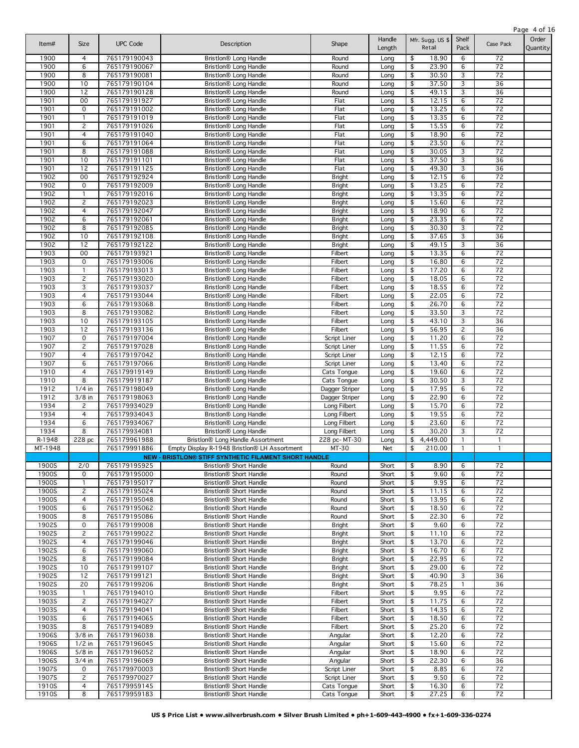| Item#          | Size                 | <b>UPC Code</b>              | Description                                                  | Shape                          | Handle<br>Length | Mfr. Sugg. US \$<br>Retail | Shelf<br>Pack                    | Case Pack             | Order<br>Quantity |
|----------------|----------------------|------------------------------|--------------------------------------------------------------|--------------------------------|------------------|----------------------------|----------------------------------|-----------------------|-------------------|
| 1900           | 4                    | 765179190043                 | Bristlon® Long Handle                                        | Round                          | Long             | 18.90<br>\$                | 6                                | 72                    |                   |
| 1900           | 6                    | 765179190067                 | Bristlon® Long Handle                                        | Round                          | Long             | \$<br>23.90                | 6                                | 72                    |                   |
| 1900           | 8                    | 765179190081                 | Bristlon® Long Handle                                        | Round                          | Long             | \$<br>30.50                | 3<br>$\overline{3}$              | 72                    |                   |
| 1900<br>1900   | 10<br>12             | 765179190104<br>765179190128 | Bristlon® Long Handle<br>Bristlon® Long Handle               | Round<br>Round                 | Long<br>Long     | 37.50<br>\$<br>49.15<br>\$ | 3                                | 36<br>36              |                   |
| 1901           | 00                   | 765179191927                 | Bristlon® Long Handle                                        | Flat                           | Long             | \$<br>12.15                | 6                                | 72                    |                   |
| 1901           | $\mathsf{O}$         | 765179191002                 | Bristlon® Long Handle                                        | Flat                           | Long             | \$<br>13.25                | 6                                | 72                    |                   |
| 1901           | $\mathbf{1}$         | 765179191019                 | Bristlon® Long Handle                                        | Flat                           | Long             | \$<br>13.35                | 6                                | 72                    |                   |
| 1901           | 2                    | 765179191026                 | Bristlon® Long Handle                                        | Flat                           | Long             | 15.55<br>\$                | 6                                | 72                    |                   |
| 1901           | 4                    | 765179191040                 | Bristlon® Long Handle                                        | Flat                           | Long             | 18.90<br>\$                | $6\overline{6}$                  | 72                    |                   |
| 1901           | 6                    | 765179191064                 | Bristlon® Long Handle                                        | Flat                           | Long             | \$<br>23.50                | $6\overline{6}$                  | 72                    |                   |
| 1901           | 8<br>10              | 765179191088                 | Bristlon® Long Handle                                        | Flat                           | Long             | 30.05<br>\$<br>37.50       | $\overline{3}$                   | $\overline{72}$<br>36 |                   |
| 1901<br>1901   | 12                   | 765179191101<br>765179191125 | Bristlon® Long Handle<br>Bristlon® Long Handle               | Flat<br>Flat                   | Long<br>Long     | \$<br>49.30<br>\$          | $\overline{3}$<br>$\overline{3}$ | 36                    |                   |
| 1902           | 00                   | 765179192924                 | Bristlon® Long Handle                                        | <b>Bright</b>                  | Long             | \$<br>12.15                | $6\overline{6}$                  | 72                    |                   |
| 1902           | $\mathbf 0$          | 765179192009                 | Bristlon® Long Handle                                        | <b>Bright</b>                  | Long             | 13.25<br>\$                | 6                                | 72                    |                   |
| 1902           | 1                    | 765179192016                 | Bristlon® Long Handle                                        | <b>Bright</b>                  | Long             | 13.35<br>\$                | 6                                | 72                    |                   |
| 1902           | $\mathbf{2}$         | 765179192023                 | Bristlon® Long Handle                                        | <b>Bright</b>                  | Long             | 15.60<br>\$                | 6                                | 72                    |                   |
| 1902           | $\overline{4}$       | 765179192047                 | Bristlon® Long Handle                                        | <b>Bright</b>                  | Long             | \$<br>18.90                | 6                                | 72                    |                   |
| 1902           | 6                    | 765179192061                 | <b>Bristlon® Long Handle</b>                                 | <b>Bright</b>                  | Long             | 23.35<br>\$                | $6\overline{6}$                  | 72                    |                   |
| 1902           | 8                    | 765179192085                 | Bristlon® Long Handle                                        | <b>Bright</b>                  | Long             | 30.30<br>\$                | 3                                | 72                    |                   |
| 1902           | 10                   | 765179192108                 | Bristlon® Long Handle                                        | <b>Bright</b>                  | Long             | 37.65<br>\$                | $\overline{3}$                   | 36<br>36              |                   |
| 1902<br>1903   | 12<br>00             | 765179192122<br>765179193921 | Bristlon® Long Handle<br>Bristlon® Long Handle               | <b>Bright</b><br>Filbert       | Long<br>Long     | 49.15<br>\$<br>13.35<br>\$ | 3<br>$6\overline{6}$             | 72                    |                   |
| 1903           | 0                    | 765179193006                 | Bristlon® Long Handle                                        | Filbert                        | Long             | 16.80<br>\$                | 6                                | 72                    |                   |
| 1903           | $\mathbf{1}$         | 765179193013                 | Bristlon® Long Handle                                        | Filbert                        | Long             | 17.20<br>\$                | $6\overline{6}$                  | $\overline{72}$       |                   |
| 1903           | 2                    | 765179193020                 | Bristlon® Long Handle                                        | Filbert                        | Long             | 18.05<br>\$                | 6                                | 72                    |                   |
| 1903           | 3                    | 765179193037                 | Bristlon® Long Handle                                        | Filbert                        | Long             | \$<br>18.55                | 6                                | 72                    |                   |
| 1903           | $\overline{4}$       | 765179193044                 | <b>Bristlon® Long Handle</b>                                 | Filbert                        | Long             | \$<br>22.05                | 6                                | 72                    |                   |
| 1903           | 6                    | 765179193068                 | Bristlon® Long Handle                                        | Filbert                        | Long             | \$<br>26.70                | 6                                | 72                    |                   |
| 1903           | 8                    | 765179193082                 | Bristlon® Long Handle                                        | Filbert                        | Long             | \$<br>33.50                | 3                                | 72                    |                   |
| 1903           | 10                   | 765179193105                 | Bristlon® Long Handle                                        | Filbert                        | Long             | \$<br>43.10                | 3                                | 36                    |                   |
| 1903<br>1907   | 12<br>$\mathsf{O}$   | 765179193136<br>765179197004 | Bristlon® Long Handle<br>Bristlon® Long Handle               | Filbert<br>Script Liner        | Long<br>Long     | \$<br>56.95<br>\$<br>11.20 | $\mathbf{2}$<br>$6\overline{6}$  | 36<br>$\overline{72}$ |                   |
| 1907           | $\overline{c}$       | 765179197028                 | Bristlon® Long Handle                                        | Script Liner                   | Long             | 11.55<br>\$                | 6                                | 72                    |                   |
| 1907           | 4                    | 765179197042                 | Bristlon® Long Handle                                        | Script Liner                   | Long             | \$<br>12.15                | $6\overline{6}$                  | $\overline{72}$       |                   |
| 1907           | 6                    | 765179197066                 | <b>Bristlon®</b> Long Handle                                 | Script Liner                   | Long             | 13.40<br>\$                | 6                                | 72                    |                   |
| 1910           | 4                    | 765179919149                 | Bristlon® Long Handle                                        | Cats Tongue                    | Long             | \$<br>19.60                | $6\overline{6}$                  | 72                    |                   |
| 1910           | 8                    | 765179919187                 | <b>Bristlon®</b> Long Handle                                 | Cats Tongue                    | Long             | \$<br>30.50                | 3                                | 72                    |                   |
| 1912           | $1/4$ in             | 765179198049                 | Bristlon® Long Handle                                        | Dagger Striper                 | Long             | \$<br>17.95                | $6\overline{6}$                  | $\overline{72}$       |                   |
| 1912           | $3/8$ in             | 765179198063                 | Bristlon® Long Handle                                        | Dagger Striper                 | Long             | \$<br>22.90                | 6                                | 72                    |                   |
| 1934<br>1934   | $\overline{c}$<br>4  | 765179934029<br>765179934043 | Bristlon® Long Handle                                        | Long Filbert                   | Long             | \$<br>15.70<br>\$<br>19.55 | 6<br>6                           | 72<br>72              |                   |
| 1934           | 6                    | 765179934067                 | Bristlon® Long Handle<br>Bristlon® Long Handle               | Long Filbert<br>Long Filbert   | Long<br>Long     | 23.60<br>\$                | 6                                | 72                    |                   |
| 1934           | 8                    | 765179934081                 | Bristlon® Long Handle                                        | Long Filbert                   | Long             | 30.20<br>\$                | 3                                | 72                    |                   |
| R-1948         | 228 pc               | 765179961988                 | Bristlon® Long Handle Assortment                             | 228 pc- MT-30                  | Long             | 4,449.00<br>\$             | $\mathbf{1}$                     | $\mathbf{1}$          |                   |
| MT-1948        |                      | 765179991886                 | Empty Display R-1948 Bristlon® LH Assortment                 | MT-30                          | Net              | 210.00<br>\$               | 1                                |                       |                   |
|                |                      |                              | <b>NEW - BRISTLON® STIFF SYNTHETIC FILAMENT SHORT HANDLE</b> |                                |                  |                            |                                  |                       |                   |
| 1900S          | 2/0                  | 765179195925                 | Bristlon <sup>®</sup> Short Handle                           | Round                          | Short            | \$<br>8.90                 | 6                                | 72                    |                   |
| 1900S          | 0                    | 765179195000                 | Bristlon® Short Handle                                       | Round                          | Short            | \$<br>9.60                 | 6                                | 72                    |                   |
| 1900S          | 1                    | 765179195017                 | Bristlon® Short Handle                                       | Round                          | Short            | 9.95<br>\$                 | 6                                | 72                    |                   |
| 1900S<br>1900S | $\overline{c}$<br>4  | 765179195024<br>765179195048 | Bristlon® Short Handle<br>Bristlon® Short Handle             | Round<br>Round                 | Short<br>Short   | \$<br>11.15<br>\$<br>13.95 | 6<br>6                           | 72<br>72              |                   |
| 1900S          | 6                    | 765179195062                 | Bristlon® Short Handle                                       | Round                          | Short            | \$<br>18.50                | 6                                | 72                    |                   |
| 1900S          | 8                    | 765179195086                 | Bristlon® Short Handle                                       | Round                          | Short            | 22.30<br>\$                | 6                                | 72                    |                   |
| 1902S          | $\mathsf{O}$         | 765179199008                 | Bristlon <sup>®</sup> Short Handle                           | <b>Bright</b>                  | Short            | \$<br>9.60                 | 6                                | 72                    |                   |
| 1902S          | 2                    | 765179199022                 | Bristlon® Short Handle                                       | <b>Bright</b>                  | Short            | \$<br>11.10                | 6                                | 72                    |                   |
| 1902S          | 4                    | 765179199046                 | Bristlon® Short Handle                                       | <b>Bright</b>                  | Short            | \$<br>13.70                | 6                                | 72                    |                   |
| 1902S          | 6                    | 765179199060                 | Bristlon® Short Handle                                       | <b>Bright</b>                  | Short            | 16.70<br>\$                | 6                                | 72                    |                   |
| 1902S<br>1902S | 8<br>10              | 765179199084<br>765179199107 | Bristlon® Short Handle<br>Bristlon® Short Handle             | <b>Bright</b><br><b>Bright</b> | Short<br>Short   | \$<br>22.95<br>\$<br>29.00 | 6<br>6                           | 72<br>72              |                   |
| 1902S          | 12                   | 765179199121                 | Bristlon® Short Handle                                       | <b>Bright</b>                  | Short            | 40.90<br>\$                | 3                                | 36                    |                   |
| 1902S          | 20                   | 765179199206                 | Bristlon® Short Handle                                       | <b>Bright</b>                  | Short            | 78.25<br>\$                | 1                                | 36                    |                   |
| 1903S          | $\mathbf{1}$         | 765179194010                 | Bristlon® Short Handle                                       | Filbert                        | Short            | \$<br>9.95                 | 6                                | 72                    |                   |
| 1903S          | 2                    | 765179194027                 | Bristlon® Short Handle                                       | Filbert                        | Short            | \$<br>11.75                | 6                                | 72                    |                   |
| 1903S          | 4                    | 765179194041                 | Bristlon® Short Handle                                       | Filbert                        | Short            | \$<br>14.35                | 6                                | 72                    |                   |
| 1903S          | 6                    | 765179194065                 | Bristlon® Short Handle                                       | Filbert                        | Short            | \$<br>18.50                | 6                                | 72                    |                   |
| 1903S          | 8                    | 765179194089                 | Bristlon® Short Handle                                       | Filbert                        | Short            | 25.20<br>\$<br>12.20       | 6                                | 72                    |                   |
| 1906S<br>1906S | $3/8$ in<br>$1/2$ in | 765179196038<br>765179196045 | Bristlon® Short Handle<br>Bristlon® Short Handle             | Angular<br>Angular             | Short<br>Short   | \$<br>\$<br>15.60          | 6<br>6                           | 72<br>72              |                   |
| 1906S          | $5/8$ in             | 765179196052                 | Bristlon® Short Handle                                       | Angular                        | Short            | 18.90<br>\$                | 6                                | 72                    |                   |
| 1906S          | $3/4$ in             | 765179196069                 | Bristlon <sup>®</sup> Short Handle                           | Angular                        | Short            | 22.30<br>\$                | 6                                | 36                    |                   |
| 1907S          | 0                    | 765179970003                 | Bristlon® Short Handle                                       | Script Liner                   | Short            | \$<br>8.85                 | 6                                | 72                    |                   |
| 1907S          | 2                    | 765179970027                 | Bristlon® Short Handle                                       | Script Liner                   | Short            | 9.50<br>\$                 | 6                                | 72                    |                   |
| 1910S          | 4                    | 765179959145                 | Bristlon® Short Handle                                       | Cats Tongue                    | Short            | 16.30<br>\$                | 6                                | 72                    |                   |
| 1910S          | 8                    | 765179959183                 | Bristlon <sup>®</sup> Short Handle                           | Cats Tongue                    | Short            | 27.25<br>\$                | 6                                | 72                    |                   |

## Page 4 of 16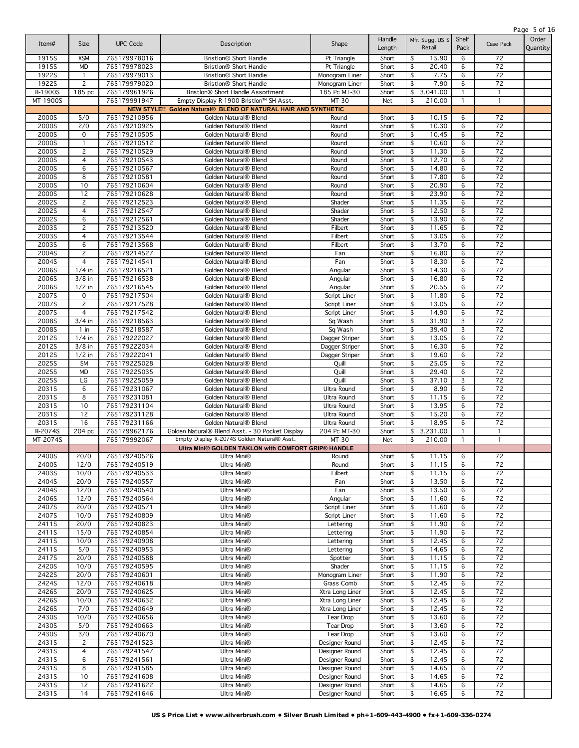| Item#    | Size           | <b>UPC Code</b> | Description                                                     | Shape              | Handle<br>Length | Mfr. Sugg. US \$<br>Retail | Shelf<br>Pack   | Case Pack       | Order<br>Quantity |
|----------|----------------|-----------------|-----------------------------------------------------------------|--------------------|------------------|----------------------------|-----------------|-----------------|-------------------|
| 1915S    | <b>XSM</b>     | 765179978016    | Bristlon® Short Handle                                          | Pt Triangle        | Short            | 15.90<br>\$                | 6               | 72              |                   |
| 1915S    | <b>MD</b>      | 765179978023    | Bristlon® Short Handle                                          | Pt Triangle        | Short            | \$<br>20.40                | 6               | $\overline{72}$ |                   |
| 1922S    | $\mathbf{1}$   | 765179979013    | Bristlon® Short Handle                                          | Monogram Liner     | Short            | \$<br>7.75                 | 6               | 72              |                   |
| 1922S    | $\overline{c}$ | 765179979020    | Bristlon® Short Handle                                          | Monogram Liner     | Short            | \$<br>7.90                 | 6               | 72              |                   |
| R-1900S  | 185 pc         | 765179961926    | Bristlon® Short Handle Assortment                               | 185 Pc MT-30       | Short            | 3,041.00<br>\$             | 1               | $\mathbf{1}$    |                   |
| MT-1900S |                | 765179991947    | Empty Display R-1900 Bristlon™ SH Asst.                         | MT-30              | Net              | \$<br>210.00               | 1               | $\mathbf{1}$    |                   |
|          |                |                 | NEW STYLE!! Golden Natural® BLEND OF NATURAL HAIR AND SYNTHETIC |                    |                  |                            |                 |                 |                   |
| 2000S    | 5/0            | 765179210956    | Golden Natural® Blend                                           | Round              | Short            | \$<br>10.15                | 6               | 72              |                   |
| 2000S    | 2/0            | 765179210925    | Golden Natural® Blend                                           | Round              | Short            | \$<br>10.30                | 6               | 72              |                   |
| 2000S    | $\mathsf{O}$   | 765179210505    | Golden Natural® Blend                                           | Round              | Short            | \$<br>10.45                | 6               | $\overline{72}$ |                   |
| 2000S    | $\mathbf{1}$   | 765179210512    | Golden Natural® Blend                                           | Round              | Short            | 10.60<br>\$                | 6               | 72              |                   |
| 2000S    | $\mathbf{2}$   | 765179210529    | Golden Natural® Blend                                           | Round              | Short            | \$<br>11.30                | 6               | $\overline{72}$ |                   |
| 2000S    | 4              | 765179210543    | Golden Natural® Blend                                           | Round              | Short            | 12.70<br>\$                | 6               | 72              |                   |
| 2000S    | 6              | 765179210567    | Golden Natural® Blend                                           | Round              | Short            | \$<br>14.80                | 6               | $\overline{72}$ |                   |
| 2000S    | 8              | 765179210581    | Golden Natural® Blend                                           | Round              | Short            | \$<br>17.80                | 6               | 72              |                   |
| 2000S    | 10             | 765179210604    | Golden Natural® Blend                                           | Round              | Short            | \$<br>20.90                | 6               | 72              |                   |
| 2000S    | 12             | 765179210628    | Golden Natural® Blend                                           | Round              | Short            | 23.90<br>\$                | 6               | 72              |                   |
| 2002S    | 2              | 765179212523    | Golden Natural® Blend                                           | Shader             | Short            | \$<br>11.35                | 6               | 72              |                   |
| 2002S    | 4              | 765179212547    | Golden Natural® Blend                                           | Shader             | Short            | \$<br>12.50                | 6               | 72              |                   |
| 2002S    | 6              | 765179212561    | Golden Natural® Blend                                           | Shader             | Short            | \$<br>13.90                | 6               | 72              |                   |
| 2003S    | 2              | 765179213520    | Golden Natural® Blend                                           | Filbert            | Short            | 11.65<br>\$                | 6               | 72              |                   |
| 2003S    | 4              | 765179213544    | Golden Natural® Blend                                           | Filbert            | Short            | 13.05<br>\$                | 6               | $\overline{72}$ |                   |
| 2003S    | 6              | 765179213568    | Golden Natural® Blend                                           | Filbert            | Short            | 13.70<br>\$                | 6               | 72              |                   |
| 2004S    | 2              | 765179214527    | Golden Natural® Blend                                           | Fan                | Short            | \$<br>16.80                | 6               | $\overline{72}$ |                   |
| 2004S    | 4              | 765179214541    | Golden Natural® Blend                                           | Fan                | Short            | 18.30<br>\$                | 6               | 72              |                   |
| 2006S    | $1/4$ in       | 765179216521    | Golden Natural® Blend                                           | Angular            | Short            | \$<br>14.30                | 6               | 72              |                   |
| 2006S    | $3/8$ in       | 765179216538    | Golden Natural® Blend                                           | Angular            | Short            | 16.80<br>\$                | 6               | 72              |                   |
| 2006S    | $1/2$ in       | 765179216545    | Golden Natural® Blend                                           | Angular            | Short            | \$<br>20.55                | 6               | 72              |                   |
| 2007S    | 0              | 765179217504    | Golden Natural® Blend                                           | Script Liner       | Short            | 11.80<br>\$                | 6               | 72              |                   |
| 2007S    | $\mathsf{2}$   | 765179217528    | Golden Natural® Blend                                           | Script Liner       | Short            | 13.05<br>\$                | 6               | 72              |                   |
| 2007S    | 4              | 765179217542    | Golden Natural® Blend                                           | Script Liner       | Short            | \$<br>14.90                | 6               | 72              |                   |
| 2008S    | $3/4$ in       | 765179218563    | Golden Natural® Blend                                           | Sq Wash            | Short            | 31.90<br>\$                | 3               | 72              |                   |
| 2008S    | 1 in           | 765179218587    | Golden Natural® Blend                                           | Sq Wash            | Short            | 39.40<br>\$                | 3               | 72              |                   |
| 2012S    | $1/4$ in       | 765179222027    | Golden Natural® Blend                                           | Dagger Striper     | Short            | \$<br>13.05                | $6\overline{6}$ | 72              |                   |
| 2012S    | $3/8$ in       | 765179222034    | Golden Natural® Blend                                           | Dagger Striper     | Short            | 16.30<br>\$                | 6               | 72              |                   |
| 2012S    | $1/2$ in       | 765179222041    | Golden Natural® Blend                                           | Dagger Striper     | Short            | \$<br>19.60                | $6\overline{6}$ | 72              |                   |
| 2025S    | <b>SM</b>      | 765179225028    | Golden Natural® Blend                                           | Quill              | Short            | 25.05<br>\$                | 6               | 72              |                   |
| 2025S    | <b>MD</b>      | 765179225035    | Golden Natural® Blend                                           | Quill              | Short            | 29.40<br>\$                | 6               | 72              |                   |
| 2025S    | LG             | 765179225059    | Golden Natural® Blend                                           | Quill              | Short            | \$<br>37.10                | 3               | 72              |                   |
| 2031S    | 6              | 765179231067    | Golden Natural® Blend                                           | Ultra Round        | Short            | 8.90<br>\$                 | $6\overline{6}$ | 72              |                   |
| 2031S    | 8              | 765179231081    | Golden Natural® Blend                                           | Ultra Round        | Short            | 11.15<br>\$                | 6               | 72              |                   |
| 2031S    | 10             | 765179231104    | Golden Natural® Blend                                           | <b>Ultra Round</b> | Short            | \$<br>13.95                | 6               | 72              |                   |
| 2031S    | 12             | 765179231128    | Golden Natural® Blend                                           | Ultra Round        | Short            | \$<br>15.20                | 6               | 72              |                   |
| 2031S    | 16             | 765179231166    | Golden Natural® Blend                                           | <b>Ultra Round</b> | Short            | \$<br>18.95                | 6               | $\overline{72}$ |                   |
| R-2074S  | 204 pc         | 765179962176    | Golden Natural® Blend Asst. - 30 Pocket Display                 | 204 Pc MT-30       | Short            | 3,231.00<br>\$             | $\mathbf{1}$    | $\mathbf{1}$    |                   |
| MT-2074S |                | 765179992067    | Empty Display R-2074S Golden Natural® Asst.                     | MT-30              | Net              | \$<br>210.00               | 1               | $\mathbf{1}$    |                   |
|          |                |                 | Ultra Mini® GOLDEN TAKLON with COMFORT GRIP® HANDLE             |                    |                  |                            |                 |                 |                   |
| 2400S    | 20/0           | 765179240526    | Ultra Mini®                                                     | Round              | Short            | \$<br>11.15                | 6               | 72              |                   |
| 2400S    | 12/0           | 765179240519    | Ultra Mini®                                                     | Round              | Short            | \$<br>11.15                | 6               | 72              |                   |
| 2403S    | 10/0           | 765179240533    | Ultra Mini®                                                     | Filbert            | Short            | \$<br>11.15                | 6               | 72              |                   |
| 2404S    | 20/0           | 765179240557    | Ultra Mini®                                                     | Fan                | Short            | 13.50<br>\$                | 6               | 72              |                   |
| 2404S    | 12/0           | 765179240540    | Ultra Mini®                                                     | Fan                | Short            | \$<br>13.50                | 6               | 72              |                   |
| 2406S    | 12/0           | 765179240564    | Ultra Mini®                                                     | Angular            | Short            | \$<br>11.60                | 6               | $\overline{72}$ |                   |
| 2407S    | 20/0           | 765179240571    | Ultra Mini®                                                     | Script Liner       | Short            | \$<br>11.60                | 6               | $\overline{72}$ |                   |
| 2407S    | 10/0           | 765179240809    | Ultra Mini®                                                     | Script Liner       | Short            | \$<br>11.60                | 6               | $\overline{72}$ |                   |
| 2411S    | 20/0           | 765179240823    | Ultra Mini®                                                     | Lettering          | Short            | \$<br>11.90                | 6               | $\overline{72}$ |                   |
| 2411S    | 15/0           | 765179240854    | Ultra Mini®                                                     | Lettering          | Short            | \$<br>11.90                | 6               | $\overline{72}$ |                   |
| 2411S    | 10/0           | 765179240908    | Ultra Mini®                                                     | Lettering          | Short            | \$<br>12.45                | 6               | $\overline{72}$ |                   |
| 2411S    | 5/0            | 765179240953    | Ultra Mini®                                                     | Lettering          | Short            | \$<br>14.65                | 6               | 72              |                   |
| 2417S    | 20/0           | 765179240588    | Ultra Mini®                                                     | Spotter            | Short            | \$<br>11.15                | 6               | 72              |                   |
| 2420S    | 10/0           | 765179240595    | Ultra Mini®                                                     | Shader             | Short            | \$<br>11.15                | 6               | 72              |                   |
| 2422S    | 20/0           | 765179240601    | Ultra Mini®                                                     | Monogram Liner     | Short            | \$<br>11.90                | 6               | 72              |                   |
| 2424S    | 12/0           | 765179240618    | Ultra Mini®                                                     | Grass Comb         | Short            | \$<br>12.45                | 6               | 72              |                   |
| 2426S    | 20/0           | 765179240625    | Ultra Mini®                                                     | Xtra Long Liner    | Short            | \$<br>12.45                | 6               | 72              |                   |
| 2426S    | 10/0           | 765179240632    | Ultra Mini®                                                     | Xtra Long Liner    | Short            | \$<br>12.45                | 6               | 72              |                   |
| 2426S    | 7/0            | 765179240649    | Ultra Mini®                                                     | Xtra Long Liner    | Short            | \$<br>12.45                | 6               | $\overline{72}$ |                   |
| 2430S    | 10/0           | 765179240656    | Ultra Mini®                                                     | Tear Drop          | Short            | \$<br>13.60                | 6               | $\overline{72}$ |                   |
| 2430S    | 5/0            | 765179240663    | Ultra Mini®                                                     | <b>Tear Drop</b>   | Short            | \$<br>13.60                | 6               | $\overline{72}$ |                   |
| 2430S    | 3/0            | 765179240670    | Ultra Mini®                                                     | Tear Drop          | Short            | \$<br>13.60                | 6               | $\overline{72}$ |                   |
| 2431S    | $\overline{c}$ | 765179241523    | Ultra Mini®                                                     | Designer Round     | Short            | \$<br>12.45                | 6               | $\overline{72}$ |                   |
| 2431S    | 4              | 765179241547    | Ultra Mini®                                                     | Designer Round     | Short            | \$<br>12.45                | 6               | $\overline{72}$ |                   |
| 2431S    | 6              | 765179241561    | Ultra Mini®                                                     | Designer Round     | Short            | \$<br>12.45                | 6               | 72              |                   |
| 2431S    | 8              | 765179241585    | Ultra Mini®                                                     | Designer Round     | Short            | \$<br>14.65                | 6               | 72              |                   |
| 2431S    | 10             | 765179241608    | Ultra Mini®                                                     | Designer Round     | Short            | \$<br>14.65                | 6               | 72              |                   |
| 2431S    | 12             | 765179241622    | Ultra Mini®                                                     | Designer Round     | Short            | \$<br>14.65                | 6               | 72              |                   |
| 2431S    | 14             | 765179241646    | Ultra Mini®                                                     | Designer Round     | Short            | \$<br>16.65                | 6               | 72              |                   |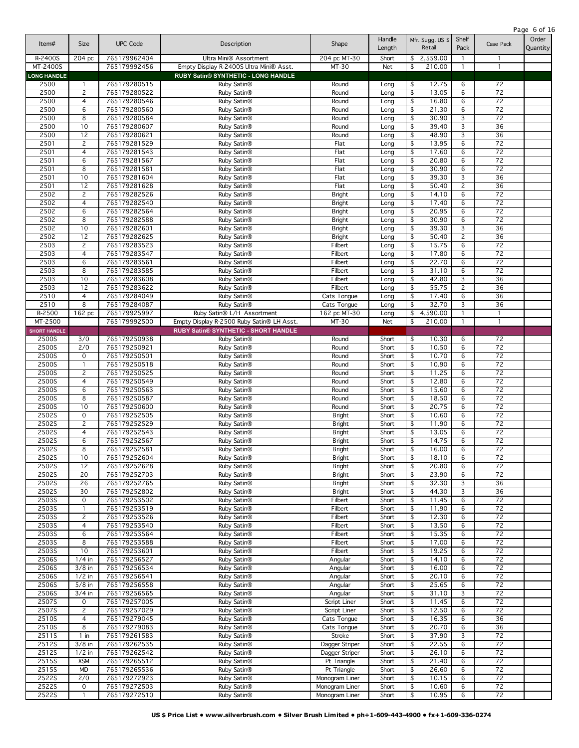| Item#                        | Size                 | <b>UPC Code</b>              | Description                                         | Shape                            | Handle<br>Length |          | Mfr. Sugg. US \$<br>Retail | Shelf<br>Pack       | Case Pack    | Order<br>Quantity |
|------------------------------|----------------------|------------------------------|-----------------------------------------------------|----------------------------------|------------------|----------|----------------------------|---------------------|--------------|-------------------|
| R-2400S                      | 204 pc               | 765179962404                 | Ultra Mini® Assortment                              | 204 pc MT-30                     | Short            | \$       | 2,559.00                   | 1                   |              |                   |
| MT-2400S                     |                      | 765179992456                 | Empty Display R-2400S Ultra Mini® Asst.             | MT-30                            | Net              | \$       | 210.00                     | $\mathbf{1}$        | $\mathbf{1}$ |                   |
| <b>LONG HANDLE</b><br>2500   | $\mathbf{1}$         | 765179280515                 | RUBY Satin® SYNTHETIC - LONG HANDLE<br>Ruby Satin®  | Round                            | Long             | \$       | 12.75                      | 6                   | 72           |                   |
| 2500                         | $\overline{c}$       | 765179280522                 | Ruby Satin®                                         | Round                            | Long             | \$       | 13.05                      | 6                   | 72           |                   |
| 2500                         | 4                    | 765179280546                 | Ruby Satin®                                         | Round                            | Long             | \$       | 16.80                      | 6                   | 72           |                   |
| 2500                         | 6                    | 765179280560                 | Ruby Satin®                                         | Round                            | Long             | \$       | 21.30                      | 6                   | 72           |                   |
| 2500<br>2500                 | 8<br>10              | 765179280584<br>765179280607 | Ruby Satin®<br>Ruby Satin®                          | Round<br>Round                   | Long<br>Long     | \$<br>\$ | 30.90<br>39.40             | $\overline{3}$<br>3 | 72<br>36     |                   |
| 2500                         | 12                   | 765179280621                 | Ruby Satin®                                         | Round                            | Long             | \$       | 48.90                      | $\overline{3}$      | 36           |                   |
| 2501                         | $\overline{c}$       | 765179281529                 | Ruby Satin®                                         | Flat                             | Long             | \$       | 13.95                      | 6                   | 72           |                   |
| 2501                         | $\overline{4}$       | 765179281543                 | Ruby Satin®                                         | Flat                             | Long             | \$       | 17.60                      | $6\overline{6}$     | 72           |                   |
| 2501                         | 6                    | 765179281567                 | Ruby Satin®                                         | Flat                             | Long             | \$       | 20.80                      | 6                   | 72           |                   |
| 2501<br>2501                 | 8<br>10              | 765179281581<br>765179281604 | Ruby Satin®<br>Ruby Satin®                          | Flat<br>Flat                     | Long<br>Long     | \$<br>\$ | 30.90<br>39.30             | 6<br>3              | 72<br>36     |                   |
| 2501                         | 12                   | 765179281628                 | Ruby Satin®                                         | Flat                             | Long             | \$       | 50.40                      | $\overline{c}$      | 36           |                   |
| 2502                         | $\overline{c}$       | 765179282526                 | Ruby Satin®                                         | <b>Bright</b>                    | Long             | \$       | 14.10                      | 6                   | 72           |                   |
| 2502                         | 4                    | 765179282540                 | Ruby Satin®                                         | <b>Bright</b>                    | Long             | \$       | 17.40                      | 6                   | 72           |                   |
| 2502                         | 6                    | 765179282564                 | Ruby Satin®                                         | <b>Bright</b>                    | Long             | \$       | 20.95                      | 6                   | 72           |                   |
| 2502<br>2502                 | 8<br>10              | 765179282588<br>765179282601 | Ruby Satin®<br>Ruby Satin®                          | <b>Bright</b>                    | Long             | \$<br>\$ | 30.90<br>39.30             | 6<br>3              | 72<br>36     |                   |
| 2502                         | 12                   | 765179282625                 | Ruby Satin®                                         | <b>Bright</b><br><b>Bright</b>   | Long<br>Long     | \$       | 50.40                      | $\overline{c}$      | 36           |                   |
| 2503                         | $\overline{c}$       | 765179283523                 | Ruby Satin®                                         | Filbert                          | Long             | \$       | 15.75                      | 6                   | 72           |                   |
| 2503                         | $\overline{4}$       | 765179283547                 | Ruby Satin®                                         | Filbert                          | Long             | \$       | 17.80                      | 6                   | 72           |                   |
| 2503                         | 6                    | 765179283561                 | Ruby Satin®                                         | Filbert                          | Long             | \$       | 22.70                      | 6                   | 72           |                   |
| 2503                         | 8                    | 765179283585                 | Ruby Satin®                                         | Filbert                          | Long             | \$       | 31.10                      | 6                   | 72           |                   |
| 2503<br>2503                 | 10<br>12             | 765179283608<br>765179283622 | Ruby Satin®<br>Ruby Satin®                          | Filbert<br>Filbert               | Long<br>Long     | \$<br>\$ | 42.80<br>55.75             | 3<br>$\overline{c}$ | 36<br>36     |                   |
| 2510                         | 4                    | 765179284049                 | Ruby Satin®                                         | Cats Tongue                      | Long             | \$       | 17.40                      | 6                   | 36           |                   |
| 2510                         | 8                    | 765179284087                 | Ruby Satin®                                         | Cats Tongue                      | Long             | \$       | 32.70                      | 3                   | 36           |                   |
| R-2500                       | 162 pc               | 765179925997                 | Ruby Satin® L/H Assortment                          | 162 pc MT-30                     | Long             | \$       | 4,590.00                   | $\mathbf{1}$        | 1            |                   |
| MT-2500                      |                      | 765179992500                 | Empty Display R-2500 Ruby Satin® LH Asst.           | MT-30                            | Net              | \$       | 210.00                     | $\mathbf{1}$        | $\mathbf{1}$ |                   |
| <b>SHORT HANDLE</b><br>2500S |                      | 765179250938                 | RUBY Satin® SYNTHETIC - SHORT HANDLE<br>Ruby Satin® | Round                            |                  |          |                            |                     | 72           |                   |
| 2500S                        | 3/0<br>2/0           | 765179250921                 | Ruby Satin®                                         | Round                            | Short<br>Short   | \$<br>\$ | 10.30<br>10.50             | 6<br>6              | 72           |                   |
| 2500S                        | 0                    | 765179250501                 | Ruby Satin®                                         | Round                            | Short            | \$       | 10.70                      | $6\overline{6}$     | 72           |                   |
| 2500S                        | $\mathbf{1}$         | 765179250518                 | Ruby Satin®                                         | Round                            | Short            | \$       | 10.90                      | 6                   | 72           |                   |
| 2500S                        | $\overline{c}$       | 765179250525                 | Ruby Satin®                                         | Round                            | Short            | \$       | 11.25                      | 6                   | 72           |                   |
| 2500S                        | $\overline{4}$       | 765179250549                 | Ruby Satin®                                         | Round                            | Short            | \$<br>\$ | 12.80<br>15.60             | 6<br>6              | 72<br>72     |                   |
| 2500S<br>2500S               | 6<br>8               | 765179250563<br>765179250587 | Ruby Satin®<br>Ruby Satin®                          | Round<br>Round                   | Short<br>Short   | \$       | 18.50                      | 6                   | 72           |                   |
| 2500S                        | 10                   | 765179250600                 | Ruby Satin®                                         | Round                            | Short            | \$       | 20.75                      | 6                   | 72           |                   |
| 2502S                        | 0                    | 765179252505                 | Ruby Satin®                                         | <b>Bright</b>                    | Short            | \$       | 10.60                      | 6                   | 72           |                   |
| 2502S                        | $\overline{c}$       | 765179252529                 | Ruby Satin®                                         | <b>Bright</b>                    | Short            | \$       | 11.90                      | 6                   | 72           |                   |
| 2502S<br>2502S               | 4<br>6               | 765179252543<br>765179252567 | Ruby Satin®<br>Ruby Satin®                          | <b>Bright</b><br><b>Bright</b>   | Short<br>Short   | \$<br>\$ | 13.05<br>14.75             | 6<br>6              | 72<br>72     |                   |
| 2502S                        | 8                    | 765179252581                 | Ruby Satin®                                         | Bright                           | Short            | \$       | 16.00                      | 6                   | 72           |                   |
| 2502S                        | 10                   | 765179252604                 | Ruby Satin®                                         | <b>Bright</b>                    | Short            | \$       | 18.10                      | $6\overline{6}$     | 72           |                   |
| 2502S                        | 12                   | 765179252628                 | Ruby Satin®                                         | <b>Bright</b>                    | Short            | \$       | 20.80                      | 6                   | 72           |                   |
| 2502S                        | 20                   | 765179252703                 | Ruby Satin®                                         | <b>Bright</b>                    | Short            | \$       | 23.90                      | 6                   | 72           |                   |
| 2502S                        | 26                   | 765179252765                 | Ruby Satin®                                         | <b>Bright</b>                    | Short            | \$       | 32.30                      | 3<br>3              | 36           |                   |
| 2502S<br>2503S               | 30<br>0              | 765179252802<br>765179253502 | Ruby Satin®<br>Ruby Satin®                          | <b>Bright</b><br>Filbert         | Short<br>Short   | \$<br>\$ | 44.30<br>11.45             | 6                   | 36<br>72     |                   |
| 2503S                        | $\mathbf{1}$         | 765179253519                 | Ruby Satin®                                         | Filbert                          | Short            | \$       | 11.90                      | 6                   | 72           |                   |
| 2503S                        | $\overline{c}$       | 765179253526                 | Ruby Satin®                                         | Filbert                          | Short            | \$       | 12.30                      | 6                   | 72           |                   |
| 2503S                        | 4                    | 765179253540                 | Ruby Satin®                                         | Filbert                          | Short            | \$       | 13.50                      | 6                   | 72           |                   |
| 2503S<br>2503S               | 6<br>8               | 765179253564<br>765179253588 | Ruby Satin®<br>Ruby Satin®                          | Filbert<br>Filbert               | Short<br>Short   | \$<br>\$ | 15.35<br>17.00             | 6<br>6              | 72<br>72     |                   |
| 2503S                        | 10                   | 765179253601                 | Ruby Satin®                                         | Filbert                          | Short            | \$       | 19.25                      | 6                   | 72           |                   |
| 2506S                        | $1/4$ in             | 765179256527                 | Ruby Satin®                                         | Angular                          | Short            | \$       | 14.10                      | 6                   | 72           |                   |
| 2506S                        | $3/8$ in             | 765179256534                 | Ruby Satin®                                         | Angular                          | Short            | \$       | 16.00                      | 6                   | 72           |                   |
| 2506S                        | $1/2$ in             | 765179256541                 | Ruby Satin®                                         | Angular                          | Short            | \$       | 20.10                      | 6                   | 72           |                   |
| 2506S<br>2506S               | $5/8$ in<br>$3/4$ in | 765179256558<br>765179256565 | Ruby Satin®<br>Ruby Satin®                          | Angular<br>Angular               | Short<br>Short   | \$<br>\$ | 25.65<br>31.10             | 6<br>3              | 72<br>72     |                   |
| 2507S                        | 0                    | 765179257005                 | Ruby Satin®                                         | Script Liner                     | Short            | \$       | 11.45                      | 6                   | 72           |                   |
| 2507S                        | $\overline{c}$       | 765179257029                 | Ruby Satin®                                         | Script Liner                     | Short            | \$       | 12.50                      | 6                   | 72           |                   |
| 2510S                        | 4                    | 765179279045                 | Ruby Satin®                                         | Cats Tongue                      | Short            | \$       | 16.35                      | 6                   | 36           |                   |
| 2510S                        | 8                    | 765179279083                 | Ruby Satin®                                         | Cats Tongue                      | Short            | \$       | 20.70                      | 6                   | 36           |                   |
| 2511S<br>2512S               | 1 in<br>$3/8$ in     | 765179261583<br>765179262535 | Ruby Satin®<br>Ruby Satin®                          | Stroke<br>Dagger Striper         | Short<br>Short   | \$<br>\$ | 37.90<br>22.55             | 3<br>6              | 72<br>72     |                   |
| 2512S                        | $1/2$ in             | 765179262542                 | Ruby Satin®                                         | Dagger Striper                   | Short            | \$       | 26.10                      | 6                   | 72           |                   |
| 2515S                        | <b>XSM</b>           | 765179265512                 | Ruby Satin®                                         | Pt Triangle                      | Short            | \$       | 21.40                      | 6                   | 72           |                   |
| 2515S                        | MD                   | 765179265536                 | Ruby Satin®                                         | Pt Triangle                      | Short            | \$       | 26.60                      | 6                   | 72           |                   |
| 2522S                        | 2/0                  | 765179272923                 | Ruby Satin®                                         | Monogram Liner                   | Short            | \$       | 10.15                      | 6                   | 72<br>72     |                   |
| 2522S<br>2522S               | 0<br>$\mathbf{1}$    | 765179272503<br>765179272510 | Ruby Satin®<br>Ruby Satin®                          | Monogram Liner<br>Monogram Liner | Short<br>Short   | \$<br>\$ | 10.60<br>10.95             | 6<br>6              | 72           |                   |
|                              |                      |                              |                                                     |                                  |                  |          |                            |                     |              |                   |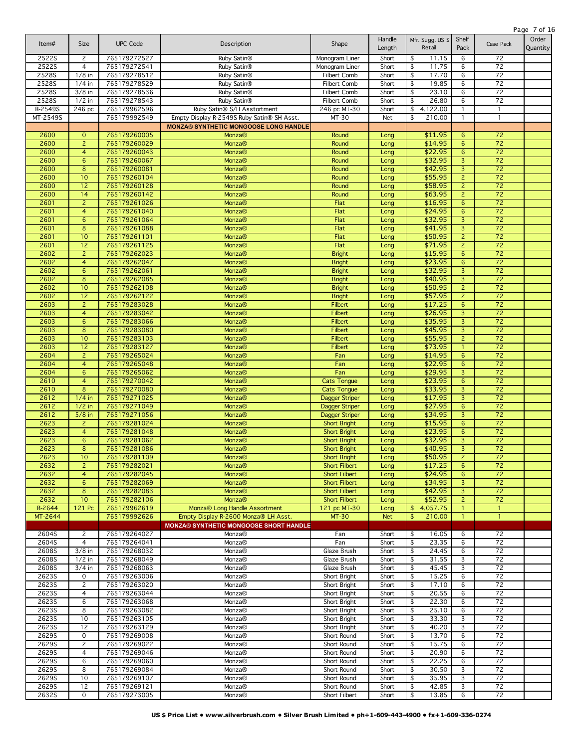| Item#    | Size             | <b>UPC Code</b> | Description                                   | Shape                 | Handle<br>Length | Mfr. Sugg. US \$<br>Retail | Shelf<br>Pack    | Case Pack       | Order<br>Quantity |
|----------|------------------|-----------------|-----------------------------------------------|-----------------------|------------------|----------------------------|------------------|-----------------|-------------------|
| 2522S    | $\overline{c}$   | 765179272527    | Ruby Satin®                                   | Monogram Liner        | Short            | \$<br>11.15                | 6                | 72              |                   |
| 2522S    | $\overline{4}$   | 765179272541    | Ruby Satin®                                   | Monogram Liner        | Short            | \$<br>11.75                | 6                | 72              |                   |
| 2528S    | $1/8$ in         | 765179278512    | Ruby Satin®                                   | Filbert Comb          | Short            | \$<br>17.70                | 6                | $\overline{72}$ |                   |
| 2528S    | $1/4$ in         | 765179278529    | Ruby Satin®                                   | Filbert Comb          | Short            | \$<br>19.85                | 6                | $\overline{72}$ |                   |
| 2528S    | $3/8$ in         | 765179278536    | Ruby Satin®                                   | Filbert Comb          | Short            | \$<br>23.10                | 6                | $\overline{72}$ |                   |
| 2528S    | $1/2$ in         | 765179278543    | Ruby Satin®                                   | Filbert Comb          | Short            | \$<br>26.80                | 6                | $\overline{72}$ |                   |
| R-2549S  | 246 pc           | 765179962596    | Ruby Satin® S/H Asstortment                   | 246 pc MT-30          | Short            | 4,122.00<br>\$             | $\mathbf{1}$     | $\mathbf{1}$    |                   |
| MT-2549S |                  | 765179992549    | Empty Display R-2549S Ruby Satin® SH Asst.    | MT-30                 | Net              | \$<br>210.00               | 1                | $\mathbf{1}$    |                   |
|          |                  |                 |                                               |                       |                  |                            |                  |                 |                   |
|          |                  |                 | <b>MONZA® SYNTHETIC MONGOOSE LONG HANDLE</b>  |                       |                  |                            |                  |                 |                   |
| 2600     | $\mathbf 0$      | 765179260005    | Monza®                                        | Round                 | Long             | \$11.95                    | 6                | 72              |                   |
| 2600     | $\overline{2}$   | 765179260029    | Monza®                                        | Round                 | Long             | \$14.95                    | $6\phantom{1}$   | 72              |                   |
| 2600     | $\overline{4}$   | 765179260043    | Monza®                                        | Round                 | Long             | \$22.95                    | 6                | 72              |                   |
| 2600     | 6                | 765179260067    | Monza®                                        | Round                 | Long             | \$32.95                    | 3                | 72              |                   |
| 2600     | $\bf 8$          | 765179260081    | <b>Monza®</b>                                 | Round                 | Long             | \$42.95                    | 3                | $\overline{72}$ |                   |
| 2600     | 10               | 765179260104    | Monza®                                        | Round                 | Long             | \$55.95                    | $\overline{c}$   | $\overline{72}$ |                   |
| 2600     | 12               | 765179260128    | Monza®                                        | Round                 | Long             | \$58.95                    | $\overline{c}$   | $\overline{72}$ |                   |
| 2600     | 14               | 765179260142    | Monza®                                        | Round                 | Long             | \$63.95                    | $\overline{c}$   | 72              |                   |
| 2601     | $\overline{c}$   | 765179261026    | Monza®                                        | Flat                  | Long             | \$16.95                    | $6\phantom{a}$   | $\overline{72}$ |                   |
| 2601     | $\overline{4}$   | 765179261040    | Monza®                                        | Flat                  | Long             | \$24.95                    | $6\phantom{a}$   | $\overline{72}$ |                   |
| 2601     | 6                | 765179261064    | Monza®                                        | Flat                  | Long             | \$32.95                    | 3                | 72              |                   |
| 2601     | $\overline{8}$   | 765179261088    | <b>Monza®</b>                                 | Flat                  | Long             | \$41.95                    | 3                | 72              |                   |
| 2601     | 10               | 765179261101    | <b>Monza®</b>                                 | Flat                  |                  | \$50.95                    | $\overline{2}$   | 72              |                   |
|          |                  |                 |                                               |                       | Long             |                            |                  | 72              |                   |
| 2601     | 12               | 765179261125    | Monza®                                        | Flat                  | Long             | \$71.95                    | $\overline{2}$   |                 |                   |
| 2602     | $\overline{2}$   | 765179262023    | <b>Monza®</b>                                 | <b>Bright</b>         | Long             | \$15.95                    | $6\overline{6}$  | 72              |                   |
| 2602     | $\overline{4}$   | 765179262047    | <b>Monza®</b>                                 | <b>Bright</b>         | Long             | \$23.95                    | $6 \overline{6}$ | 72              |                   |
| 2602     | $6\phantom{1}$   | 765179262061    | <b>Monza®</b>                                 | <b>Bright</b>         | Long             | \$32.95                    | $\overline{3}$   | $\overline{72}$ |                   |
| 2602     | $\bf8$           | 765179262085    | <b>Monza®</b>                                 | <b>Bright</b>         | Long             | \$40.95                    | 3                | 72              |                   |
| 2602     | 10               | 765179262108    | <b>Monza®</b>                                 | <b>Bright</b>         | Long             | \$50.95                    | $\overline{c}$   | 72              |                   |
| 2602     | 12               | 765179262122    | <b>Monza®</b>                                 | <b>Bright</b>         | Long             | \$57.95                    | $\overline{c}$   | 72              |                   |
| 2603     | $\overline{c}$   | 765179283028    | <b>Monza®</b>                                 | Filbert               | Long             | \$17.25                    | $\sqrt{6}$       | $\overline{72}$ |                   |
| 2603     | $\overline{4}$   | 765179283042    | <b>Monza®</b>                                 | <b>Filbert</b>        | Long             | \$26.95                    | 3                | 72              |                   |
| 2603     | $6\phantom{1}6$  | 765179283066    | <b>Monza®</b>                                 | Filbert               | Long             | \$35.95                    | $\overline{3}$   | 72              |                   |
| 2603     | 8                | 765179283080    | <b>Monza®</b>                                 | <b>Filbert</b>        | Long             | \$45.95                    | 3                | 72              |                   |
| 2603     | 10               | 765179283103    | <b>Monza®</b>                                 | Filbert               | Long             | \$55.95                    | $\overline{2}$   | 72              |                   |
| 2603     | 12               | 765179283127    | <b>Monza®</b>                                 | <b>Filbert</b>        | Long             | \$73.95                    | $\mathbf{1}$     | 72              |                   |
| 2604     | $\overline{2}$   |                 |                                               |                       |                  |                            | $\overline{6}$   | 72              |                   |
|          |                  | 765179265024    | <b>Monza®</b>                                 | Fan                   | Long             | \$14.95                    |                  |                 |                   |
| 2604     | $\overline{4}$   | 765179265048    | <b>Monza®</b>                                 | Fan                   | Long             | \$22.95                    | $6\phantom{1}$   | 72              |                   |
| 2604     | $6\phantom{1}$   | 765179265062    | <b>Monza®</b>                                 | Fan                   | Long             | \$29.95                    | $\overline{3}$   | 72              |                   |
| 2610     | $\overline{4}$   | 765179270042    | Monza®                                        | <b>Cats Tongue</b>    | Long             | \$23.95                    | $6\phantom{a}$   | 72              |                   |
| 2610     | $\boldsymbol{8}$ | 765179270080    | Monza®                                        | <b>Cats Tongue</b>    | Long             | \$33.95                    | $\overline{3}$   | 72              |                   |
| 2612     | $1/4$ in         | 765179271025    | Monza®                                        | Dagger Striper        | Long             | \$17.95                    | 3                | $\overline{72}$ |                   |
| 2612     | $1/2$ in         | 765179271049    | Monza®                                        | <b>Dagger Striper</b> | Long             | \$27.95                    | $6\phantom{a}$   | 72              |                   |
| 2612     | $5/8$ in         | 765179271056    | Monza®                                        | Dagger Striper        | Long             | \$34.95                    | 3                | 72              |                   |
| 2623     | $\overline{2}$   | 765179281024    | Monza®                                        | <b>Short Bright</b>   | Long             | \$15.95                    | $6\phantom{a}$   | 72              |                   |
| 2623     | $\overline{4}$   | 765179281048    | Monza®                                        | <b>Short Bright</b>   | Long             | \$23.95                    | $6\overline{6}$  | 72              |                   |
| 2623     | $6\phantom{1}6$  | 765179281062    | Monza®                                        | <b>Short Bright</b>   | Long             | \$32.95                    | $\overline{3}$   | 72              |                   |
| 2623     | 8                | 765179281086    | Monza®                                        | <b>Short Bright</b>   | Long             | \$40.95                    | 3                | 72              |                   |
| 2623     | 10               | 765179281109    | <b>Monza®</b>                                 | <b>Short Bright</b>   | Long             | \$50.95                    | $\overline{2}$   | 72              |                   |
| 2632     | $\mathbf{2}$     | 765179282021    | <b>Monza®</b>                                 | <b>Short Filbert</b>  | Long             | \$17.25                    | 6                | 72              |                   |
| 2632     | $\overline{4}$   | 765179282045    | <b>Monza®</b>                                 | <b>Short Filbert</b>  | Long             | \$24.95                    | 6                | 72              |                   |
| 2632     | 6                | 765179282069    | Monza®                                        | <b>Short Filbert</b>  | Long             | \$34.95                    | 3                | 72              |                   |
|          | 8                |                 | <b>Monza®</b>                                 | <b>Short Filbert</b>  |                  | \$42.95                    | 3                | 72              |                   |
| 2632     |                  | 765179282083    |                                               |                       | Long             | \$52.95                    |                  |                 |                   |
| 2632     | 10               | 765179282106    | <b>Monza®</b>                                 | <b>Short Filbert</b>  | Long             |                            | $\overline{2}$   | 72              |                   |
| R-2644   | 121 Pc           | 765179962619    | Monza® Long Handle Assortment                 | 121 pc MT-30          | Long             | 4,057.75<br>\$             | $\mathbf{1}$     | $\mathbf{1}$    |                   |
| MT-2644  |                  | 765179992626    | Empty Display R-2600 Monza® LH Asst.          | <b>MT-30</b>          | <b>Net</b>       | 210.00<br>\$               | $\mathbf{1}$     | $\mathbf{1}$    |                   |
|          |                  |                 | <b>MONZA® SYNTHETIC MONGOOSE SHORT HANDLE</b> |                       |                  |                            |                  |                 |                   |
| 2604S    | $\overline{c}$   | 765179264027    | Monza®                                        | Fan                   | Short            | 16.05<br>\$                | 6                | 72              |                   |
| 2604S    | $\overline{4}$   | 765179264041    | Monza®                                        | Fan                   | Short            | \$<br>23.35                | 6                | 72              |                   |
| 2608S    | $3/8$ in         | 765179268032    | Monza®                                        | Glaze Brush           | Short            | \$<br>24.45                | 6                | 72              |                   |
| 2608S    | $1/2$ in         | 765179268049    | Monza®                                        | Glaze Brush           | Short            | 31.55<br>\$                | 3                | 72              |                   |
| 2608S    | $3/4$ in         | 765179268063    | Monza®                                        | Glaze Brush           | Short            | 45.45<br>\$                | 3                | 72              |                   |
| 2623S    | 0                | 765179263006    | Monza®                                        | Short Bright          | Short            | \$<br>15.25                | 6                | 72              |                   |
| 2623S    | $\overline{c}$   | 765179263020    | Monza®                                        | Short Bright          | Short            | \$<br>17.10                | 6                | 72              |                   |
| 2623S    | $\overline{4}$   | 765179263044    | Monza®                                        | Short Bright          | Short            | \$<br>20.55                | 6                | 72              |                   |
| 2623S    | 6                | 765179263068    | Monza®                                        | Short Bright          | Short            | \$<br>22.30                | 6                | 72              |                   |
| 2623S    | 8                | 765179263082    | Monza®                                        | Short Bright          | Short            | \$<br>25.10                | 6                | 72              |                   |
| 2623S    | 10               | 765179263105    | Monza®                                        | Short Bright          |                  | \$                         | 3                | 72              |                   |
|          |                  |                 |                                               |                       | Short            | 33.30                      |                  |                 |                   |
| 2623S    | 12               | 765179263129    | Monza®                                        | Short Bright          | Short            | \$<br>40.20                | 3                | 72              |                   |
| 2629S    | 0                | 765179269008    | Monza®                                        | Short Round           | Short            | \$<br>13.70                | 6                | 72              |                   |
| 2629S    | $\overline{c}$   | 765179269022    | Monza®                                        | Short Round           | Short            | \$<br>15.75                | 6                | 72              |                   |
| 2629S    | 4                | 765179269046    | Monza®                                        | Short Round           | Short            | \$<br>20.90                | 6                | 72              |                   |
| 2629S    | 6                | 765179269060    | Monza®                                        | Short Round           | Short            | \$<br>22.25                | 6                | 72              |                   |
| 2629S    | 8                | 765179269084    | Monza®                                        | Short Round           | Short            | \$<br>30.50                | 3                | 72              |                   |
| 2629S    | 10               | 765179269107    | Monza®                                        | Short Round           | Short            | 35.95<br>\$                | 3                | 72              |                   |
| 2629S    | 12               | 765179269121    | Monza®                                        | Short Round           | Short            | \$<br>42.85                | 3                | 72              |                   |
| 2632S    | $\mathsf{O}$     | 765179273005    | Monza®                                        | Short Filbert         | Short            | 13.85<br>\$                | 6                | 72              |                   |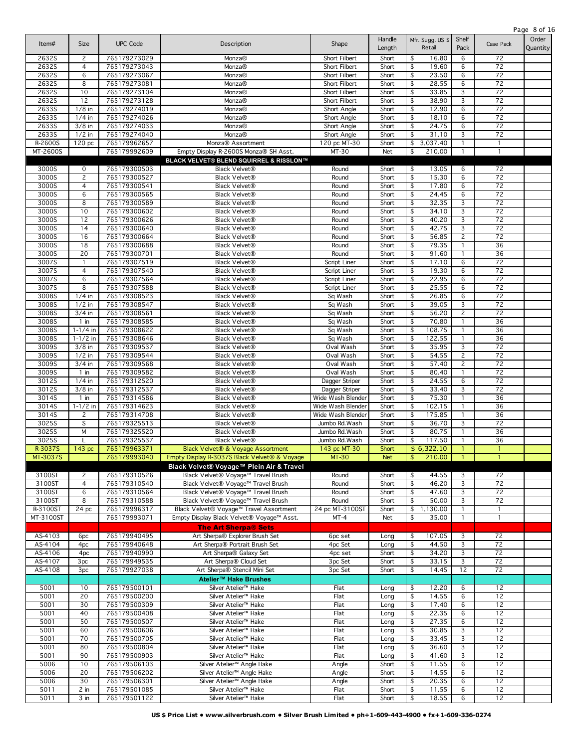|                  |                |                              |                                                                          |                              |                  |                            |                |                | Page 8 of 16      |
|------------------|----------------|------------------------------|--------------------------------------------------------------------------|------------------------------|------------------|----------------------------|----------------|----------------|-------------------|
| Item#            | Size           | <b>UPC Code</b>              | Description                                                              | Shape                        | Handle<br>Length | Mfr. Sugg. US \$<br>Retail | Shelf<br>Pack  | Case Pack      | Order<br>Quantity |
| 2632S            | 2              | 765179273029                 | Monza®                                                                   | Short Filbert                | Short            | 16.80<br>\$                | 6              | 72             |                   |
| 2632S            | 4              | 765179273043                 | Monza®                                                                   | Short Filbert                | Short            | \$<br>19.60                | 6              | 72             |                   |
| 2632S            | 6              | 765179273067                 | Monza®                                                                   | Short Filbert                | Short            | \$<br>23.50                | 6              | 72             |                   |
| 2632S            | 8              | 765179273081                 | Monza®                                                                   | Short Filbert                | Short            | \$<br>28.55                | 6              | 72             |                   |
| 2632S            | 10             | 765179273104                 | Monza®                                                                   | Short Filbert                | Short            | \$<br>33.85                | 3              | 72             |                   |
| 2632S            | 12             | 765179273128                 | Monza®                                                                   | Short Filbert                | Short            | \$<br>38.90                | 3              | 72             |                   |
| 2633S            | $1/8$ in       | 765179274019                 | Monza®                                                                   | Short Angle                  | Short            | \$<br>12.90                | 6              | 72             |                   |
| 2633S            | $1/4$ in       | 765179274026                 | Monza®                                                                   | Short Angle                  | Short            | \$<br>18.10                | 6              | 72             |                   |
| 2633S            | $3/8$ in       | 765179274033                 | Monza®                                                                   | Short Angle                  | Short            | 24.75<br>\$                | 6              | 72             |                   |
| 2633S            | $1/2$ in       | 765179274040                 | Monza®                                                                   | Short Angle                  | Short            | \$<br>31.10                | 3              | 72             |                   |
| R-2600S          | 120 pc         | 765179962657                 | Monza® Assortment                                                        | 120 pc MT-30                 | Short            | 3,037.40<br>\$             | 1              | $\mathbf{1}$   |                   |
| MT-2600S         |                | 765179992609                 | Empty Display R-2600S Monza® SH Asst.                                    | MT-30                        | Net              | 210.00<br>\$               | $\mathbf{1}$   | $\mathbf{1}$   |                   |
|                  |                |                              | BLACK VELVET® BLEND SQUIRREL & RISSLON™                                  |                              |                  |                            |                |                |                   |
| 3000S            | 0              | 765179300503                 | <b>Black Velvet®</b>                                                     | Round                        | Short            | \$<br>13.05                | 6              | 72             |                   |
| 3000S            | 2              | 765179300527                 | <b>Black Velvet®</b>                                                     | Round                        | Short            | \$<br>15.30                | 6              | 72             |                   |
| 3000S            | 4              | 765179300541                 | <b>Black Velvet®</b>                                                     | Round                        | Short            | \$<br>17.80                | 6              | 72             |                   |
| 3000S            | 6              | 765179300565                 | <b>Black Velvet®</b>                                                     | Round                        | Short            | \$<br>24.45                | 6              | 72             |                   |
| 3000S            | 8              | 765179300589                 | <b>Black Velvet®</b>                                                     | Round                        | Short            | \$<br>32.35                | 3              | 72             |                   |
| 3000S            | 10             | 765179300602                 | <b>Black Velvet®</b>                                                     | Round                        | Short            | \$<br>34.10                | 3              | 72             |                   |
| 3000S            | 12             | 765179300626                 | <b>Black Velvet®</b>                                                     | Round                        | Short            | \$<br>40.20                | 3              | 72             |                   |
| 3000S            | 14             | 765179300640                 | <b>Black Velvet®</b>                                                     | Round                        | Short            | 42.75<br>\$                | 3              | 72             |                   |
| 3000S            | 16             | 765179300664                 | <b>Black Velvet®</b>                                                     | Round                        | Short            | \$<br>56.85                | $\overline{c}$ | 72             |                   |
| 3000S            | 18             | 765179300688                 | <b>Black Velvet®</b>                                                     | Round                        | Short            | 79.35<br>\$                |                | 36             |                   |
| 3000S            | 20             | 765179300701                 | <b>Black Velvet®</b>                                                     | Round                        | Short            | \$<br>91.60                |                | 36             |                   |
| 3007S            | $\mathbf{1}$   | 765179307519                 | <b>Black Velvet®</b>                                                     | Script Liner                 | Short            | 17.10<br>\$                | 6              | 72             |                   |
| 3007S            | 4              | 765179307540                 | <b>Black Velvet®</b>                                                     | Script Liner                 | Short            | \$<br>19.30                | 6              | 72             |                   |
| 3007S            | 6              | 765179307564                 | <b>Black Velvet®</b>                                                     | Script Liner                 | Short            | \$<br>22.95                | 6              | 72             |                   |
| 3007S            | 8              | 765179307588                 | <b>Black Velvet®</b>                                                     | Script Liner                 | Short            | \$<br>25.55                | 6              | 72             |                   |
| 3008S            | $1/4$ in       | 765179308523                 | <b>Black Velvet®</b>                                                     | Sq Wash                      | Short            | \$<br>26.85                | 6              | 72             |                   |
| 3008S            | $1/2$ in       | 765179308547                 | <b>Black Velvet®</b>                                                     | Sq Wash                      | Short            | \$<br>39.05                | 3              | 72             |                   |
| 3008S            | $3/4$ in       | 765179308561                 | <b>Black Velvet®</b>                                                     | Sq Wash                      | Short            | \$<br>56.20                | 2              | 72             |                   |
| 3008S            | $1$ in         | 765179308585                 | <b>Black Velvet®</b>                                                     | Sq Wash                      | Short            | \$<br>70.80                | 1              | 36             |                   |
| 3008S            | $1 - 1/4$ in   | 765179308622                 | <b>Black Velvet®</b>                                                     | Sq Wash                      | Short            | 108.75<br>\$               | 1              | 36             |                   |
| 3008S            | $1 - 1/2$ in   | 765179308646                 | <b>Black Velvet®</b>                                                     | Sq Wash                      | Short            | \$<br>122.55               | 1              | 36             |                   |
| 3009S            | $3/8$ in       | 765179309537                 | <b>Black Velvet®</b>                                                     | Oval Wash                    | Short            | 35.95<br>\$                | 3              | 72             |                   |
| 3009S            | $1/2$ in       | 765179309544                 | <b>Black Velvet®</b>                                                     | Oval Wash                    | Short            | \$<br>54.55                | 2              | 72             |                   |
| 3009S            | $3/4$ in       | 765179309568                 | <b>Black Velvet®</b>                                                     | Oval Wash                    | Short            | 57.40<br>\$                | 2              | 72             |                   |
| 3009S            | $1$ in         | 765179309582                 | <b>Black Velvet®</b>                                                     | Oval Wash                    | Short            | \$<br>80.40                | 1              | 72             |                   |
| 3012S            | $1/4$ in       | 765179312520                 | <b>Black Velvet®</b>                                                     | Dagger Striper               | Short            | 24.55<br>\$                | 6              | 72             |                   |
| 3012S            | $3/8$ in       | 765179312537                 | <b>Black Velvet®</b>                                                     | Dagger Striper               | Short            | \$<br>33.40                | 3              | 72             |                   |
| 3014S            | $1$ in         | 765179314586                 | <b>Black Velvet®</b>                                                     | Wide Wash Blender            | Short            | \$<br>75.30                | 1              | 36             |                   |
| 3014S            | $1 - 1/2$ in   | 765179314623                 | <b>Black Velvet®</b>                                                     | Wide Wash Blender            | Short            | \$<br>102.15               | 1              | 36             |                   |
| 3014S            | 2              | 765179314708                 | <b>Black Velvet®</b>                                                     | Wide Wash Blender            | Short            | 175.85<br>\$               | 1              | 36             |                   |
| 3025S            | S<br>М         | 765179325513                 | <b>Black Velvet®</b>                                                     | Jumbo Rd. Wash               | Short            | \$<br>36.70<br>80.75<br>\$ | 3              | 72<br>36       |                   |
| 3025S<br>3025S   |                | 765179325520<br>765179325537 | <b>Black Velvet®</b><br><b>Black Velvet®</b>                             | Jumbo Rd. Wash               | Short            | \$<br>117.50               | 1              | 36             |                   |
| R-3037S          | L              | 765179963371                 |                                                                          | Jumbo Rd. Wash               | Short<br>Short   | \$6,322.10                 |                | $\overline{1}$ |                   |
|                  | 143 pc         | 765179993040                 | Black Velvet® & Voyage Assortment                                        | 143 pc MT-30<br><b>MT-30</b> |                  | 210.00<br>$\mathsf{\$}$    | $\mathbf{1}$   | $\overline{1}$ |                   |
| MT-3037S         |                |                              | Empty Display R-3037S Black Velvet® & Voyage                             |                              | <b>Net</b>       |                            |                |                |                   |
|                  |                |                              | Black Velvet® Voyage™ Plein Air & Travel                                 |                              |                  |                            |                |                |                   |
| 3100ST           | 2              | 765179310526                 | Black Velvet® Voyage™ Travel Brush                                       | Round                        | Short            | \$<br>44.55                | 3              | 72             |                   |
| 3100ST           | $\overline{4}$ | 765179310540                 | Black Velvet® Voyage™ Travel Brush                                       | Round                        | Short            | 46.20<br>\$                | 3              | 72             |                   |
| 3100ST<br>3100ST | 6<br>8         | 765179310564<br>765179310588 | Black Velvet® Voyage™ Travel Brush<br>Black Velvet® Voyage™ Travel Brush | Round<br>Round               | Short            | \$<br>47.60<br>50.00<br>\$ | 3<br>3         | 72<br>72       |                   |
| R-3100ST         |                | 765179996317                 | Black Velvet® Voyage™ Travel Assortment                                  | 24 pc MT-3100ST              | Short<br>Short   | \$<br>1,130.00             |                | $\mathbf{1}$   |                   |
| MT-3100ST        | 24 pc          | 765179993071                 | Empty Display Black Velvet® Voyage™ Asst.                                | $MT-4$                       | Net              | 35.00<br>\$                | 1              | $\mathbf{1}$   |                   |
|                  |                |                              |                                                                          |                              |                  |                            |                |                |                   |
|                  |                |                              | <b>The Art Sherpa® Sets</b>                                              |                              |                  |                            |                |                |                   |
| AS-4103          | 6pc            | 765179940495                 | Art Sherpa® Explorer Brush Set                                           | 6pc set                      | Long             | 107.05<br>\$               | 3              | 72             |                   |
| AS-4104          | 4pc            | 765179940648                 | Art Sherpa® Portrait Brush Set                                           | 4pc Set                      | Long             | \$<br>44.50                | 3              | 72             |                   |
| AS-4106          | 4pc            | 765179940990                 | Art Sherpa® Galaxy Set                                                   | 4pc set                      | Short            | 34.20<br>\$                | 3              | 72             |                   |
| AS-4107          | 3pc            | 765179949535                 | Art Sherpa® Cloud Set                                                    | 3pc Set                      | Short            | \$<br>33.15                | 3              | 72             |                   |
| AS-4108          | 3pc            | 765179927038                 | Art Sherpa® Stencil Mini Set                                             | 3pc Set                      | Short            | \$<br>14.45                | 12             | 72             |                   |
|                  |                |                              | Atelier™ Hake Brushes                                                    |                              |                  |                            |                |                |                   |
| 5001             | 10             | 765179500101                 | Silver Atelier™ Hake                                                     | Flat                         | Long             | \$<br>12.20                | 6              | 12             |                   |
| 5001             | 20             | 765179500200                 | Silver Atelier™ Hake                                                     | Flat                         | Long             | \$<br>14.55                | 6              | 12             |                   |
| 5001             | 30             | 765179500309                 | Silver Atelier™ Hake                                                     | Flat                         | Long             | \$<br>17.40                | 6              | 12             |                   |
| 5001             | 40             | 765179500408                 | Silver Atelier <sup>™</sup> Hake                                         | Flat                         | Long             | \$<br>22.35                | 6              | 12             |                   |
| 5001             | 50             | 765179500507                 | Silver Atelier™ Hake                                                     | Flat                         | Long             | \$<br>27.35                | 6              | 12             |                   |
| 5001             | 60             | 765179500606                 | Silver Atelier™ Hake                                                     | Flat                         | Long             | \$<br>30.85                | 3              | 12             |                   |
| 5001             | 70             | 765179500705                 | Silver Atelier™ Hake                                                     | Flat                         | Long             | \$<br>33.45                | 3              | 12             |                   |
| 5001             | 80             | 765179500804                 | Silver Atelier™ Hake                                                     | Flat                         | Long             | \$<br>36.60                | 3              | 12             |                   |
| 5001             | 90<br>10       | 765179500903                 | Silver Atelier™ Hake                                                     | Flat                         | Long             | \$<br>41.60                | 3<br>6         | 12<br>12       |                   |
| 5006             |                | 765179506103                 | Silver Atelier™ Angle Hake                                               | Angle                        | Short            | 11.55<br>\$<br>\$          |                |                |                   |
| 5006             | 20<br>30       | 765179506202                 | Silver Atelier™ Angle Hake<br>Silver Atelier™ Angle Hake                 | Angle                        | Short            | 14.55<br>20.35<br>\$       | 6<br>6         | 12<br>12       |                   |
| 5006             |                | 765179506301                 |                                                                          | Angle                        | Short            |                            |                |                |                   |
| 5011<br>5011     | 2 in<br>3 in   | 765179501085<br>765179501122 | Silver Atelier™ Hake<br>Silver Atelier™ Hake                             | Flat<br>Flat                 | Short<br>Short   | \$<br>11.55<br>18.55<br>\$ | 6<br>6         | 12<br>12       |                   |
|                  |                |                              |                                                                          |                              |                  |                            |                |                |                   |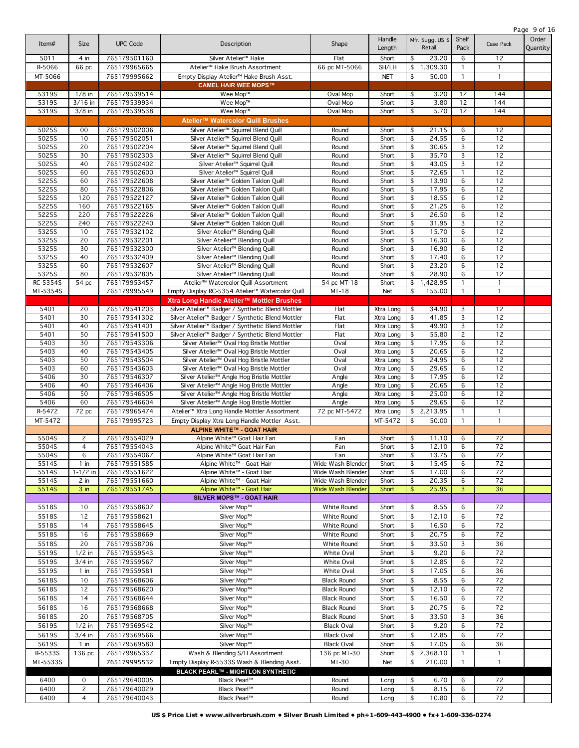| Item#          | <b>Size</b>           | <b>UPC Code</b>              | Description                                                                                   | Shape                                  | Handle<br>Length       | Mfr. Sugg. US \$<br>Retail                      | Shelf<br>Pack     | Case Pack             | Order<br>Quantity |
|----------------|-----------------------|------------------------------|-----------------------------------------------------------------------------------------------|----------------------------------------|------------------------|-------------------------------------------------|-------------------|-----------------------|-------------------|
| 5011           | 4 in                  | 765179501160                 | Silver Atelier™ Hake                                                                          | Flat                                   | Short                  | 23.20<br>\$                                     | 6                 | 12                    |                   |
| R-5066         | 66 pc                 | 765179965665                 | Atelier™ Hake Brush Assortment                                                                | 66 pc MT-5066                          | SH/LH                  | \$<br>1,309.30                                  | $\mathbf{1}$      | $\mathbf{1}$          |                   |
| MT-5066        |                       | 765179995662                 | Empty Display Atelier™ Hake Brush Asst.                                                       |                                        | <b>NET</b>             | \$<br>50.00                                     | $\mathbf{1}$      | $\mathbf{1}$          |                   |
|                |                       |                              | <b>CAMEL HAIR WEE MOPS™</b>                                                                   |                                        |                        |                                                 |                   |                       |                   |
| 5319S<br>5319S | $1/8$ in<br>$3/16$ in | 765179539514<br>765179539934 | Wee Mop™<br>Wee Mop™                                                                          | Oval Mop<br><b>Oval Mop</b>            | Short<br>Short         | 3.20<br>\$<br>\$<br>3.80                        | 12<br>12          | 144<br>144            |                   |
| 5319S          | $3/8$ in              | 765179539538                 | Wee Mop™                                                                                      | Oval Mop                               | Short                  | \$<br>5.70                                      | 12                | 144                   |                   |
|                |                       |                              | Atelier™ Watercolor Quill Brushes                                                             |                                        |                        |                                                 |                   |                       |                   |
| 5025S          | 00                    | 765179502006                 | Silver Atelier™ Squirrel Blend Quill                                                          | Round                                  | Short                  | \$<br>21.15                                     | 6                 | 12                    |                   |
| 5025S          | 10                    | 765179502051                 | Silver Atelier™ Squirrel Blend Quill                                                          | Round                                  | Short                  | \$<br>24.55                                     | 6                 | 12                    |                   |
| 5025S          | $\overline{20}$       | 765179502204                 | Silver Atelier™ Squirrel Blend Quill                                                          | Round                                  | Short                  | 30.65<br>\$                                     | 3                 | 12                    |                   |
| 5025S          | 30                    | 765179502303                 | Silver Atelier™ Squirrel Blend Quill                                                          | Round                                  | Short                  | 35.70<br>\$                                     | 3                 | 12                    |                   |
| 5025S<br>5025S | 40<br>60              | 765179502402<br>765179502600 | Silver Atelier™ Squirrel Quill<br>Silver Atelier™ Squirrel Quill                              | Round<br>Round                         | Short<br>Short         | $\overline{\mathsf{s}}$<br>43.05<br>72.65<br>\$ | 3<br>$\mathbf{1}$ | 12<br>12              |                   |
| 5225S          | 60                    | 765179522608                 | Silver Atelier™ Golden Taklon Quill                                                           | Round                                  | Short                  | \$<br>13.90                                     | 6                 | 12                    |                   |
| 5225S          | 80                    | 765179522806                 | Silver Atelier™ Golden Taklon Quill                                                           | Round                                  | Short                  | 17.95<br>\$                                     | 6                 | 12                    |                   |
| 5225S          | 120                   | 765179522127                 | Silver Atelier™ Golden Taklon Quill                                                           | Round                                  | Short                  | \$<br>18.55                                     | 6                 | $\overline{12}$       |                   |
| 5225S          | 160                   | 765179522165                 | Silver Atelier™ Golden Taklon Quill                                                           | Round                                  | Short                  | \$<br>21.25                                     | 6                 | 12                    |                   |
| 5225S          | 220                   | 765179522226                 | Silver Atelier™ Golden Taklon Quill                                                           | Round                                  | Short                  | \$<br>26.50                                     | 6                 | 12                    |                   |
| 5225S          | 240<br>10             | 765179522240<br>765179532102 | Silver Atelier™ Golden Taklon Quill<br>Silver Atelier™ Blending Quill                         | Round                                  | Short<br>Short         | 31.95<br>\$<br>\$<br>15.70                      | 3<br>6            | 12<br>$\overline{12}$ |                   |
| 5325S<br>5325S | 20                    | 765179532201                 | Silver Atelier™ Blending Quill                                                                | Round<br>Round                         | Short                  | 16.30<br>\$                                     | 6                 | 12                    |                   |
| 5325S          | 30                    | 765179532300                 | Silver Atelier™ Blending Quill                                                                | Round                                  | Short                  | \$<br>16.90                                     | 6                 | 12                    |                   |
| 5325S          | 40                    | 765179532409                 | Silver Atelier™ Blending Quill                                                                | Round                                  | Short                  | 17.40<br>\$                                     | 6                 | 12                    |                   |
| 5325S          | 60                    | 765179532607                 | Silver Atelier™ Blending Quill                                                                | Round                                  | Short                  | 23.20<br>\$                                     | 6                 | 12                    |                   |
| 5325S          | 80                    | 765179532805                 | Silver Atelier™ Blending Quill                                                                | Round                                  | Short                  | 28.90<br>\$                                     | 6                 | 12                    |                   |
| RC-5354S       | 54 pc                 | 765179953457                 | Atelier™ Watercolor Quill Assortment                                                          | 54 pc MT-18                            | Short                  | 1,428.95<br>\$                                  | $\mathbf{1}$      | $\mathbf{1}$          |                   |
| MT-5354S       |                       | 765179995549                 | Empty Display RC-5354 Atelier™ Watercolor Quill                                               | MT-18                                  | Net                    | \$<br>155.00                                    | 1                 | 1                     |                   |
| 5401           | 20                    | 765179541203                 | Xtra Long Handle Atelier™ Mottler Brushes<br>Silver Atelier™ Badger / Synthetic Blend Mottler | Flat                                   | Xtra Long              | 34.90<br>\$                                     | 3                 | 12                    |                   |
| 5401           | 30                    | 765179541302                 | Silver Atelier™ Badger / Synthetic Blend Mottler                                              | Flat                                   | Xtra Long              | \$<br>41.85                                     | $\overline{3}$    | 12                    |                   |
| 5401           | 40                    | 765179541401                 | Silver Atelier™ Badger / Synthetic Blend Mottler                                              | Flat                                   | Xtra Long              | 49.90<br>\$                                     | 3                 | 12                    |                   |
| 5401           | 50                    | 765179541500                 | Silver Atelier™ Badger / Synthetic Blend Mottler                                              | Flat                                   | Xtra Long              | 55.80<br>\$                                     | $\overline{2}$    | 12                    |                   |
| 5403           | 30                    | 765179543306                 | Silver Atelier™ Oval Hog Bristle Mottler                                                      | Oval                                   | Xtra Long              | 17.95<br>\$                                     | 6                 | 12                    |                   |
| 5403           | 40                    | 765179543405                 | Silver Atelier™ Oval Hog Bristle Mottler                                                      | Oval                                   | Xtra Long              | 20.65<br>\$                                     | 6                 | 12                    |                   |
| 5403<br>5403   | 50<br>60              | 765179543504<br>765179543603 | Silver Atelier™ Oval Hog Bristle Mottler<br>Silver Atelier™ Oval Hog Bristle Mottler          | Oval<br>Oval                           | Xtra Long<br>Xtra Long | 24.95<br>\$<br>29.65<br>\$                      | 6<br>6            | 12<br>12              |                   |
| 5406           | 30                    | 765179546307                 | Silver Atelier™ Angle Hog Bristle Mottler                                                     | Angle                                  | Xtra Long              | 17.95<br>\$                                     | 6                 | 12                    |                   |
| 5406           | 40                    | 765179546406                 | Silver Atelier™ Angle Hog Bristle Mottler                                                     | Angle                                  | Xtra Long              | \$<br>20.65                                     | 6                 | 12                    |                   |
| 5406           | 50                    | 765179546505                 | Silver Atelier™ Angle Hog Bristle Mottler                                                     | Angle                                  | Xtra Long              | 25.00<br>\$                                     | 6                 | 12                    |                   |
| 5406           | 60                    | 765179546604                 | Silver Atelier™ Angle Hog Bristle Mottler                                                     | Angle                                  | Xtra Long              | \$<br>29.65                                     | 6                 | 12                    |                   |
| R-5472         | 72 pc                 | 765179965474                 | Atelier™ Xtra Long Handle Mottler Assortment                                                  | 72 pc MT-5472                          | Xtra Long              | 2,213.95<br>\$                                  | $\mathbf{1}$      | $\mathbf{1}$          |                   |
| MT-5472        |                       | 765179995723                 | Empty Display Xtra Long Handle Mottler Asst.                                                  |                                        | MT-5472                | \$<br>50.00                                     | $\mathbf{1}$      | $\mathbf{1}$          |                   |
| 5504S          | 2                     | 765179554029                 | ALPINE WHITE™ - GOAT HAIR<br>Alpine White™ Goat Hair Fan                                      | Fan                                    | Short                  | \$<br>11.10                                     | 6                 | 72                    |                   |
| 5504S          | 4                     | 765179554043                 | Alpine White™ Goat Hair Fan                                                                   | Fan                                    | Short                  | \$<br>12.10                                     | 6                 | 72                    |                   |
| 5504S          | 6                     | 765179554067                 | Alpine White™ Goat Hair Fan                                                                   | Fan                                    | Short                  | 13.75<br>\$                                     | 6                 | 72                    |                   |
| 5514S          | $1$ in                | 765179551585                 | Alpine White™ - Goat Hair                                                                     | Wide Wash Blender                      | Short                  | \$<br>15.45                                     | 6                 | 72                    |                   |
| 5514S          | $1 - 1/2$ in          | 765179551622                 | Alpine White™ - Goat Hair                                                                     | Wide Wash Blender                      | Short                  | \$<br>17.00                                     | 6                 | 72                    |                   |
| 5514S          | 2 in                  | 765179551660                 | Alpine White™ - Goat Hair                                                                     | Wide Wash Blender                      | Short                  | \$<br>20.35                                     | 6                 | 72                    |                   |
| 5514S          | $3$ in                | 765179551745                 | Alpine White™ - Goat Hair<br>SILVER MOPS™ - GOAT HAIR                                         | Wide Wash Blender                      | Short                  | 25.95<br>\$                                     | 3                 | 36                    |                   |
| 5518S          | 10                    | 765179558607                 | Silver Mop™                                                                                   | White Round                            | Short                  | \$<br>8.55                                      | 6                 | 72                    |                   |
| 5518S          | 12                    | 765179558621                 | Silver Mop™                                                                                   | White Round                            | Short                  | \$<br>12.10                                     | 6                 | 72                    |                   |
| 5518S          | 14                    | 765179558645                 | Silver Mop™                                                                                   | White Round                            | Short                  | \$<br>16.50                                     | 6                 | 72                    |                   |
| 5518S          | 16                    | 765179558669                 | Silver Mop™                                                                                   | White Round                            | Short                  | \$<br>20.75                                     | 6                 | 72                    |                   |
| 5518S          | 20                    | 765179558706                 | Silver Mop™                                                                                   | White Round                            | Short                  | \$<br>33.50                                     | 3                 | 36                    |                   |
| 5519S          | $1/2$ in              | 765179559543                 | Silver Mop™                                                                                   | White Oval                             | Short                  | \$<br>9.20                                      | 6                 | 72                    |                   |
| 5519S          | $3/4$ in              | 765179559567                 | Silver Mop™                                                                                   | White Oval                             | Short                  | \$<br>12.85                                     | 6                 | 72                    |                   |
| 5519S          | $1$ in                | 765179559581                 | Silver Mop™                                                                                   | White Oval                             | Short                  | \$<br>17.05                                     | 6                 | 36                    |                   |
| 5618S          | 10                    | 765179568606                 | Silver Mop™                                                                                   | <b>Black Round</b>                     | Short                  | \$<br>8.55                                      | 6                 | 72                    |                   |
| 5618S          | 12                    | 765179568620                 | Silver Mop™                                                                                   | <b>Black Round</b>                     | Short                  | \$<br>12.10                                     | 6                 | 72                    |                   |
| 5618S          | 14                    | 765179568644                 | Silver Mop™                                                                                   | <b>Black Round</b>                     | Short                  | \$<br>16.50                                     | 6                 | 72                    |                   |
| 5618S          | 16                    | 765179568668                 | Silver Mop™                                                                                   | <b>Black Round</b>                     | Short                  | \$<br>20.75                                     | 6                 | 72                    |                   |
| 5618S          | 20                    | 765179568705                 | Silver Mop™                                                                                   | <b>Black Round</b>                     | Short                  | \$<br>33.50                                     | 3                 | 36                    |                   |
| 5619S<br>5619S | $1/2$ in<br>$3/4$ in  | 765179569542<br>765179569566 | Silver Mop™<br>Silver Mop™                                                                    | <b>Black Oval</b><br><b>Black Oval</b> | Short<br>Short         | \$<br>9.20<br>\$<br>12.85                       | 6<br>6            | 72<br>72              |                   |
| 5619S          | 1 in                  | 765179569580                 | Silver Mop™                                                                                   | <b>Black Oval</b>                      | Short                  | \$<br>17.05                                     | 6                 | 36                    |                   |
| R-5533S        | 136 pc                | 765179965337                 | Wash & Blending S/H Assortment                                                                | 136 pc MT-30                           | Short                  | \$<br>2,368.10                                  | $\mathbf{1}$      | $\mathbf{1}$          |                   |
| MT-5533S       |                       | 765179995532                 | Empty Display R-5533S Wash & Blending Asst.                                                   | MT-30                                  | Net                    | \$<br>210.00                                    | $\mathbf{1}$      | $\mathbf{1}$          |                   |
|                |                       |                              | BLACK PEARL™ - MIGHTLON SYNTHETIC                                                             |                                        |                        |                                                 |                   |                       |                   |
| 6400           | 0                     | 765179640005                 | Black Pearl™                                                                                  | Round                                  | Long                   | \$<br>6.70                                      | 6                 | 72                    |                   |
| 6400           | 2                     | 765179640029                 | Black Pearl™                                                                                  | Round                                  | Long                   | \$<br>8.15                                      | 6                 | 72                    |                   |
| 6400           | 4                     | 765179640043                 | Black Pearl™                                                                                  | Round                                  | Long                   | \$<br>10.80                                     | 6                 | 72                    |                   |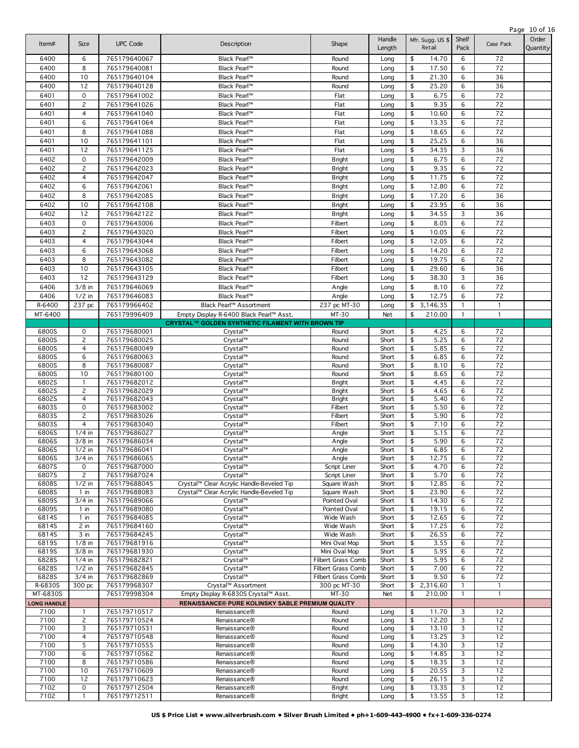|                    |                    |                              |                                                   |                              |                |                            |                |              |                 | Page 10 of 16 |
|--------------------|--------------------|------------------------------|---------------------------------------------------|------------------------------|----------------|----------------------------|----------------|--------------|-----------------|---------------|
| Item#              | Size               | <b>UPC Code</b>              | Description                                       | Shape                        | Handle         | Mfr. Sugg. US \$           |                | Shelf        | Case Pack       | Order         |
|                    |                    |                              |                                                   |                              | Length         | Retail                     |                | Pack         |                 | Quantity      |
| 6400               | 6                  | 765179640067                 | Black Pearl™                                      | Round                        | Long           | \$<br>14.70                |                | 6            | 72              |               |
| 6400               | 8                  | 765179640081                 | Black Pearl™                                      | Round                        | Long           | \$<br>17.50                |                | 6            | 72              |               |
| 6400               | 10                 | 765179640104                 | Black Pearl™                                      | Round                        | Long           | \$                         | 21.30          | 6            | 36              |               |
| 6400               | 12                 | 765179640128                 | Black Pearl™                                      | Round                        | Long           | \$                         | 25.20          | 6            | 36              |               |
| 6401               | $\mathbf 0$        | 765179641002                 | Black Pearl™                                      | Flat                         | Long           | \$                         | 6.75           | 6            | 72              |               |
| 6401               | 2                  | 765179641026                 | Black Pearl™                                      | Flat                         | Long           | \$                         | 9.35           | 6            | 72              |               |
| 6401               | 4                  | 765179641040                 | Black Pearl™                                      | Flat                         | Long           | \$<br>10.60                |                | 6            | 72              |               |
| 6401               | 6                  | 765179641064                 | Black Pearl™                                      | Flat                         | Long           | \$<br>13.35                |                | 6            | 72              |               |
| 6401               | 8                  | 765179641088                 | Black Pearl™                                      | Flat                         | Long           | \$<br>18.65                |                | 6            | 72              |               |
| 6401               | 10                 | 765179641101                 | Black Pearl™                                      | Flat                         | Long           | \$                         | 25.25          | 6            | 36              |               |
| 6401               | 12                 | 765179641125                 | Black Pearl™                                      | Flat                         | Long           | 34.35<br>\$                |                | 3            | 36              |               |
| 6402               | $\mathsf{O}$       | 765179642009                 | Black Pearl™                                      | <b>Bright</b>                | Long           | \$                         | 6.75           | 6            | 72              |               |
| 6402               | $\overline{c}$     | 765179642023                 | Black Pearl™                                      | <b>Bright</b>                | Long           | $\sqrt{2}$                 | 9.35           | 6            | 72              |               |
| 6402               | 4                  | 765179642047                 | Black Pearl™                                      | <b>Bright</b>                | Long           | \$                         | 11.75          | 6            | 72              |               |
| 6402               | 6                  | 765179642061                 | Black Pearl™                                      | <b>Bright</b>                | Long           | \$<br>12.80                |                | 6            | 72              |               |
| 6402               | 8                  | 765179642085                 | Black Pearl™                                      | <b>Bright</b>                | Long           | \$<br>17.20                |                | 6            | 36              |               |
| 6402               | 10                 | 765179642108                 | Black Pearl™                                      | <b>Bright</b>                | Long           | \$<br>23.95                |                | 6            | 36              |               |
| 6402               | 12                 | 765179642122                 | Black Pearl™                                      | <b>Bright</b>                | Long           | \$                         | 34.55          | 3            | 36              |               |
| 6403               | $\mathbf 0$        | 765179643006                 | Black Pearl™                                      | Filbert                      | Long           | \$                         | 8.05           | 6            | 72              |               |
| 6403               | $\overline{c}$     | 765179643020                 | Black Pearl™                                      | Filbert                      | Long           | \$<br>10.05                |                | 6            | 72              |               |
| 6403               | 4                  | 765179643044                 | Black Pearl™                                      | Filbert                      | Long           | 12.05<br>\$                |                | 6            | 72              |               |
| 6403               | 6                  | 765179643068                 | Black Pearl™                                      | Filbert                      | Long           | \$<br>14.20                |                | 6            | 72              |               |
| 6403               | 8<br>10            | 765179643082                 | Black Pearl™                                      | Filbert                      | Long           | \$<br>19.75                |                | 6<br>6       | 72              |               |
| 6403<br>6403       | 12                 | 765179643105                 | Black Pearl™                                      | Filbert<br>Filbert           | Long           | \$<br>\$                   | 29.60<br>38.30 | 3            | 36<br>36        |               |
|                    |                    | 765179643129                 | Black Pearl™                                      |                              | Long           | \$                         |                | 6            |                 |               |
| 6406<br>6406       | $3/8$ in           | 765179646069                 | Black Pearl™<br>Black Pearl™                      | Angle                        | Long           | \$<br>12.75                | 8.10           | 6            | 72<br>72        |               |
| R-6400             | $1/2$ in<br>237 pc | 765179646083<br>765179966402 | Black Pearl™ Assortment                           | Angle<br>237 pc MT-30        | Long           | \$<br>3,146.35             |                | $\mathbf{1}$ | $\mathbf{1}$    |               |
| MT-6400            |                    | 765179996409                 | Empty Display R-6400 Black Pearl™ Asst.           | MT-30                        | Long<br>Net    | 210.00<br>\$               |                | 1            | $\mathbf{1}$    |               |
|                    |                    |                              | CRYSTAL™ GOLDEN SYNTHETIC FILAMENT WITH BROWN TIP |                              |                |                            |                |              |                 |               |
| 6800S              | 0                  | 765179680001                 | Crystal™                                          | Round                        | Short          | \$                         | 4.25           | 6            | 72              |               |
| 6800S              | 2                  | 765179680025                 | Crystal™                                          | Round                        | Short          | \$                         | 5.25           | 6            | 72              |               |
| 6800S              | 4                  | 765179680049                 | Crystal™                                          | Round                        | Short          | \$                         | 5.85           | 6            | 72              |               |
| 6800S              | 6                  | 765179680063                 | Crystal™                                          | Round                        | Short          | \$                         | 6.85           | 6            | 72              |               |
| 6800S              | 8                  | 765179680087                 | Crystal™                                          | Round                        | Short          | \$                         | 8.10           | 6            | 72              |               |
| 6800S              | 10                 | 765179680100                 | Crystal™                                          | Round                        | Short          | \$                         | 8.65           | 6            | $\overline{72}$ |               |
| 6802S              | 1                  | 765179682012                 | Crystal™                                          | <b>Bright</b>                | Short          | \$                         | 4.45           | 6            | 72              |               |
| 6802S              | 2                  | 765179682029                 | Crystal™                                          | <b>Bright</b>                | Short          | \$                         | 4.65           | 6            | 72              |               |
| 6802S<br>6803S     | 4<br>0             | 765179682043<br>765179683002 | Crystal™<br>Crystal™                              | <b>Bright</b><br>Filbert     | Short<br>Short | \$<br>\$                   | 5.40<br>5.50   | 6<br>6       | 72<br>72        |               |
| 6803S              | 2                  | 765179683026                 | Crystal™                                          | Filbert                      | Short          | \$                         | 5.90           | 6            | $\overline{72}$ |               |
| 6803S              | 4                  | 765179683040                 | Crystal™                                          | Filbert                      | Short          | $\overline{\mathbf{S}}$    | 7.10           | 6            | 72              |               |
| 6806S              | $1/4$ in           | 765179686027                 | Crystal™                                          | Angle                        | Short          | \$                         | 5.15           | 6            | $\overline{72}$ |               |
| 6806S              | $3/8$ in           | 765179686034                 | Crystal™                                          | Angle                        | Short          | \$                         | 5.90           | 6            | 72              |               |
| 6806S              | $1/2$ in           | 765179686041                 | Crystal™                                          | Angle                        | Short          |                            | 6.85           | 6            | 72              |               |
| 6806S              | $3/4$ in           | 765179686065                 | Crystal™                                          | Angle                        | Short          | \$                         | 12.75          | 6            | 72              |               |
| 6807S              | 0                  | 765179687000                 | Crystal™                                          | Script Liner                 | Short          | \$                         | 4.70           | 6            | 72              |               |
| 6807S              | $\overline{c}$     | 765179687024                 | Crystal™                                          | Script Liner                 | Short          | \$                         | 5.70           | 6            | 72              |               |
| 6808S              | $1/2$ in           | 765179688045                 | Crystal™ Clear Acrylic Handle-Beveled Tip         | Square Wash                  | Short          | \$                         | 12.85          | 6            | 72              |               |
| 6808S              | $1$ in             | 765179688083                 | Crystal™ Clear Acrylic Handle-Beveled Tip         | Square Wash                  | Short          | \$                         | 23.90          | 6            | 72              |               |
| 6809S<br>6809S     | $3/4$ in           | 765179689066<br>765179689080 | Crystal™<br>Crystal™                              | Pointed Oval<br>Pointed Oval | Short<br>Short | \$<br>\$                   | 14.30<br>19.15 | 6<br>6       | 72<br>72        |               |
| 6814S              | 1 in<br>1 in       | 765179684085                 | Crystal™                                          | Wide Wash                    | Short          | \$                         | 12.65          | 6            | 72              |               |
| 6814S              | 2 in               | 765179684160                 | Crystal™                                          | Wide Wash                    | Short          | \$                         | 17.25          | 6            | 72              |               |
| 6814S              | 3 in               | 765179684245                 | Crystal™                                          | Wide Wash                    | Short          | \$                         | 26.55          | 6            | 72              |               |
| 6819S              | $1/8$ in           | 765179681916                 | Crystal™                                          | Mini Oval Mop                | Short          | \$                         | 3.55           | 6            | 72              |               |
| 6819S              | $3/8$ in           | 765179681930                 | Crystal™                                          | Mini Oval Mop                | Short          | \$                         | 5.95           | 6            | 72              |               |
| 6828S              | $1/4$ in           | 765179682821                 | Crystal™                                          | Filbert Grass Comb           | Short          | \$                         | 5.95           | 6            | 72              |               |
| 6828S              | $1/2$ in           | 765179682845                 | Crystal™                                          | Filbert Grass Comb           | Short          | \$                         | 7.00           | 6            | 72              |               |
| 6828S              | $3/4$ in           | 765179682869                 | Crystal™                                          | Filbert Grass Comb           | Short          | \$                         | 9.50           | 6            | 72              |               |
| R-6830S            | 300 pc             | 765179968307                 | Crystal™ Assortment                               | 300 pc MT-30                 | Short          | 2,316.60<br>\$             |                |              | 1               |               |
| MT-6830S           |                    | 765179998304                 | Empty Display R-6830S Crystal™ Asst.              | MT-30                        | Net            | \$<br>210.00               |                |              | $\mathbf{1}$    |               |
| <b>LONG HANDLE</b> |                    |                              | RENAISSANCE® PURE KOLINSKY SABLE PREMIUM QUALITY  |                              |                |                            |                |              |                 |               |
| 7100<br>7100       | 1<br>2             | 765179710517<br>765179710524 | Renaissance®<br>Renaissance®                      | Round<br>Round               | Long           | 11.70<br>\$<br>12.20<br>\$ |                | 3<br>3       | 12<br>12        |               |
| 7100               | 3                  | 765179710531                 | Renaissance®                                      | Round                        | Long<br>Long   | \$<br>13.10                |                | 3            | 12              |               |
| 7100               | 4                  | 765179710548                 | Renaissance®                                      | Round                        | Long           | 13.25<br>\$                |                | 3            | 12              |               |
| 7100               | 5                  | 765179710555                 | Renaissance®                                      | Round                        | Long           | \$                         | 14.30          | 3            | 12              |               |
| 7100               | 6                  | 765179710562                 | Renaissance®                                      | Round                        | Long           | \$                         | 14.85          | 3            | 12              |               |
| 7100               | 8                  | 765179710586                 | Renaissance®                                      | Round                        | Long           | \$<br>18.35                |                | 3            | 12              |               |
| 7100               | 10                 | 765179710609                 | Renaissance®                                      | Round                        | Long           | \$                         | 20.55          | 3            | 12              |               |
| 7100               | 12                 | 765179710623                 | Renaissance®                                      | Round                        | Long           | \$                         | 26.15          | 3            | 12              |               |
| 7102               | 0                  | 765179712504                 | Renaissance®                                      | <b>Bright</b>                | Long           | \$                         | 13.35          | 3            | 12              |               |
| 7102               | 1                  | 765179712511                 | Renaissance®                                      | Bright                       | Long           | \$                         | 13.55          | 3            | 12              |               |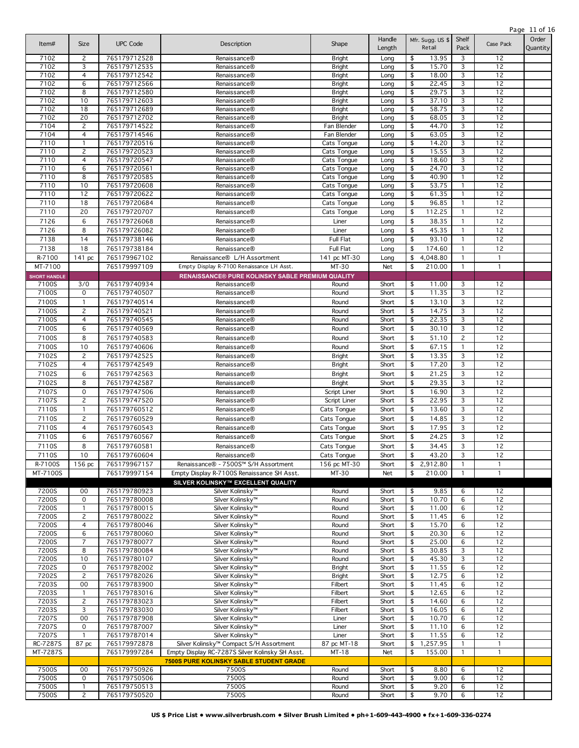| Item#               | Size              | <b>UPC Code</b>              | Description                                             | Shape                          | Handle         | Mfr. Sugg. US \$<br>Retail | Shelf          | Case Pack    | Order    |
|---------------------|-------------------|------------------------------|---------------------------------------------------------|--------------------------------|----------------|----------------------------|----------------|--------------|----------|
| 7102                | 2                 | 765179712528                 | Renaissance®                                            |                                | Length         | 13.95<br>\$                | Pack<br>3      | 12           | Quantity |
| 7102                | 3                 | 765179712535                 | Renaissance®                                            | <b>Bright</b><br><b>Bright</b> | Long<br>Long   | 15.70<br>\$                | 3              | 12           |          |
| 7102                | 4                 | 765179712542                 | Renaissance®                                            | <b>Bright</b>                  | Long           | \$<br>18.00                | 3              | 12           |          |
| 7102                | 6                 | 765179712566                 | Renaissance®                                            | <b>Bright</b>                  | Long           | 22.45<br>\$                | 3              | 12           |          |
| 7102                | 8                 | 765179712580                 | Renaissance®                                            | <b>Bright</b>                  | Long           | \$<br>29.75                | 3              | 12           |          |
| 7102                | 10                | 765179712603                 | Renaissance®                                            | <b>Bright</b>                  | Long           | 37.10<br>\$                | 3              | 12           |          |
| 7102                | 18                | 765179712689                 | Renaissance®                                            | <b>Bright</b>                  | Long           | \$<br>58.75                | 3              | 12           |          |
| 7102                | 20                | 765179712702<br>765179714522 | Renaissance®                                            | <b>Bright</b>                  | Long           | \$<br>68.05<br>44.70       | 3              | 12           |          |
| 7104<br>7104        | 2<br>4            | 765179714546                 | Renaissance®<br>Renaissance®                            | Fan Blender<br>Fan Blender     | Long<br>Long   | \$<br>63.05<br>\$          | 3<br>3         | 12<br>12     |          |
| 7110                | 1                 | 765179720516                 | Renaissance®                                            | Cats Tongue                    | Long           | \$<br>14.20                | 3              | 12           |          |
| 7110                | 2                 | 765179720523                 | Renaissance®                                            | Cats Tongue                    | Long           | 15.55<br>\$                | 3              | 12           |          |
| 7110                | 4                 | 765179720547                 | Renaissance®                                            | Cats Tongue                    | Long           | 18.60<br>\$                | 3              | 12           |          |
| 7110                | 6                 | 765179720561                 | Renaissance®                                            | Cats Tongue                    | Long           | 24.70<br>\$                | 3              | 12           |          |
| 7110                | 8                 | 765179720585                 | Renaissance®                                            | Cats Tongue                    | Long           | 40.90<br>\$                | 1              | 12           |          |
| 7110                | 10                | 765179720608                 | Renaissance®                                            | Cats Tongue                    | Long           | 53.75<br>\$                | 1              | 12           |          |
| 7110                | 12                | 765179720622                 | Renaissance®                                            | Cats Tongue                    | Long           | \$<br>61.35                | $\mathbf{1}$   | 12           |          |
| 7110                | 18                | 765179720684                 | Renaissance®                                            | Cats Tongue                    | Long           | \$<br>96.85                | $\mathbf{1}$   | 12           |          |
| 7110                | 20                | 765179720707                 | Renaissance®                                            | Cats Tongue                    | Long           | \$<br>112.25               | $\mathbf{1}$   | 12           |          |
| 7126                | 6                 | 765179726068                 | Renaissance®                                            | Liner                          | Long           | \$<br>38.35                | $\mathbf{1}$   | 12           |          |
| 7126                | 8                 | 765179726082                 | Renaissance®                                            | Liner                          | Long           | \$<br>45.35                | 1              | 12           |          |
| 7138                | 14                | 765179738146                 | Renaissance®                                            | Full Flat                      | Long           | 93.10<br>\$                | $\mathbf{1}$   | 12           |          |
| 7138                | 18                | 765179738184                 | Renaissance®                                            | Full Flat                      | Long           | 174.60<br>\$               | $\mathbf{1}$   | 12           |          |
| R-7100              | 141 pc            | 765179967102                 | Renaissance® L/H Assortment                             | 141 pc MT-30                   | Long           | \$<br>4,048.80             | $\mathbf{1}$   | $\mathbf{1}$ |          |
| MT-7100             |                   | 765179997109                 | Empty Display R-7100 Renaissance LH Asst.               | MT-30                          | Net            | \$<br>210.00               | $\mathbf{1}$   | $\mathbf{1}$ |          |
| <b>SHORT HANDLE</b> |                   |                              | <b>RENAISSANCE® PURE KOLINSKY SABLE PREMIUM QUALITY</b> |                                |                |                            |                |              |          |
| 7100S               | 3/0               | 765179740934                 | Renaissance®                                            | Round                          | Short          | \$<br>11.00                | 3              | 12           |          |
| 7100S<br>7100S      | 0<br>$\mathbf{1}$ | 765179740507<br>765179740514 | Renaissance®                                            | Round<br>Round                 | Short<br>Short | 11.35<br>\$<br>\$<br>13.10 | 3<br>3         | 12<br>12     |          |
| 7100S               | 2                 | 765179740521                 | Renaissance®                                            | Round                          | Short          | \$<br>14.75                | 3              | 12           |          |
| 7100S               | 4                 | 765179740545                 | Renaissance®<br>Renaissance®                            | Round                          | Short          | \$<br>22.35                | 3              | 12           |          |
| 7100S               | 6                 | 765179740569                 | Renaissance®                                            | Round                          | Short          | \$<br>30.10                | 3              | 12           |          |
| 7100S               | 8                 | 765179740583                 | Renaissance®                                            | Round                          | Short          | \$<br>51.10                | $\overline{c}$ | 12           |          |
| 7100S               | 10                | 765179740606                 | Renaissance®                                            | Round                          | Short          | 67.15<br>\$                | $\mathbf{1}$   | 12           |          |
| 7102S               | $\overline{c}$    | 765179742525                 | Renaissance®                                            | <b>Bright</b>                  | Short          | \$<br>13.35                | 3              | 12           |          |
| 7102S               | 4                 | 765179742549                 | Renaissance®                                            | <b>Bright</b>                  | Short          | \$<br>17.20                | 3              | 12           |          |
| 7102S               | 6                 | 765179742563                 | Renaissance®                                            | <b>Bright</b>                  | Short          | \$<br>21.25                | 3              | 12           |          |
| 7102S               | 8                 | 765179742587                 | Renaissance®                                            | <b>Bright</b>                  | Short          | \$<br>29.35                | 3              | 12           |          |
| 7107S               | 0                 | 765179747506                 | Renaissance®                                            | Script Liner                   | Short          | \$<br>16.90                | 3              | 12           |          |
| 7107S               | $\overline{c}$    | 765179747520                 | Renaissance®                                            | Script Liner                   | Short          | 22.95<br>\$                | 3              | 12           |          |
| 7110S               | $\mathbf{1}$      | 765179760512                 | Renaissance®                                            | Cats Tongue                    | Short          | \$<br>13.60                | 3              | 12           |          |
| 7110S               | $\overline{c}$    | 765179760529                 | Renaissance®                                            | Cats Tongue                    | Short          | \$<br>14.85                | 3              | 12           |          |
| 7110S               | 4                 | 765179760543                 | Renaissance®                                            | Cats Tongue                    | Short          | 17.95<br>\$                | 3              | 12           |          |
| 7110S               | 6                 | 765179760567                 | Renaissance®                                            | Cats Tongue                    | Short          | \$<br>24.25                | 3              | 12           |          |
| 7110S               | 8                 | 765179760581                 | Renaissance®                                            | Cats Tongue                    | Short          | \$<br>34.45                | 3              | 12           |          |
| 7110S               | 10                | 765179760604                 | Renaissance®                                            | Cats Tongue                    | Short          | \$<br>43.20                | 3              | 12           |          |
| R-7100S             | 156 pc            | 765179967157                 | Renaissance® - 7500S™ S/H Assortment                    | 156 pc MT-30                   | Short          | \$2,912.80                 | $\mathbf{1}$   | $\mathbf{1}$ |          |
| MT-7100S            |                   | 765179997154                 | Empty Display R-7100S Renaissance SH Asst.              | MT-30                          | Net            | 210.00<br>\$               | $\mathbf{1}$   | $\mathbf{1}$ |          |
|                     |                   |                              | SILVER KOLINSKY™ EXCELLENT QUALITY                      |                                |                |                            |                |              |          |
| 7200S               | 00                | 765179780923                 | Silver Kolinsky™                                        | Round                          | Short          | 9.85<br>\$                 | 6              | 12           |          |
| 7200S<br>7200S      | 0<br>1            | 765179780008<br>765179780015 | Silver Kolinsky™<br>Silver Kolinsky™                    | Round<br>Round                 | Short<br>Short | \$<br>10.70<br>11.00<br>\$ | 6<br>6         | 12<br>12     |          |
| 7200S               | $\overline{c}$    | 765179780022                 | Silver Kolinsky™                                        | Round                          | Short          | \$<br>11.45                | 6              | 12           |          |
| 7200S               | 4                 | 765179780046                 | Silver Kolinsky™                                        | Round                          | Short          | 15.70<br>\$                | 6              | 12           |          |
| 7200S               | 6                 | 765179780060                 | Silver Kolinsky™                                        | Round                          | Short          | 20.30<br>\$                | 6              | 12           |          |
| 7200S               | $\overline{7}$    | 765179780077                 | Silver Kolinsky™                                        | Round                          | Short          | 25.00<br>\$                | 6              | 12           |          |
| 7200S               | 8                 | 765179780084                 | Silver Kolinsky™                                        | Round                          | Short          | \$<br>30.85                | 3              | 12           |          |
| 7200S               | 10                | 765179780107                 | Silver Kolinsky™                                        | Round                          | Short          | 45.30<br>\$                | 3              | 12           |          |
| 7202S               | 0                 | 765179782002                 | Silver Kolinsky™                                        | <b>Bright</b>                  | Short          | \$<br>11.55                | 6              | 12           |          |
| 7202S               | $\overline{c}$    | 765179782026                 | Silver Kolinsky™                                        | <b>Bright</b>                  | Short          | 12.75<br>\$                | 6              | 12           |          |
| 7203S<br>7203S      | 00<br>1           | 765179783900<br>765179783016 | Silver Kolinsky™<br>Silver Kolinsky™                    | Filbert<br>Filbert             | Short<br>Short | \$<br>11.45<br>\$<br>12.65 | 6<br>6         | 12<br>12     |          |
| 7203S               | 2                 | 765179783023                 | Silver Kolinsky™                                        | Filbert                        | Short          | \$<br>14.60                | 6              | 12           |          |
| 7203S               | 3                 | 765179783030                 | Silver Kolinsky™                                        | Filbert                        | Short          | \$<br>16.05                | 6              | 12           |          |
| 7207S               | 00                | 765179787908                 | Silver Kolinsky™                                        | Liner                          | Short          | 10.70<br>\$                | 6              | 12           |          |
| 7207S               | $\mathbf 0$       | 765179787007                 | Silver Kolinsky™                                        | Liner                          | Short          | \$<br>11.10                | 6              | 12           |          |
| 7207S               | 1                 | 765179787014                 | Silver Kolinsky™                                        | Liner                          | Short          | \$<br>11.55                | 6              | 12           |          |
| RC-7287S            | 87 pc             | 765179972878                 | Silver Kolinsky™ Compact S/H Assortment                 | 87 pc MT-18                    | Short          | 1,257.95<br>\$             | 1              | $\mathbf{1}$ |          |
| MT-7287S            |                   | 765179997284                 | Empty Display RC-7287S Silver Kolinsky SH Asst.         | MT-18                          | Net            | 155.00<br>\$               | $\mathbf{1}$   | $\mathbf{1}$ |          |
|                     |                   |                              | <b>7500S PURE KOLINSKY SABLE STUDENT GRADE</b>          |                                |                |                            |                |              |          |
| 7500S               | 00                | 765179750926                 | 7500S                                                   | Round                          | Short          | 8.80<br>\$                 | 6              | 12           |          |
| 7500S               | 0                 | 765179750506                 | 7500S<br>7500S                                          | Round                          | Short          | 9.00<br>\$                 | 6              | 12           |          |
| 7500S<br>7500S      | 1<br>$\mathbf{2}$ | 765179750513<br>765179750520 | 7500S                                                   | Round<br>Round                 | Short<br>Short | \$<br>9.20<br>\$<br>9.70   | 6<br>6         | 12<br>12     |          |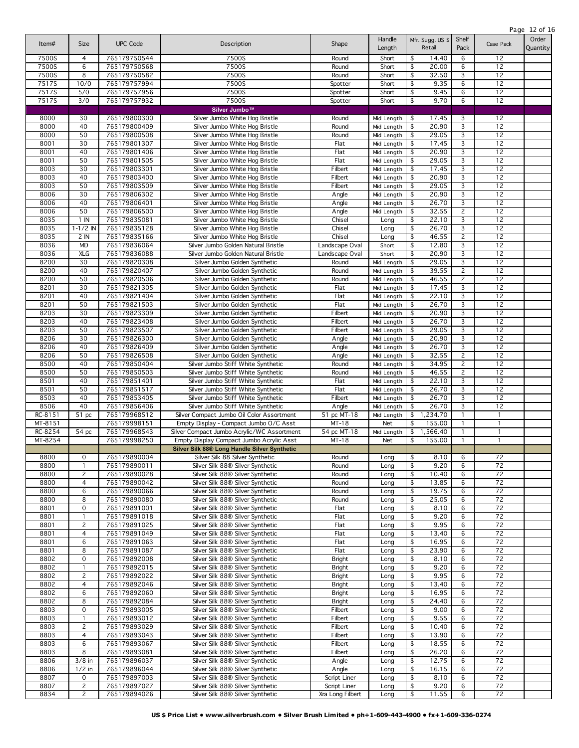|         |                |                 |                                              |                  |            |                  |        |                 |                 | Page 12 OF I |
|---------|----------------|-----------------|----------------------------------------------|------------------|------------|------------------|--------|-----------------|-----------------|--------------|
|         |                |                 |                                              |                  | Handle     | Mfr. Sugg. US \$ |        | Shelf           |                 | Order        |
| Item#   | Size           | <b>UPC Code</b> | Description                                  | Shape            | Length     | Retail           |        | Pack            | Case Pack       | Quantity     |
|         |                |                 |                                              |                  |            |                  |        |                 |                 |              |
| 7500S   | 4              | 765179750544    | 7500S                                        | Round            | Short      | \$               | 14.40  | 6               | 12              |              |
| 7500S   | 6              | 765179750568    | 7500S                                        | Round            | Short      | \$               | 20.00  | 6               | 12              |              |
| 7500S   | 8              | 765179750582    | 7500S                                        | Round            | Short      | \$               | 32.50  | 3               | 12              |              |
| 7517S   | 10/0           | 765179757994    | 7500S                                        | Spotter          | Short      | \$               | 9.35   | 6               | 12              |              |
| 7517S   | 5/0            | 765179757956    | 7500S                                        |                  | Short      | \$               | 9.45   | 6               | 12              |              |
|         |                |                 |                                              | Spotter          |            |                  |        |                 |                 |              |
| 7517S   | 3/0            | 765179757932    | 7500S                                        | Spotter          | Short      | \$               | 9.70   | $6\overline{6}$ | 12              |              |
|         |                |                 | Silver Jumbo™                                |                  |            |                  |        |                 |                 |              |
| 8000    | 30             | 765179800300    | Silver Jumbo White Hog Bristle               | Round            | Mid Length | \$               | 17.45  | 3               | 12              |              |
| 8000    | 40             | 765179800409    | Silver Jumbo White Hog Bristle               | Round            | Mid Length | \$               | 20.90  | $\overline{3}$  | 12              |              |
|         |                |                 |                                              |                  |            |                  |        | $\overline{3}$  |                 |              |
| 8000    | 50             | 765179800508    | Silver Jumbo White Hog Bristle               | Round            | Mid Length | \$               | 29.05  |                 | 12              |              |
| 8001    | 30             | 765179801307    | Silver Jumbo White Hog Bristle               | Flat             | Mid Length | \$               | 17.45  | $\overline{3}$  | 12              |              |
| 8001    | 40             | 765179801406    | Silver Jumbo White Hog Bristle               | Flat             | Mid Length | \$               | 20.90  | $\overline{3}$  | 12              |              |
| 8001    | 50             | 765179801505    | Silver Jumbo White Hog Bristle               | Flat             | Mid Length | \$               | 29.05  | $\overline{3}$  | 12              |              |
| 8003    | 30             | 765179803301    | Silver Jumbo White Hog Bristle               | Filbert          | Mid Length | \$               | 17.45  | 3               | 12              |              |
| 8003    | 40             | 765179803400    | Silver Jumbo White Hog Bristle               | Filbert          | Mid Length | \$               | 20.90  | 3               | 12              |              |
|         |                |                 |                                              |                  |            |                  |        |                 |                 |              |
| 8003    | 50             | 765179803509    | Silver Jumbo White Hog Bristle               | Filbert          | Mid Length | \$               | 29.05  | 3               | 12              |              |
| 8006    | 30             | 765179806302    | Silver Jumbo White Hog Bristle               | Angle            | Mid Length | \$               | 20.90  | 3               | 12              |              |
| 8006    | 40             | 765179806401    | Silver Jumbo White Hog Bristle               | Angle            | Mid Length | \$               | 26.70  | 3               | 12              |              |
| 8006    | 50             | 765179806500    | Silver Jumbo White Hog Bristle               | Angle            | Mid Length | \$               | 32.55  | $\overline{c}$  | 12              |              |
| 8035    | $1 \,$ IN      | 765179835081    | Silver Jumbo White Hog Bristle               | Chisel           | Long       | \$               | 22.10  | 3               | 12              |              |
| 8035    |                |                 |                                              |                  |            |                  |        | 3               | 12              |              |
|         | $1 - 1/2$ IN   | 765179835128    | Silver Jumbo White Hog Bristle               | Chisel           | Long       | \$               | 26.70  |                 |                 |              |
| 8035    | 2 IN           | 765179835166    | Silver Jumbo White Hog Bristle               | Chisel           | Long       | \$               | 46.55  | $\overline{c}$  | 12              |              |
| 8036    | <b>MD</b>      | 765179836064    | Silver Jumbo Golden Natural Bristle          | Landscape Oval   | Short      | \$               | 12.80  | 3               | 12              |              |
| 8036    | <b>XLG</b>     | 765179836088    | Silver Jumbo Golden Natural Bristle          | Landscape Oval   | Short      | \$               | 20.90  | $\overline{3}$  | 12              |              |
| 8200    | 30             | 765179820308    | Silver Jumbo Golden Synthetic                | Round            | Mid Length | \$               | 29.05  | 3               | 12              |              |
| 8200    | 40             | 765179820407    | Silver Jumbo Golden Synthetic                | Round            | Mid Length | \$               | 39.55  | $\overline{c}$  | 12              |              |
|         |                |                 |                                              |                  |            |                  |        |                 |                 |              |
| 8200    | 50             | 765179820506    | Silver Jumbo Golden Synthetic                | Round            | Mid Length | \$               | 46.55  | $\mathbf{2}$    | 12              |              |
| 8201    | 30             | 765179821305    | Silver Jumbo Golden Synthetic                | Flat             | Mid Length | \$               | 17.45  | 3               | 12              |              |
| 8201    | 40             | 765179821404    | Silver Jumbo Golden Synthetic                | Flat             | Mid Length | \$               | 22.10  | 3               | 12              |              |
| 8201    | 50             | 765179821503    | Silver Jumbo Golden Synthetic                | Flat             | Mid Length | \$               | 26.70  | $\overline{3}$  | 12              |              |
| 8203    | 30             | 765179823309    | Silver Jumbo Golden Synthetic                | Filbert          | Mid Length | \$               | 20.90  | 3               | 12              |              |
| 8203    | 40             | 765179823408    | Silver Jumbo Golden Synthetic                | Filbert          | Mid Length | \$               | 26.70  | 3               | 12              |              |
| 8203    | 50             | 765179823507    | Silver Jumbo Golden Synthetic                | Filbert          | Mid Length | \$               | 29.05  | 3               | 12              |              |
| 8206    | 30             | 765179826300    | Silver Jumbo Golden Synthetic                | Angle            | Mid Length | \$               | 20.90  | $\overline{3}$  | 12              |              |
| 8206    | 40             | 765179826409    |                                              |                  |            | \$               | 26.70  | 3               | 12              |              |
|         |                |                 | Silver Jumbo Golden Synthetic                | Angle            | Mid Length |                  |        |                 |                 |              |
| 8206    | 50             | 765179826508    | Silver Jumbo Golden Synthetic                | Angle            | Mid Length | \$               | 32.55  | $\overline{c}$  | 12              |              |
| 8500    | 40             | 765179850404    | Silver Jumbo Stiff White Synthetic           | Round            | Mid Length | \$               | 34.95  | $\overline{c}$  | 12              |              |
| 8500    | 50             | 765179850503    | Silver Jumbo Stiff White Synthetic           | Round            | Mid Length | \$               | 46.55  | $\overline{c}$  | 12              |              |
| 8501    | 40             | 765179851401    | Silver Jumbo Stiff White Synthetic           | Flat             | Mid Length | \$               | 22.10  | 3               | 12              |              |
| 8501    | 50             | 765179851517    | Silver Jumbo Stiff White Synthetic           | Flat             | Mid Length | \$               | 26.70  | 3               | 12              |              |
| 8503    | 40             | 765179853405    | Silver Jumbo Stiff White Synthetic           | Filbert          | Mid Length | \$               | 26.70  | 3               | 12              |              |
| 8506    | 40             | 765179856406    | Silver Jumbo Stiff White Synthetic           | Angle            | Mid Length | \$               | 26.70  | 3               | 12              |              |
| RC-8151 | 51 pc          | 765179968512    | Silver Compact Jumbo Oil Color Assortment    | 51 pc MT-18      | Mid Length | 1,234.70<br>\$   |        | $\mathbf{1}$    | $\mathbf{1}$    |              |
| MT-8151 |                | 765179998151    | Empty Display - Compact Jumbo O/C Asst       | MT-18            | Net        | \$               | 155.00 | $\mathbf{1}$    | $\mathbf{1}$    |              |
|         |                |                 |                                              |                  |            |                  |        |                 |                 |              |
| RC-8254 | 54 pc          | 765179968543    | Silver Compact Jumbo Acrylic/WC Assortment   | 54 pc MT-18      | Mid Length | \$<br>1,566.40   |        | 1               | 1               |              |
| MT-8254 |                | 765179998250    | Empty Display Compact Jumbo Acrylic Asst     | MT-18            | Net        | \$               | 155.00 | $\mathbf{1}$    | 1               |              |
|         |                |                 | Silver Silk 88® Long Handle Silver Synthetic |                  |            |                  |        |                 |                 |              |
| 8800    | 0              | 765179890004    | Silver Silk 88 Silver Synthetic              | Round            | Long       | \$               | 8.10   | 6               | 72              |              |
| 8800    | 1              | 765179890011    | Silver Silk 88 <sup>®</sup> Silver Synthetic | Round            | Long       | \$               | 9.20   | 6               | $\overline{72}$ |              |
| 8800    | $\overline{c}$ | 765179890028    | Silver Silk 88® Silver Synthetic             | Round            | Long       | \$               | 10.40  | 6               | 72              |              |
| 8800    | 4              | 765179890042    | Silver Silk 88 <sup>®</sup> Silver Synthetic | Round            | Long       | \$               | 13.85  | 6               | 72              |              |
|         |                |                 |                                              |                  |            |                  |        |                 |                 |              |
| 8800    | 6              | 765179890066    | Silver Silk 88 <sup>®</sup> Silver Synthetic | Round            | Long       | \$               | 19.75  | 6               | $\overline{72}$ |              |
| 8800    | 8              | 765179890080    | Silver Silk 88 <sup>®</sup> Silver Synthetic | Round            | Long       | \$               | 25.05  | 6               | 72              |              |
| 8801    | 0              | 765179891001    | Silver Silk 88 <sup>®</sup> Silver Synthetic | Flat             | Long       | \$               | 8.10   | 6               | $\overline{72}$ |              |
| 8801    | $\mathbf{1}$   | 765179891018    | Silver Silk 88® Silver Synthetic             | Flat             | Long       | \$               | 9.20   | 6               | 72              |              |
| 8801    | $\overline{c}$ | 765179891025    | Silver Silk 88® Silver Synthetic             | Flat             | Long       | \$               | 9.95   | 6               | 72              |              |
| 8801    | $\overline{4}$ | 765179891049    | Silver Silk 88® Silver Synthetic             | Flat             | Long       | \$               | 13.40  | 6               | 72              |              |
| 8801    | 6              | 765179891063    | Silver Silk 88 <sup>®</sup> Silver Synthetic | Flat             | Long       | \$               | 16.95  | 6               | 72              |              |
| 8801    | 8              | 765179891087    | Silver Silk 88® Silver Synthetic             | Flat             | Long       | \$               | 23.90  | 6               | 72              |              |
| 8802    | 0              | 765179892008    | Silver Silk 88 <sup>®</sup> Silver Synthetic | <b>Bright</b>    | Long       | \$               | 8.10   | 6               | 72              |              |
|         |                |                 |                                              |                  |            |                  |        |                 |                 |              |
| 8802    | 1              | 765179892015    | Silver Silk 88® Silver Synthetic             | <b>Bright</b>    | Long       | \$               | 9.20   | 6               | 72              |              |
| 8802    | $\overline{c}$ | 765179892022    | Silver Silk 88® Silver Synthetic             | <b>Bright</b>    | Long       | \$               | 9.95   | 6               | 72              |              |
| 8802    | $\overline{4}$ | 765179892046    | Silver Silk 88 <sup>®</sup> Silver Synthetic | Bright           | Long       | \$               | 13.40  | 6               | 72              |              |
| 8802    | 6              | 765179892060    | Silver Silk 88® Silver Synthetic             | <b>Bright</b>    | Long       | \$               | 16.95  | 6               | 72              |              |
| 8802    | 8              | 765179892084    | Silver Silk 88 <sup>®</sup> Silver Synthetic | <b>Bright</b>    | Long       | \$               | 24.40  | 6               | 72              |              |
| 8803    | 0              | 765179893005    | Silver Silk 88® Silver Synthetic             | Filbert          | Long       | \$               | 9.00   | 6               | 72              |              |
| 8803    | $\mathbf{1}$   | 765179893012    | Silver Silk 88® Silver Synthetic             | Filbert          | Long       | \$               | 9.55   | 6               | 72              |              |
| 8803    | $\overline{c}$ | 765179893029    | Silver Silk 88® Silver Synthetic             | Filbert          | Long       | \$               | 10.40  | 6               | 72              |              |
| 8803    | $\overline{4}$ | 765179893043    | Silver Silk 88® Silver Synthetic             | Filbert          | Long       | \$               | 13.90  | 6               | 72              |              |
| 8803    | 6              | 765179893067    | Silver Silk 88® Silver Synthetic             | Filbert          | Long       | \$               | 18.55  | 6               | 72              |              |
|         |                |                 |                                              |                  |            |                  |        |                 |                 |              |
| 8803    | 8              | 765179893081    | Silver Silk 88® Silver Synthetic             | Filbert          | Long       | \$               | 26.20  | 6               | 72              |              |
| 8806    | $3/8$ in       | 765179896037    | Silver Silk 88® Silver Synthetic             | Angle            | Long       | \$               | 12.75  | 6               | 72              |              |
| 8806    | $1/2$ in       | 765179896044    | Silver Silk 88 <sup>®</sup> Silver Synthetic | Angle            | Long       | \$               | 16.15  | 6               | 72              |              |
| 8807    | 0              | 765179897003    | Silver Silk 88 <sup>®</sup> Silver Synthetic | Script Liner     | Long       | \$               | 8.10   | 6               | 72              |              |
| 8807    | $\overline{c}$ | 765179897027    | Silver Silk 88 <sup>®</sup> Silver Synthetic | Script Liner     | Long       | \$               | 9.20   | 6               | 72              |              |
| 8834    | $\mathbf{2}$   | 765179894026    | Silver Silk 88 <sup>®</sup> Silver Synthetic | Xra Long Filbert | Long       | \$               | 11.55  | 6               | 72              |              |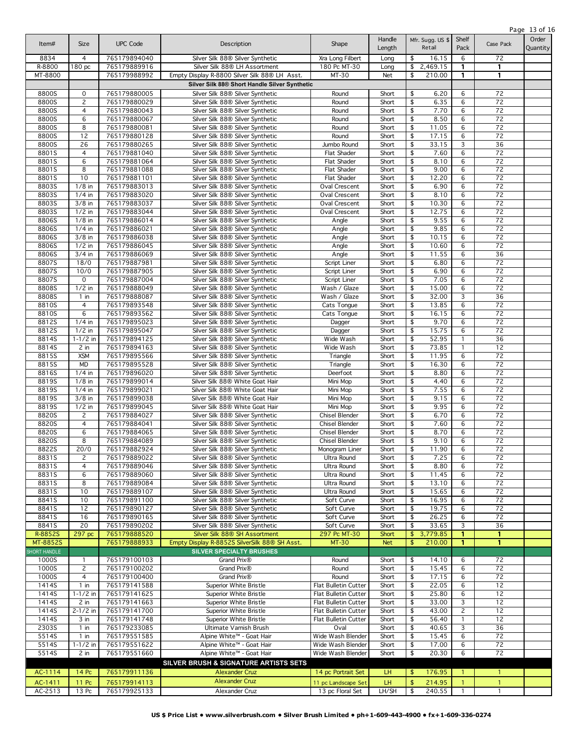Item# Size UPC Code Content Content Description Content Shape Handle Lenath Mfr. Sugg. US \$ Retail Shelf Shelf Case Pack Order **Ouantity** 8834 4 765179894040 Silver Silk 88® Silver Synthetic Xra Long Filbert Long \$ 16.15 6 72 R-8800 180 pc 765179889916 Silver Silk 88® LH Assortment 180 Pc MT-30 Long \$ 2,469.15 1 1 1<br>MT-8800 765179988992 Empty Display R-8800 Silver Silk 88® LH Asst. MT-30 Net \$ 210.00 1 1 765179988992 Empty Display R-8800 Silver Silk 88® LH Asst. MT-30 Net \$ 210.00 1 1 8800S 0 765179880005 Silver Silk 88® Silver Synthetic 1 Round Short \$ 6.20 6 72 8800S 2 765179880029 Silver Silk 88® Silver Synthetic 1 Round Short \$ 6.35 6 72 8800S 4 765179880043 Silver Silk 88® Silver Synthetic Round Short \$ 7.70 6 72 8800S 6 765179880067 Silver Silk 88® Silver Synthetic 1 Round Short \$ 8.50 6 72 8800S 8 765179880081 Silver Silk 88® Silver Synthetic 8 Round Short \$ 11.05 6 72 8800S | 12 | 765179880128 | Silver Silk 88® Silver Synthetic | Round | Short | \$ 17.15 | 6 | 72 8800S | 26 | 765179880265 | Silver Silk 88® Silver Synthetic | Jumbo Round | Short | \$ 33.15 | 3 | 36 8801S 4 765179881040 Silver Silk 88® Silver Synthetic Flat Shader Short \$ 7.60 6 72 8801S 6 765179881064 Silver Silk 88® Silver Synthetic Flat Shader Short \$ 8.10 6 72 8801S 8 765179881088 Silver Silk 88® Silver Synthetic Flat Shader Short \$ 9.00 6 72 8801S | 10 | 765179881101 | Silver Silk 88® Silver Synthetic | Flat Shader | Short | \$ 12.20 | 6 | 72 8803S 1/8 in 765179883013 Silver Silk 88® Silver Synthetic Oval Crescent Short \$ 6.90 6 72 8803S 1/4 in 765179883020 Silver Silk 88® Silver Synthetic | Oval Crescent | Short | \$ 8.10 6 | 72 8803S 3/8 in 765179883037 Silver Silk 88® Silver Synthetic | Oval Crescent | Short | \$ 10.30 | 6 | 72 8803S 1/2 in 765179883044 Silver Silk 88® Silver Synthetic Oval Crescent Short \$ 12.75 6 72 8806S | 1/8 in | 765179886014 | Silver Silk 88® Silver Synthetic | Angle | Short | \$ 9.55 | 6 | 72 8806S 1/4 in 765179886021 Silver Silk 88® Silver Synthetic | Angle Short | \$ 9.85 6 72 8806S 3/8 in 765179886038 Silver Silk 88® Silver Synthetic Angle Short \$ 10.15 6 72 8806S 1/2 in 765179886045 Silver Silk 88® Silver Synthetic Angle Short \$ 10.60 6 72 8806S 3/4 in 765179886069 Silver Silk 88® Silver Synthetic Angle Short \$ 11.55 6 36<br>8807S 18/0 765179887981 Silver Silk 88® Silver Synthetic Script Liner Short \$ 6.80 6 72 8807S | 18/0 | 765179887981 | Silver Silk 88® Silver Synthetic | Script Liner | Short | \$ 6.80 | 6 8807S 10/0 765179887905 Silver Silk 88® Silver Synthetic Script Liner Short \$ 6.90 6 72<br>8807S 0 765179887004 Silver Silk 88® Silver Synthetic Script Liner Short \$ 7.05 6 72 Silver Silk 88® Silver Synthetic 8808S | 1/2 in | 765179888049 | Silver Silk 88® Silver Synthetic | Wash / Glaze | Short | \$ 15.00 | 6 | 72 8808S | 1 in | 765179888087 | Silver Silk 88® Silver Synthetic | Wash / Glaze | Short | \$ 32.00 | 3 | 36 8810S 4 765179893548 Silver Silk 88® Silver Synthetic Cats Tongue Short \$ 13.85 6 72 8810S 6 765179893562 Silver Silk 88® Silver Synthetic Cats Tongue Short \$ 16.15 6 72<br>8812S 1/4 in 765179895023 Silver Silk 88® Silver Synthetic Dagger Short \$ 9.70 6 72 8812S 1/4 in 765179895023 Silver Silk 88® Silver Synthetic Dagger Short \$ 9.70 6 72 8812S | 1/2 in | 765179895047 | Silver Silk 88® Silver Synthetic | Dagger | Short | \$ 15.75 | 6 | 72 8814S | 1-1/2 in | 765179894125 | Silver Silk 88® Silver Synthetic | Wide Wash | Short | \$ 52.95 | 1 | 36 8814S 2 in 765179894163 Silver Silk 88® Silver Synthetic Wide Wash Short \$ 73.85 1 12 8815S XSM 765179895566 Silver Silk 88® Silver Synthetic Triangle Short \$ 11.95 6 72 8815S MD 765179895528 Silver Silk 88® Silver Synthetic Triangle Short \$ 16.30 6 72 8816S 1/4 in 765179896020 Silver Silk 88® Silver Synthetic Deerfoot Short \$ 8.80 6 72 8819S | 1/8 in | 765179899014 | Silver Silk 88® White Goat Hair | Mini Mop | Short | \$ 4.40 | 6 | 72 8819S | 1/4 in | 765179899021 | Silver Silk 88® White Goat Hair Nini Mop | Short | \$ 7.55 | 6 | 72 8819S 3/8 in 765179899038 Silver Silk 88® White Goat Hair Mini Mop Short \$ 9.15 6 72 8819S 1/2 in 765179899045 Silver Silk 88® White Goat Hair Mini Mop Short \$ 9.95 6 72 8820S 2 765179884027 Silver Silk 88® Silver Synthetic Chisel Blender Short | \$ 6.70 6 72 8820S 4 765179884041 Silver Silk 88® Silver Synthetic chisel Blender Short \$ 7.60 6 72 8820S 6 765179884065 Silver Silk 88® Silver Synthetic Chisel Blender Short | \$ 8.70 6 72 8820S | 8 | 765179884089 | Silver Silk 88® Silver Synthetic | Chisel Blender | Short | \$ 9.10 | 6 | 72 8822S | 20/0 | 765179882924 | Silver Silk 88® Silver Synthetic | Monogram Liner | Short | \$ 11.90 | 6 | 72 8831S 2 765179889022 Silver Silk 88® Silver Synthetic Ultra Round Short \$ 7.25 6 72<br>8831S 4 765179889046 Silver Silk 88® Silver Synthetic Ultra Round Short \$ 8.80 6 72 8831S 4 765179889046 Silver Silk 88® Silver Synthetic Ultra Round Short \$ 8.80 6<br>8831S 6 765179889060 Silver Silk 88® Silver Synthetic Ultra Round Short \$ 11.45 6 8831S 6 765179889060 Silver Silk 88® Silver Synthetic Ultra Round Short \$ 11.45 6 72 8831S 8 765179889084 Silver Silk 88® Silver Synthetic I Ultra Round Short \$ 13.10 6 72 8831S | 10 | 765179889107 | Silver Silk 88® Silver Synthetic | Ultra Round | Short | \$ 15.65 | 6 | 72 8841S | 10 | 765179891100 | Silver Silk 88® Silver Synthetic | Soft Curve | Short | \$ 16.95 | 6 | 72 8841S 12 765179890127 Silver Silk 88® Silver Synthetic Soft Curve Short \$ 19.75 6 72 8841S 16 765179890165 Silver Silk 88® Silver Synthetic Soft Curve Short \$ 26.25 6 72 8841S | 20 | 765179890202 | Silver Silk 88® Silver Synthetic | Soft Curve | Short | \$ 33.65 | 3 | 36 R-8852S 297 pc 765179888520 Silver Silk 88® SH Assortment 297 Pc MT-30 Short \$ 3,779.85 1 1 1 MT-8852S | | 765179888933 | Empty Display R-8852S SilverSilk 88® SH Asst. | MT-30 | Net |\$ 210.00 | 1 | 1 SHORT HANDLE 1000S 1 765179100103 Grand Prix® Round Short \$ 14.10 6 72 1000S | 2 | 765179100202 | Grand Prix® Round | Short | \$ 15.45 | 6 | 72 1000S 4 765179100400 Grand Prix® Round Short \$ 17.15 6 72 1414S 1 in 765179141588 Superior White Bristle Flat Bulletin Cutter Short \$ 22.05 6 12 1414S 1-1/2 in 765179141625 Superior White Bristle Flat Bulletin Cutter Short \$ 25.80 6 12 1414S 2 in 765179141663 Superior White Bristle Flat Bulletin Cutter Short \$ 33.00 3 12 1414S 2-1/2 in 765179141700 Superior White Bristle Flat Bulletin Cutter Short | \$ 43.00 2 | 12 1414S | 3 in | 765179141748 | Superior White Bristle | Flat Bulletin Cutter | Short | \$ 56.40 | 1 | 12 2303S | 1 in | 765179233085 | Ultimate Varnish Brush | Oval | Short | \$ 40.65 | 3 | 36 5514S 1 in 765179551585 Alpine White™ - Goat Hair Wide Wash Blender Short \$ 15.45 6 72 5514S 1-1/2 in 765179551622 Alpine White™ - Goat Hair Wide Wash Blender Short \$ 17.00 6 72 5514S 2 in 765179551660 Alpine White™ - Goat Hair Wide Wash Blender Short \$ 20.30 6 72 **SILVER BRUSH & SIGNATURE ARTISTS SETS** AC-1114 | 14 Pc | 765179911136 | Alexander Cruz | 14 pc Portrait Set | LH | \$ 176.95 | 1 | 1 AC-1411 11 Pc 765179914113 Alexander Cruz 11 pc Landscape Set LH \$ 214.95 1 1 **SILVER SPECIALTY BRUSHES Silver Silk 88® Short Handle Silver Synthetic**

Page 13 of 16

AC-2513 | 13 Pc | 765179925133 | Alexander Cruz | 13 pc Floral Set | LH/SH | \$ 240.55 | 1 | 1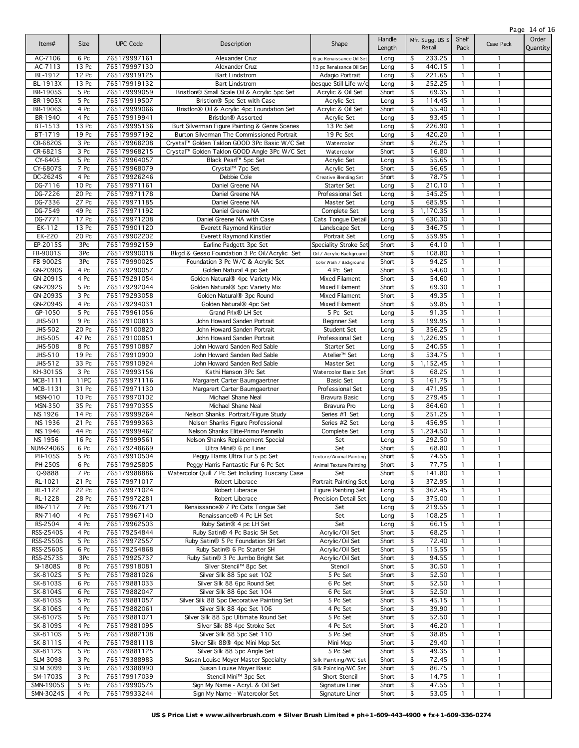| Item#            | Size               | <b>UPC Code</b> | Description                                      | Shape                      | Handle<br>Length | Mfr. Sugg. US \$<br>Retail        | Shelf<br>Pack | Case Pack    | Order<br>Quantity |
|------------------|--------------------|-----------------|--------------------------------------------------|----------------------------|------------------|-----------------------------------|---------------|--------------|-------------------|
| AC-7106          | 6 Pc               | 765179997161    | Alexander Cruz                                   | 6 pc Renaissance Oil Set   | Long             | \$<br>233.25                      |               | 1            |                   |
| AC-7113          | 13 Pc              | 765179997130    | Alexander Cruz                                   | 13 pc Renaisance Oil Set   | Long             | \$<br>440.15                      | $\mathbf{1}$  | $\mathbf{1}$ |                   |
| BL-1912          | 12 Pc              | 765179919125    | <b>Bart Lindstrom</b>                            | Adagio Portrait            | Long             | \$<br>221.65                      | $\mathbf{1}$  | $\mathbf{1}$ |                   |
| BL-1913X         | 13 Pc              | 765179919132    | <b>Bart Lindstrom</b>                            | besque Still Life w/c      | Long             | \$<br>252.25                      | $\mathbf{1}$  | $\mathbf{1}$ |                   |
| BR-1905S         | 5 Pc               | 765179999059    | Bristlon® Small Scale Oil & Acrylic 5pc Set      | Acrylic & Oil Set          | Short            | \$<br>69.35                       | $\mathbf{1}$  | 1            |                   |
| BR-1905X         | 5 Pc               | 765179919507    | Bristlon® 5pc Set with Case                      | Acrylic Set                | Long             | \$<br>114.45                      | $\mathbf{1}$  | $\mathbf{1}$ |                   |
| BR-1906S         | 4 Pc               | 765179999066    | Bristlon® Oil & Acrylic 4pc Foundation Set       | Acrylic & Oil Set          | Short            | \$<br>55.40                       | $\mathbf{1}$  | $\mathbf{1}$ |                   |
| BR-1940          | 4 Pc               | 765179919941    | <b>Bristlon® Assorted</b>                        | Acrylic Set                | Long             | \$<br>93.45                       | $\mathbf{1}$  | $\mathbf{1}$ |                   |
| BT-1513          | 13 Pc              | 765179995136    | Burt Silverman Figure Painting & Genre Scenes    | 13 Pc Set                  | Long             | \$<br>226.90                      | 1             | 1            |                   |
| BT-1719          | 19 Pc              | 765179997192    | Burton Silverman The Commissioned Portrait       | 19 Pc Set                  | Long             | \$<br>420.20                      | 1             | $\mathbf{1}$ |                   |
| CR-6820S         | 3 Pc               | 765179968208    | Crystal™ Golden Taklon GOOD 3Pc Basic W/C Set    | Watercolor                 | Short            | \$<br>26.25                       | 1             |              |                   |
| CR-6821S         | 3 Pc               | 765179968215    | Crystal™ Golden Taklon GOOD Angle 3Pc W/C Set    | Watercolor                 | Short            | \$<br>16.80                       | 1             |              |                   |
| CY-6405          | 5 Pc               | 765179964057    | Black Pearl™ 5pc Set                             | Acrylic Set                | Long             | 55.65<br>\$                       | 1             | 1            |                   |
| CY-6807S         | 7 Pc               | 765179968079    | Crystal™ 7pc Set                                 | Acrylic Set                | Short            | \$<br>56.65                       | 1             | $\mathbf{1}$ |                   |
| DC-2624S         | 4 Pc               | 765179926246    | Debbie Cole                                      | Creative Blending Set      | Short            | \$<br>78.75                       | 1             | 1            |                   |
| DG-7116          | 10 Pc              | 765179971161    | Daniel Greene NA                                 | Starter Set                | Long             | \$<br>210.10                      | $\mathbf{1}$  | $\mathbf{1}$ |                   |
| DG-7226          | 20 Pc              | 765179971178    | Daniel Greene NA                                 | Professional Set           | Long             | \$<br>545.25                      | $\mathbf{1}$  | $\mathbf{1}$ |                   |
| DG-7336          | 27 Pc              | 765179971185    | Daniel Greene NA                                 | Master Set                 | Long             | \$<br>685.95                      | $\mathbf{1}$  | $\mathbf{1}$ |                   |
| DG-7549          | 49 Pc              | 765179971192    | Daniel Greene NA                                 | Complete Set               | Long             | 1,170.35<br>\$                    | $\mathbf{1}$  | $\mathbf{1}$ |                   |
| DG-7771          | 17 Pc              | 765179971208    | Daniel Greene NA with Case                       | Cats Tongue Detail         | Long             | \$<br>630.30                      | $\mathbf{1}$  | $\mathbf{1}$ |                   |
| EK-112           | 13 Pc              | 765179901120    | Everett Raymond Kinstler                         | Landscape Set              | Long             | 346.75<br>\$                      | $\mathbf{1}$  | $\mathbf{1}$ |                   |
| EK-220           | 20 Pc              | 765179902202    | Everett Raymond Kinstler                         | Portrait Set               | Long             | $\overline{\mathbf{s}}$<br>559.95 | 1             | $\mathbf{1}$ |                   |
| EP-2015S         | 3Pc                | 765179992159    | Earline Padgett 3pc Set                          | Speciality Stroke Set      | Short            | \$<br>64.10                       | 1             | 1            |                   |
| FB-9001S         | 3Pc                | 765179990018    | Bkgd & Gesso Foundation 3 Pc Oil/Acrylic Set     | Oil / Acrylic Background   | Short            | $\overline{\mathbf{s}}$<br>108.80 | 1             | $\mathbf{1}$ |                   |
| FB-9002S         | 3Pc                | 765179990025    | Foundation 3 Pc W/C & Acrylic Set                | Color Wash / Background    | Short            | 94.25<br>\$                       | 1             | 1            |                   |
| GN-2090S         | 4 Pc               | 765179290057    | Golden Natural 4 pc Set                          | 4 Pc Set                   | Short            | 54.60<br>\$                       | 1             | $\mathbf{1}$ |                   |
| GN-2091S         | 4 Pc               | 765179291054    | Golden Natural® 4pc Variety Mix                  | Mixed Filament             | Short            | 54.60<br>\$                       | 1             | 1            |                   |
| GN-2092S         | 5 Pc               | 765179292044    | Golden Natural® 5pc Variety Mix                  | Mixed Filament             | Short            | \$<br>69.30                       | $\mathbf{1}$  | $\mathbf{1}$ |                   |
| GN-2093S         | 3 Pc               | 765179293058    | Golden Natural® 3pc Round                        | Mixed Filament             | Short            | 49.35<br>\$                       | $\mathbf{1}$  | 1            |                   |
| GN-2094S         | 4 Pc               | 765179294031    | Golden Natural® 4pc Set                          | Mixed Filament             | Short            | \$<br>59.85                       | $\mathbf{1}$  | $\mathbf{1}$ |                   |
| GP-1050          | 5 Pc               | 765179961056    | Grand Prix® LH Set                               | 5 Pc Set                   | Long             | \$<br>91.35                       | 1             | 1            |                   |
| <b>JHS-501</b>   | 9 Pc               | 765179100813    | John Howard Sanden Portrait                      | <b>Beginner Set</b>        | Long             | \$<br>199.95                      | $\mathbf{1}$  | $\mathbf{1}$ |                   |
| <b>JHS-502</b>   | 20 Pc              | 765179100820    | John Howard Sanden Portrait                      | Student Set                | Long             | 356.25<br>\$                      | $\mathbf{1}$  | 1            |                   |
| <b>JHS-505</b>   | 47 Pc              | 765179100851    | John Howard Sanden Portrait                      | Professional Set           | Long             | \$<br>,226.95                     | 1             | $\mathbf{1}$ |                   |
| <b>JHS-508</b>   | 8 Pc               | 765179910887    | John Howard Sanden Red Sable                     | Starter Set                | Long             | \$<br>240.55                      | 1             |              |                   |
| <b>JHS-510</b>   | 19 Pc              | 765179910900    | John Howard Sanden Red Sable                     | Atelier <sup>™</sup> Set   | Long             | \$<br>534.75                      | 1             | $\mathbf{1}$ |                   |
| JHS-512          | 33 Pc              | 765179910924    | John Howard Sanden Red Sable                     | Master Set                 | Long             | 1,152.45<br>\$                    | 1             | 1            |                   |
| KH-3015S         | 3 Pc               | 765179993156    | Kathi Hanson 3Pc Set                             | Watercolor Basic Set       | Short            | \$<br>68.25                       | 1             | 1            |                   |
| MCB-1111         | 11PC               | 765179971116    | Margarert Carter Baumgaertner                    | <b>Basic Set</b>           | Long             | \$<br>161.75                      | 1             |              |                   |
| MCB-1131         | $\overline{3}1$ Pc | 765179971130    | Margarert Carter Baumgaertner                    | Professional Set           | Long             | \$<br>471.95                      | 1             | $\mathbf{1}$ |                   |
| MSN-010          | 10 Pc              | 765179970102    | Michael Shane Neal                               | Bravura Basic              | Long             | \$<br>279.45                      | 1             |              |                   |
| MSN-350          | 35 Pc              | 765179970355    | Michael Shane Neal                               | Bravura Pro                | Long             | \$<br>864.60                      | $\mathbf{1}$  | $\mathbf{1}$ |                   |
| <b>NS 1926</b>   | 14 Pc              | 765179999264    | Nelson Shanks Portrait/Figure Study              | Series #1 Set              | Long             | \$<br>251.25                      | 1             |              |                   |
| <b>NS 1936</b>   | 21 Pc              | 765179999363    | Nelson Shanks Figure Professional                | Series #2 Set              | Long             | \$<br>456.95                      | $\mathbf{1}$  | $\mathbf{1}$ |                   |
| NS 1946          | 44 Pc              | 765179999462    | Nelson Shanks Elite-Primo Pennello               | Complete Set               | Long             | ,234.50<br>\$                     | 1             |              |                   |
| <b>NS 1956</b>   | 16 Pc              | 765179999561    | Nelson Shanks Replacement Special                | Set                        | Long             | \$<br>292.50                      |               | $\mathbf{1}$ |                   |
| <b>NUM-2406S</b> | 6 Pc               | 765179248669    | Ultra Mini® 6 pc Liner                           | Set                        | Short            | \$<br>68.80                       | $\mathbf{1}$  | 1            |                   |
| PH-105S          | 5 Pc               | 765179910504    | Peggy Harris Ultra Fur 5 pc Set                  | Texture/Animal Painting    | Short            | \$<br>74.55                       | $\mathbf{1}$  |              |                   |
| PH-250S          | 6 Pc               | 765179925805    | Peggy Harris Fantastic Fur 6 Pc Set              | Animal Texture Painting    | Short            | \$<br>77.75                       | 1             |              |                   |
| $Q - 9888$       | 7 Pc               | 765179988886    | Watercolor Quill 7 Pc Set Including Tuscany Case | Set                        | Short            | \$<br>141.80                      | $\mathbf{1}$  | 1            |                   |
| RL-1021          | 21 Pc              | 765179971017    | Robert Liberace                                  | Portrait Painting Set      | Long             | 372.95<br>\$                      | 1             | 1            |                   |
| RL-1122          | 22 Pc              | 765179971024    | Robert Liberace                                  | <b>Figure Painting Set</b> | Long             | \$<br>362.45                      |               | $\mathbf{1}$ |                   |
| <b>RL-1228</b>   | 28 Pc              | 765179972281    | Robert Liberace                                  | Precision Detail Set       | Long             | \$<br>375.00                      |               |              |                   |
| RN-7117          | 7 Pc               | 765179967171    | Renaissance® 7 Pc Cats Tongue Set                | Set                        | Long             | \$<br>219.55                      | 1             | $\mathbf{1}$ |                   |
| RN-7140          | 4 Pc               | 765179967140    | Renaissance® 4 Pc LH Set                         | Set                        | Long             | \$<br>108.25                      | 1             |              |                   |
| RS-2504          | 4 Pc               | 765179962503    | Ruby Satin® 4 pc LH Set                          | Set                        | Long             | \$<br>66.15                       |               | $\mathbf{1}$ |                   |
| RSS-2540S        | 4 Pc               | 765179254844    | Ruby Satin® 4 Pc Basic SH Set                    | Acrylic/Oil Set            | Short            | \$<br>68.25                       |               |              |                   |
| RSS-2550S        | 5 Pc               | 765179972557    | Ruby Satin® 5 Pc Foundation SH Set               | Acrylic/Oil Set            | Short            | \$<br>72.40                       | 1             | $\mathbf{1}$ |                   |
| RSS-2560S        | 6 Pc               | 765179254868    | Ruby Satin® 6 Pc Starter SH                      | Acrylic/Oil Set            | Short            | 115.55<br>\$                      |               |              |                   |
| RSS-2573S        | 3Pc                | 765179925737    | Ruby Satin® 3 Pc Jumbo Bright Set                | Acrylic/Oil Set            | Short            | \$<br>94.55                       |               | $\mathbf{1}$ |                   |
| SI-1808S         | 8 Pc               | 765179918081    | Silver Stencil™ 8pc Set                          | Stencil                    | Short            | \$<br>30.50                       |               | $\mathbf{1}$ |                   |
| SK-8102S         | 5 Pc               | 765179881026    | Silver Silk 88 5pc set 102                       | 5 Pc Set                   | Short            | 52.50<br>\$                       |               |              |                   |
| SK-8103S         | 6 Pc               | 765179881033    | Silver Silk 88 6pc Round Set                     | 6 Pc Set                   | Short            | 52.50<br>\$                       |               |              |                   |
| SK-8104S         | 6 Pc               | 765179882047    | Silver Silk 88 6pc Set 104                       | 6 Pc Set                   | Short            | \$<br>52.50                       |               | $\mathbf{1}$ |                   |
| SK-8105S         | 5 Pc               | 765179881057    | Silver Silk 88 5pc Decorative Painting Set       | 5 Pc Set                   | Short            | \$<br>45.15                       |               | $\mathbf{1}$ |                   |
| SK-8106S         | 4 Pc               | 765179882061    | Silver Silk 88 4pc Set 106                       | 4 Pc Set                   | Short            | \$<br>39.90                       | 1             | 1            |                   |
| SK-8107S         | 5 Pc               | 765179881071    | Silver Silk 88 5pc Ultimate Round Set            | 5 Pc Set                   | Short            | \$<br>52.50                       | $\mathbf{1}$  | $\mathbf{1}$ |                   |
| SK-8109S         | 4 Pc               | 765179881095    | Silver Silk 88 4pc Stroke Set                    | 4 Pc Set                   | Short            | \$<br>46.20                       | 1             | 1            |                   |
| SK-8110S         | 5 Pc               | 765179882108    | Silver Silk 88 5pc Set 110                       | 5 Pc Set                   | Short            | \$<br>38.85                       | 1             | $\mathbf{1}$ |                   |
| SK-8111S         | 4 Pc               | 765179881118    | Silver Silk 88® 4pc Mini Mop Set                 | Mini Mop                   | Short            | \$<br>29.40                       | 1             | 1            |                   |
| SK-8112S         | 5 Pc               | 765179881125    | Silver Silk 88 5pc Angle Set                     | 5 Pc Set                   | Short            | \$<br>49.35                       | $\mathbf{1}$  | $\mathbf{1}$ |                   |
| <b>SLM 3098</b>  | 3 Pc               | 765179388983    | Susan Louise Moyer Master Specialty              | Silk Painting/WC Set       | Short            | \$<br>72.45                       | 1             | 1            |                   |
| <b>SLM 3099</b>  | 3 Pc               | 765179388990    | Susan Louise Moyer Basic                         | Silk Painting/WC Set       | Short            | 86.75<br>\$                       | 1             | 1            |                   |
| SM-1703S         | 3 Pc               | 765179917039    | Stencil Mini™ 3pc Set                            | Short Stencil              | Short            | \$<br>14.75                       | 1             | 1            |                   |
| SMN-1905S        | 5 Pc               | 765179990575    | Sign My Name - Acryl. & Oil Set                  | Signature Liner            | Short            | \$<br>47.55                       | 1             | 1            |                   |
| SMN-3024S        | 4 Pc               | 765179933244    | Sign My Name - Watercolor Set                    | Signature Liner            | Short            | 53.05<br>\$                       | 1             | 1            |                   |

Page 14 of 16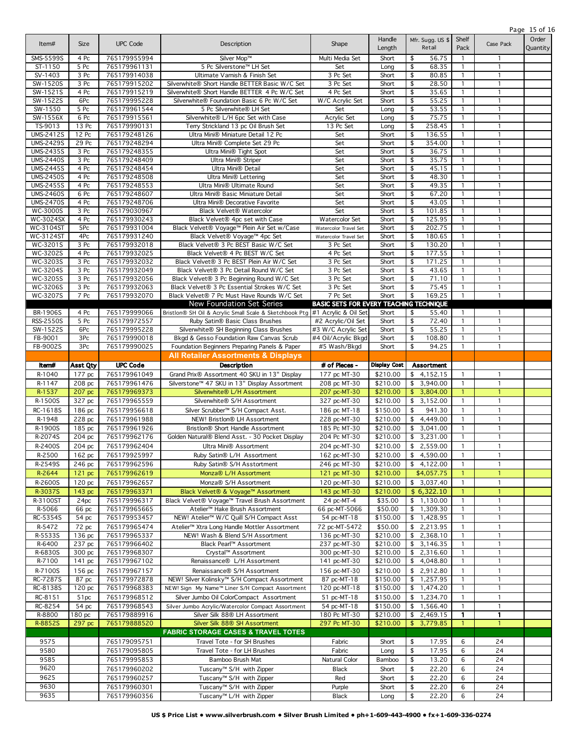Page 15 of 16

| Item#             | Size              | <b>UPC Code</b>              | Description                                                                  | Shape                                          | Handle        | Mfr. Sugg. US \$<br>Retail | Shelf<br>Pack | Case Pack      | Order    |
|-------------------|-------------------|------------------------------|------------------------------------------------------------------------------|------------------------------------------------|---------------|----------------------------|---------------|----------------|----------|
|                   |                   |                              |                                                                              |                                                | Length        |                            |               |                | Quantity |
| SMS-5599S         | 4 Pc              | 765179955994                 | Silver Mop™                                                                  | Multi Media Set                                | Short         | 56.75<br>\$                | 1             | $\mathbf{1}$   |          |
| ST-1150           | 5 Pc              | 765179961131                 | 5 Pc Silverstone™ LH Set                                                     | Set                                            | Long          | 68.35<br>\$                | 1             | $\mathbf{1}$   |          |
| SV-1403           | 3 Pc              | 765179914038                 | Ultimate Vamish & Finish Set                                                 | 3 Pc Set                                       | Short         | \$<br>80.85                | $\mathbf{1}$  | $\mathbf{1}$   |          |
| SW-1520S          | 3 Pc              | 765179915202                 | Silverwhite® Short Handle BETTER Basic W/C Set                               | 3 Pc Set                                       | Short         | \$<br>28.50                | $\mathbf{1}$  | $\mathbf{1}$   |          |
| SW-1521S          | 4 Pc              | 765179915219                 | Silverwhite® Short Handle BETTER 4 Pc W/C Set                                | 4 Pc Set                                       | Short         | \$<br>35.65                | $\mathbf{1}$  | $\mathbf{1}$   |          |
| SW-1522S          | 6Pc               | 765179995228                 | Silverwhite® Foundation Basic 6 Pc W/C Set                                   | W/C Acrylic Set                                | Short         | 55.25<br>\$                | $\mathbf{1}$  | $\mathbf{1}$   |          |
| SW-1550           | 5 Pc              | 765179961544                 | 5 Pc Silverwhite® LH Set                                                     | Set                                            | Long          | \$<br>53.55                | $\mathbf{1}$  | $\mathbf{1}$   |          |
| SW-1556X          | 6 Pc              | 765179915561                 | Silverwhite® L/H 6pc Set with Case                                           | Acrylic Set                                    | Long          | \$<br>75.75                | $\mathbf{1}$  | $\mathbf{1}$   |          |
| TS-9013           | 13 Pc             | 765179990131                 | Terry Strickland 13 pc Oil Brush Set                                         | 13 Pc Set                                      | Long          | \$<br>258.45               | $\mathbf{1}$  | $\mathbf{1}$   |          |
| <b>UMS-2412S</b>  | 12 Pc             | 765179248126                 | Ultra Mini® Miniature Detail 12 Pc                                           | Set                                            | Short         | 136.55<br>\$               | $\mathbf{1}$  | $\mathbf{1}$   |          |
| <b>UMS-2429S</b>  | 29 Pc             | 765179248294                 | Ultra Mini® Complete Set 29 Pc                                               | Set                                            | Short         | 354.00<br>\$               | $\mathbf{1}$  | $\mathbf{1}$   |          |
| <b>UMS-2435S</b>  | $\overline{3}$ Pc | 765179248355                 | Ultra Mini® Tight Spot                                                       | Set                                            | Short         | 36.75<br>\$                | 1             | $\mathbf{1}$   |          |
| <b>UMS-2440S</b>  | 3 Pc              | 765179248409                 | Ultra Mini® Striper                                                          | Set                                            | Short         | 35.75<br>\$                | $\mathbf{1}$  | $\mathbf{1}$   |          |
| <b>UMS-2445S</b>  | 4 Pc              | 765179248454                 | Ultra Mini® Detail                                                           | Set                                            | Short         | 45.15<br>\$                | $\mathbf{1}$  | $\mathbf{1}$   |          |
| <b>UMS-2450S</b>  | 4 Pc              | 765179248508                 | Ultra Mini® Lettering                                                        | Set                                            | Short         | 48.30<br>\$                | $\mathbf{1}$  | $\mathbf{1}$   |          |
| <b>UMS-2455S</b>  | 4 Pc              | 765179248553                 | Ultra Mini® Ultimate Round                                                   | Set                                            | Short         | \$<br>49.35                | $\mathbf{1}$  | $\mathbf{1}$   |          |
| <b>UMS-2460S</b>  | 6 Pc              | 765179248607                 | Ultra Mini® Basic Miniature Detail                                           | Set                                            | Short         | \$<br>67.20                | $\mathbf{1}$  | $\mathbf{1}$   |          |
| <b>UMS-2470S</b>  | 4 Pc              | 765179248706                 | Ultra Mini® Decorative Favorite                                              | Set                                            | Short         | \$<br>43.05                | $\mathbf{1}$  | $\mathbf{1}$   |          |
| WC-3000S          | 3 Pc              | 765179030967                 | <b>Black Velvet® Watercolor</b>                                              | Set                                            | Short         | \$<br>101.85               | $\mathbf{1}$  | $\mathbf{1}$   |          |
| WC-3024SX         | 4 Pc              | 765179930243                 | Black Velvet® 4pc set with Case                                              | Watercolor Set                                 | Short         | \$<br>125.95               | 1             | $\mathbf{1}$   |          |
| WC-3104ST         | 5Pc               | 765179931004                 | Black Velvet® Voyage™ Plein Air Set w/Case                                   | Watercolor Travel Set                          | Short         | \$<br>202.75               | $\mathbf{1}$  | $\mathbf{1}$   |          |
| WC-3124ST         | 4Pc               | 765179931240                 | Black Velvet® Voyage™ 4pc Set                                                | Watercolor Travel Set                          | Short         | 180.65<br>\$               | $\mathbf{1}$  | 1              |          |
| WC-3201S          | 3 Pc              | 765179932018                 | Black Velvet® 3 Pc BEST Basic W/C Set                                        | 3 Pc Set                                       | Short         | \$<br>130.20               | $\mathbf{1}$  | $\mathbf{1}$   |          |
| WC-3202S          | 4 Pc              | 765179932025                 | Black Velvet® 4 Pc BEST W/C Set                                              | 4 Pc Set                                       | Short         | 177.55<br>\$               | 1             | 1              |          |
| WC-3203S          | 3 Pc              | 765179932032                 | Black Velvet® 3 Pc BEST Plein Air W/C Set                                    | 3 Pc Set                                       | Short         | \$<br>171.25               | $\mathbf{1}$  | $\mathbf{1}$   |          |
| WC-3204S          | 3 Pc              | 765179932049                 | Black Velvet® 3 Pc Detail Round W/C Set                                      | 3 Pc Set                                       | Short         | 43.65<br>\$                | $\mathbf{1}$  | 1              |          |
| <b>WC-3205S</b>   | 3 Pc              | 765179932056                 | Black Velvet® 3 Pc Beginning Round W/C Set                                   | 3 Pc Set                                       | Short         | \$<br>71.10                | $\mathbf{1}$  | $\mathbf{1}$   |          |
| WC-3206S          | 3 Pc              | 765179932063                 | Black Velvet® 3 Pc Essential Strokes W/C Set                                 | 3 Pc Set                                       | Short         | \$<br>75.45                | 1             | $\mathbf{1}$   |          |
| WC-3207S          | 7 Pc              | 765179932070                 | Black Velvet® 7 Pc Must Have Rounds W/C Set                                  | 7 Pc Set                                       | Short         | 169.25<br>\$               | $\mathbf{1}$  | $\mathbf{1}$   |          |
|                   |                   |                              | New Foundation Set Series                                                    | <b>BASIC SETS FOR EVERY TEACHING TECHNIQUE</b> |               |                            |               |                |          |
| BR-1906S          | 4 Pc              | 765179999066                 | Bristlon® SH Oil & Acrylic Small Scale & Sketchbook Ptg #1 Acrylic & Oil Set |                                                | Short         | 55.40<br>\$                | 1             | -1             |          |
| <b>RSS-2550S</b>  | 5 Pc              | 765179972557                 | Ruby Satin® Basic Class Brushes                                              | #2 Acrylic/Oil Set                             | Short         | \$<br>72.40                | 1             | $\mathbf{1}$   |          |
| SW-1522S          | 6Pc               | 765179995228                 | Silverwhite® SH Beginning Class Brushes                                      | #3 W/C Acrylic Set                             | Short         | \$<br>55.25                | $\mathbf{1}$  | $\mathbf{1}$   |          |
| FB-9001           | 3Pc               | 765179990018                 | Bkgd & Gesso Foundation Raw Canvas Scrub                                     | #4 Oil/Acrylic Bkgd                            | Short         | 108.80<br>\$               | $\mathbf{1}$  | $\mathbf{1}$   |          |
| FB-9002S          | 3Pc               | 765179990025                 | Foundation Beginners Preparing Panels & Paper                                | #5 Wash/Bkgd                                   | Short         | 94.25<br>\$                | $\mathbf{1}$  | $\mathbf{1}$   |          |
|                   |                   |                              | <b>All Retailer Assortments &amp; Displays</b>                               |                                                |               |                            |               |                |          |
|                   |                   |                              |                                                                              |                                                |               |                            |               |                |          |
|                   |                   |                              |                                                                              |                                                |               |                            |               |                |          |
| ltem#             | Asst Qty          | <b>UPC Code</b>              | Description                                                                  | # of Pieces -                                  | Display Cost  | Assortment                 |               |                |          |
| R-1040            | 177 pc            | 765179961049                 | Grand Prix® Assortment 40 SKU in 13" Display                                 | 177 pc MT-30                                   | \$210.00      | \$4,152.15                 | $\mathbf{1}$  | $\mathbf{1}$   |          |
| R-1147            | 208 pc            | 765179961476                 | Silverstone™ 47 SKU in 13" Display Assortment                                | 208 pc MT-30                                   | \$210.00      | \$3,940.00                 | $\mathbf{1}$  | $\mathbf{1}$   |          |
| R-1537            | 207 pc            | 765179969373                 | Silverwhite® L/H Assortment                                                  | 207 pc-MT-30                                   | \$210.00      | \$3,804.00                 | $\mathbf{1}$  | $\mathbf{1}$   |          |
| R-1500S           | 327 pc            | 765179965559                 | Silverwhite® S/H Assortment                                                  | 327 pc-MT-30                                   | \$210.00      | \$3,152.00                 | $\mathbf{1}$  | $\mathbf{1}$   |          |
| RC-1618S          | 186 pc            | 765179956618                 | Silver Scrubber™ S/H Compact Asst.                                           | 186 pc MT-18                                   | \$150.00      | \$<br>941.30               | $\mathbf{1}$  | $\mathbf{1}$   |          |
| R-1948            | 228 pc            | 765179961988                 | NEW! Bristlon® LH Assortment                                                 | 228 pc-MT-30                                   | \$210.00      | \$4,449.00                 | $\mathbf{1}$  | $\mathbf{1}$   |          |
| R-1900S           | 185 pc            | 765179961926                 | Bristlon® Short Handle Assortment                                            | 185 Pc MT-30                                   | \$210.00      | \$3,041.00                 | $\mathbf{1}$  | $\mathbf{1}$   |          |
| R-2074S           | 204 pc            | 765179962176                 | Golden Natural® Blend Asst. - 30 Pocket Display                              | 204 Pc MT-30                                   | \$210.00      | \$3,231.00                 | $\mathbf{1}$  | $\mathbf{1}$   |          |
| R-2400S           | 204 pc            | 765179962404                 | Ultra Mini® Assortment                                                       | 204 pc-MT-30                                   | \$210.00      | \$2,559.00                 | 1             | $\mathbf{1}$   |          |
|                   |                   |                              |                                                                              |                                                |               |                            | $\mathbf{1}$  | $\mathbf{1}$   |          |
| R-2500            | 162 pc            | 765179925997                 | Ruby Satin® L/H Assortment                                                   | 162 pc-MT-30                                   | \$210.00      | $\overline{4,590.00}$      | $\mathbf{1}$  | $\mathbf{1}$   |          |
| R-2549S           | 246 pc            | 765179962596                 | Ruby Satin® S/H Asstortment                                                  | 246 pc MT-30                                   | \$210.00      | \$4,122.00                 |               |                |          |
| R-2644            | 121 pc            | 765179962619                 | Monza® L/H Assortment                                                        | 121 pc MT-30                                   | \$210.00      | \$4,057.75                 | $\mathbf{1}$  | $\mathbf{1}$   |          |
| R-2600S           | 120 pc            | 765179962657                 | Monza® S/H Assortment                                                        | 120 pc-MT-30                                   | \$210.00      | \$3,037.40                 | $\mathbf{1}$  | $\mathbf{1}$   |          |
| R-3037S           | 143 pc            | 765179963371                 | Black Velvet® & Voyage™ Assortment                                           | 143 pc MT-30                                   | \$210.00      | \$6,322.10                 | $\mathbf{1}$  | $\mathbf{1}$   |          |
| R-3100ST          | 24pc              | 765179996317                 | Black Velvet® Voyage™ Travel Brush Assortment                                | 24 pc-MT-4                                     | \$35.00       | \$1,130.00                 | 1             | $\mathbf{1}$   |          |
| R-5066            | 66 pc             | 765179965665                 | Atelier <sup>™</sup> Hake Brush Assortment                                   | 66 pc-MT-5066                                  | \$50.00       | \$1,309.30                 | 1             | $\mathbf{1}$   |          |
| RC-5354S          | 54 pc             | 765179953457                 | NEW! Atelier™ W/C Quill S/H Compact Asst                                     | 54 pc-MT-18                                    | \$150.00      | \$1,428.95                 | 1             | $\overline{1}$ |          |
| R-5472            | 72 pc             | 765179965474                 | Atelier™ Xtra Long Handle Mottler Assortment                                 | 72 pc-MT-5472                                  | \$50.00       | \$2,213.95                 | $\mathbf{1}$  | $\mathbf{1}$   |          |
| R-5533S           | 136 pc            | 765179965337                 | NEW! Wash & Blend S/H Assortment                                             | 136 pc-MT-30                                   | \$210.00      | \$2,368.10                 | 1             | 1              |          |
| R-6400            | 237 pc            | 765179966402                 | Black Pearl™ Assortment                                                      | 237 pc-MT-30                                   | \$210.00      | \$3,146.35                 | 1             | $\mathbf{1}$   |          |
| R-6830S           | 300 pc            | 765179968307                 | Crystal™ Assortment                                                          | 300 pc-MT-30                                   | \$210.00      | \$2,316.60                 | 1             | 1              |          |
| R-7100            | 141 pc            | 765179967102                 | Renaissance® L/H Assortment                                                  | 141 pc-MT-30                                   | \$210.00      | \$4,048.80                 | 1             | $\mathbf{1}$   |          |
| R-7100S           | 156 pc            | 765179967157                 | Renaissance® S/H Assortment                                                  | 156 pc-MT-30                                   | \$210.00      | \$2,912.80                 | $\mathbf{1}$  | $\mathbf{1}$   |          |
| RC-7287S          | 87 pc             | 765179972878                 | NEW! Silver Kolinsky™ S/H Compact Assortment                                 | 87 pc-MT-18                                    | \$150.00      | \$1,257.95                 | 1             | 1              |          |
| RC-8138S          | 120 pc            | 765179968383                 | NEW! Sign My Name™ Liner S/H Compact Assortment                              | 120 pc-MT-18                                   | \$150.00      | \$1,474.20                 | 1             | 1              |          |
| RC-8151           | 51pc              | 765179968512                 | Silver Jumbo Oil ColorCompact Assortment                                     | 51 pc-MT-18                                    | \$150.00      | \$1,234.70                 | 1             | $\mathbf{1}$   |          |
| RC-8254           | 54 pc             | 765179968543                 | Silver Jumbo Acrylic/Watercolor Compact Assortment                           | 54 pc-MT-18                                    | \$150.00      | \$1,566.40                 | $\mathbf{1}$  | $\mathbf{1}$   |          |
|                   |                   | 765179889916                 | Silver Silk 88® LH Assortment                                                | 180 Pc MT-30                                   | \$210.00      |                            | 1.            | 1              |          |
| R-8800<br>R-8852S | 180 pc            |                              | Silver Silk 88 <sup>®</sup> SH Assortment                                    | 297 Pc MT-30                                   | \$210.00      | \$2,469.15                 | 1             | $\mathbf{1}$   |          |
|                   | 297 pc            | 765179888520                 |                                                                              |                                                |               | \$3,779.85                 |               |                |          |
|                   |                   |                              | <b>FABRIC STORAGE CASES &amp; TRAVEL TOTES</b>                               |                                                |               |                            |               |                |          |
| 9575              |                   | 765179095751                 | Travel Tote - for SH Brushes                                                 | Fabric                                         | Short         | 17.95<br>\$                | 6             | 24             |          |
| 9580              |                   | 765179095805                 | Travel Tote - for LH Brushes                                                 | Fabric                                         | Long          | \$<br>17.95                | 6             | 24             |          |
| 9585              |                   | 765179995853                 | Bamboo Brush Mat                                                             | Natural Color                                  | Bamboo        | \$<br>13.20                | 6             | 24             |          |
| 9620              |                   | 765179960202                 | Tuscany <sup>™</sup> S/H with Zipper                                         | <b>Black</b>                                   | Short         | \$<br>22.20                | 6             | 24             |          |
| 9625              |                   | 765179960257                 | Tuscany <sup>™</sup> S/H with Zipper                                         | Red                                            | Short         | 22.20<br>\$                | 6             | 24             |          |
| 9630<br>9635      |                   | 765179960301<br>765179960356 | Tuscany™ S/H with Zipper<br>Tuscany™ L/H with Zipper                         | Purple<br>Black                                | Short<br>Long | \$<br>22.20<br>\$<br>22.20 | 6<br>6        | 24<br>24       |          |